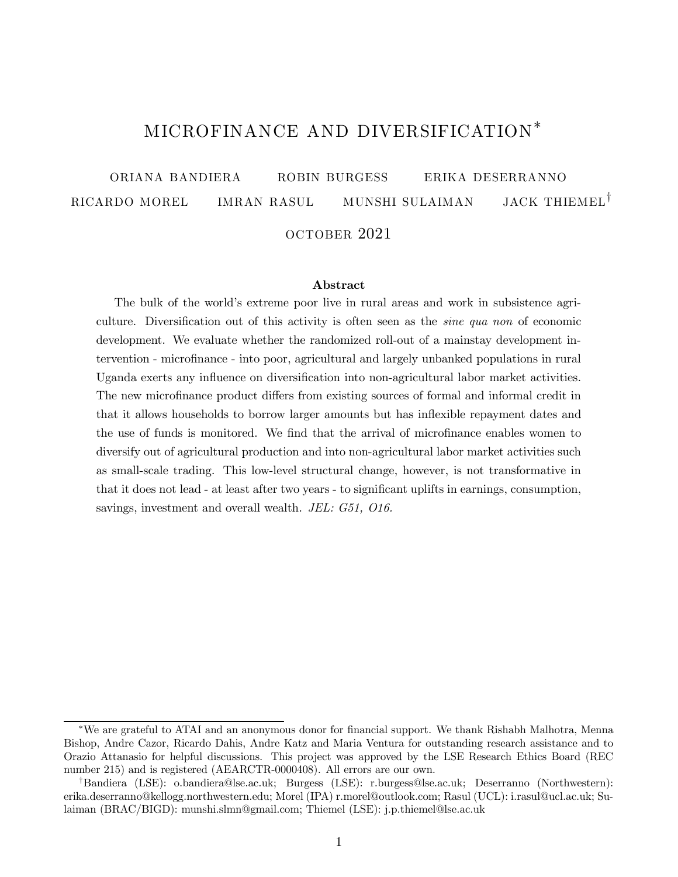# MICROFINANCE AND DIVERSIFICATION<sup>\*</sup>

oriana bandiera robin burgess erika deserranno  $\begin{array}{ccc} \text{RICARDO} & \text{MOREL} \end{array}$  imran rasul munshi sulaiman jack thiemel<sup>†</sup>

## october 2021

#### Abstract

The bulk of the world's extreme poor live in rural areas and work in subsistence agriculture. Diversification out of this activity is often seen as the *sine qua non* of economic development. We evaluate whether the randomized roll-out of a mainstay development intervention - microfinance - into poor, agricultural and largely unbanked populations in rural Uganda exerts any influence on diversification into non-agricultural labor market activities. The new microfinance product differs from existing sources of formal and informal credit in that it allows households to borrow larger amounts but has in‡exible repayment dates and the use of funds is monitored. We find that the arrival of microfinance enables women to diversify out of agricultural production and into non-agricultural labor market activities such as small-scale trading. This low-level structural change, however, is not transformative in that it does not lead - at least after two years - to significant uplifts in earnings, consumption, savings, investment and overall wealth. *JEL: G51, O16.*

<sup>\*</sup>We are grateful to ATAI and an anonymous donor for financial support. We thank Rishabh Malhotra, Menna Bishop, Andre Cazor, Ricardo Dahis, Andre Katz and Maria Ventura for outstanding research assistance and to Orazio Attanasio for helpful discussions. This project was approved by the LSE Research Ethics Board (REC number 215) and is registered (AEARCTR-0000408). All errors are our own.

yBandiera (LSE): o.bandiera@lse.ac.uk; Burgess (LSE): r.burgess@lse.ac.uk; Deserranno (Northwestern): erika.deserranno@kellogg.northwestern.edu; Morel (IPA) r.morel@outlook.com; Rasul (UCL): i.rasul@ucl.ac.uk; Sulaiman (BRAC/BIGD): munshi.slmn@gmail.com; Thiemel (LSE): j.p.thiemel@lse.ac.uk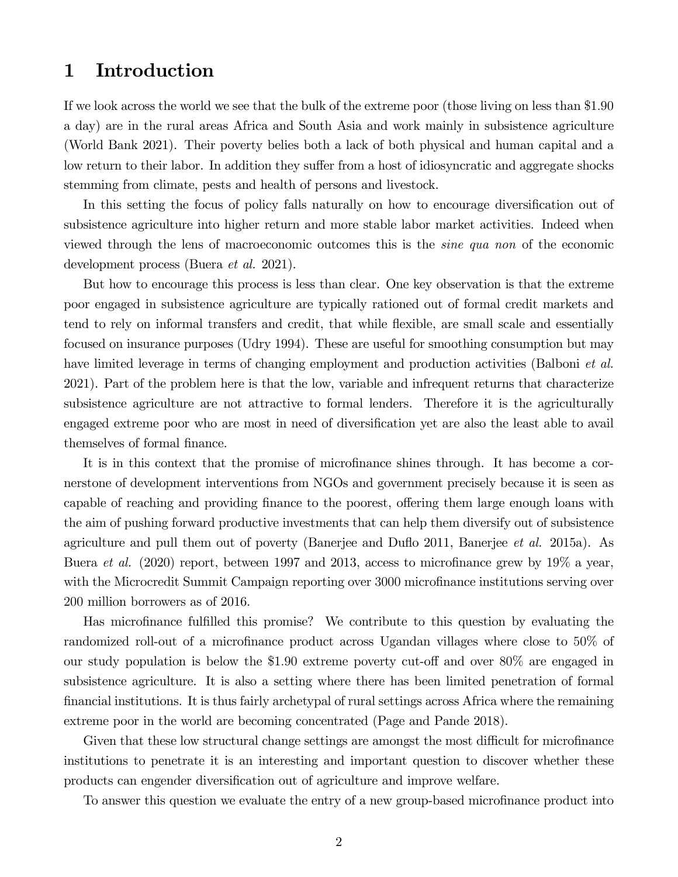# 1 Introduction

If we look across the world we see that the bulk of the extreme poor (those living on less than \$190 a day) are in the rural areas Africa and South Asia and work mainly in subsistence agriculture (World Bank 2021). Their poverty belies both a lack of both physical and human capital and a low return to their labor. In addition they suffer from a host of idiosyncratic and aggregate shocks stemming from climate, pests and health of persons and livestock.

In this setting the focus of policy falls naturally on how to encourage diversification out of subsistence agriculture into higher return and more stable labor market activities. Indeed when viewed through the lens of macroeconomic outcomes this is the *sine qua non* of the economic development process (Buera *et al.* 2021).

But how to encourage this process is less than clear. One key observation is that the extreme poor engaged in subsistence agriculture are typically rationed out of formal credit markets and tend to rely on informal transfers and credit, that while flexible, are small scale and essentially focused on insurance purposes (Udry 1994). These are useful for smoothing consumption but may have limited leverage in terms of changing employment and production activities (Balboni *et al.* 2021). Part of the problem here is that the low, variable and infrequent returns that characterize subsistence agriculture are not attractive to formal lenders. Therefore it is the agriculturally engaged extreme poor who are most in need of diversification yet are also the least able to avail themselves of formal finance.

It is in this context that the promise of microfinance shines through. It has become a cornerstone of development interventions from NGOs and government precisely because it is seen as capable of reaching and providing finance to the poorest, offering them large enough loans with the aim of pushing forward productive investments that can help them diversify out of subsistence agriculture and pull them out of poverty (Banerjee and Du‡o 2011, Banerjee *et al.* 2015a). As Buera *et al.* (2020) report, between 1997 and 2013, access to microfinance grew by 19% a year, with the Microcredit Summit Campaign reporting over 3000 microfinance institutions serving over 200 million borrowers as of 2016.

Has microfinance fulfilled this promise? We contribute to this question by evaluating the randomized roll-out of a microfinance product across Ugandan villages where close to 50% of our study population is below the  $$1.90$  extreme poverty cut-off and over  $80\%$  are engaged in subsistence agriculture. It is also a setting where there has been limited penetration of formal …nancial institutions. It is thus fairly archetypal of rural settings across Africa where the remaining extreme poor in the world are becoming concentrated (Page and Pande 2018).

Given that these low structural change settings are amongst the most difficult for microfinance institutions to penetrate it is an interesting and important question to discover whether these products can engender diversification out of agriculture and improve welfare.

To answer this question we evaluate the entry of a new group-based microfinance product into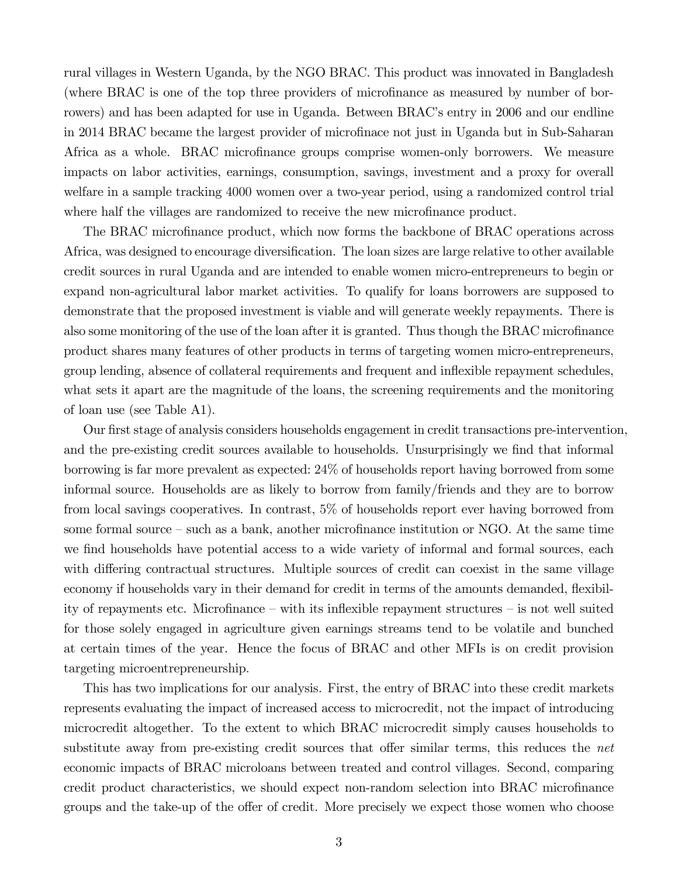rural villages in Western Uganda, by the NGO BRAC. This product was innovated in Bangladesh (where BRAC is one of the top three providers of microfinance as measured by number of borrowers) and has been adapted for use in Uganda. Between BRAC's entry in 2006 and our endline in 2014 BRAC became the largest provider of microfinace not just in Uganda but in Sub-Saharan Africa as a whole. BRAC microfinance groups comprise women-only borrowers. We measure impacts on labor activities, earnings, consumption, savings, investment and a proxy for overall welfare in a sample tracking 4000 women over a two-year period, using a randomized control trial where half the villages are randomized to receive the new microfinance product.

The BRAC microfinance product, which now forms the backbone of BRAC operations across Africa, was designed to encourage diversification. The loan sizes are large relative to other available credit sources in rural Uganda and are intended to enable women micro-entrepreneurs to begin or expand non-agricultural labor market activities. To qualify for loans borrowers are supposed to demonstrate that the proposed investment is viable and will generate weekly repayments. There is also some monitoring of the use of the loan after it is granted. Thus though the BRAC microfinance product shares many features of other products in terms of targeting women micro-entrepreneurs, group lending, absence of collateral requirements and frequent and in‡exible repayment schedules, what sets it apart are the magnitude of the loans, the screening requirements and the monitoring of loan use (see Table A1).

Our first stage of analysis considers households engagement in credit transactions pre-intervention, and the pre-existing credit sources available to households. Unsurprisingly we find that informal borrowing is far more prevalent as expected: 24% of households report having borrowed from some informal source. Households are as likely to borrow from family/friends and they are to borrow from local savings cooperatives. In contrast, 5% of households report ever having borrowed from some formal source – such as a bank, another microfinance institution or NGO. At the same time we find households have potential access to a wide variety of informal and formal sources, each with differing contractual structures. Multiple sources of credit can coexist in the same village economy if households vary in their demand for credit in terms of the amounts demanded, flexibility of repayments etc. Microfinance – with its inflexible repayment structures – is not well suited for those solely engaged in agriculture given earnings streams tend to be volatile and bunched at certain times of the year. Hence the focus of BRAC and other MFIs is on credit provision targeting microentrepreneurship.

This has two implications for our analysis. First, the entry of BRAC into these credit markets represents evaluating the impact of increased access to microcredit, not the impact of introducing microcredit altogether. To the extent to which BRAC microcredit simply causes households to substitute away from pre-existing credit sources that offer similar terms, this reduces the *net* economic impacts of BRAC microloans between treated and control villages. Second, comparing credit product characteristics, we should expect non-random selection into BRAC microfinance groups and the take-up of the offer of credit. More precisely we expect those women who choose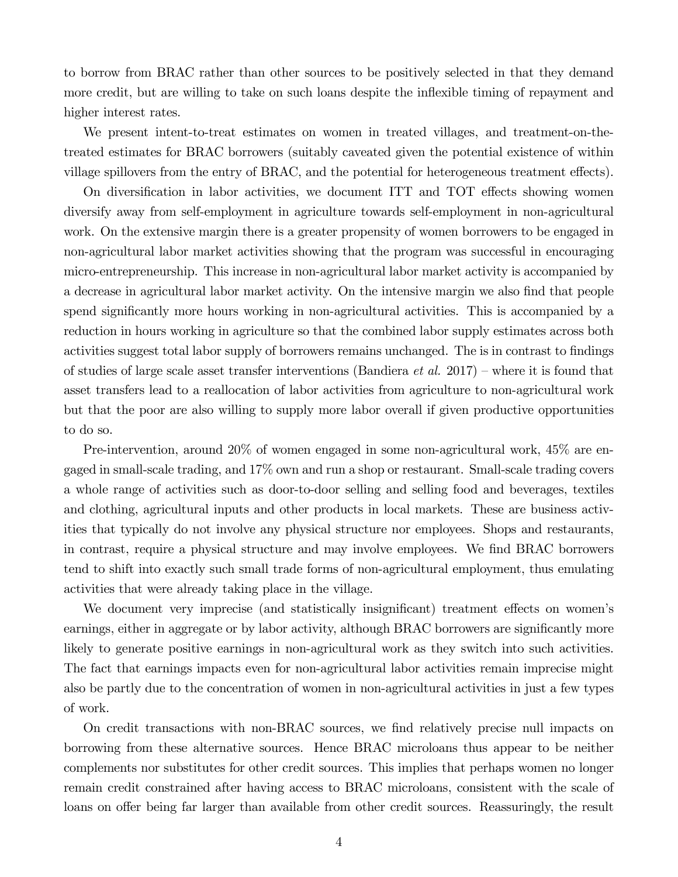to borrow from BRAC rather than other sources to be positively selected in that they demand more credit, but are willing to take on such loans despite the inflexible timing of repayment and higher interest rates.

We present intent-to-treat estimates on women in treated villages, and treatment-on-thetreated estimates for BRAC borrowers (suitably caveated given the potential existence of within village spillovers from the entry of BRAC, and the potential for heterogeneous treatment effects).

On diversification in labor activities, we document ITT and TOT effects showing women diversify away from self-employment in agriculture towards self-employment in non-agricultural work. On the extensive margin there is a greater propensity of women borrowers to be engaged in non-agricultural labor market activities showing that the program was successful in encouraging micro-entrepreneurship. This increase in non-agricultural labor market activity is accompanied by a decrease in agricultural labor market activity. On the intensive margin we also find that people spend significantly more hours working in non-agricultural activities. This is accompanied by a reduction in hours working in agriculture so that the combined labor supply estimates across both activities suggest total labor supply of borrowers remains unchanged. The is in contrast to findings of studies of large scale asset transfer interventions (Bandiera *et al.* 2017) – where it is found that asset transfers lead to a reallocation of labor activities from agriculture to non-agricultural work but that the poor are also willing to supply more labor overall if given productive opportunities to do so.

Pre-intervention, around 20% of women engaged in some non-agricultural work, 45% are engaged in small-scale trading, and 17% own and run a shop or restaurant. Small-scale trading covers a whole range of activities such as door-to-door selling and selling food and beverages, textiles and clothing, agricultural inputs and other products in local markets. These are business activities that typically do not involve any physical structure nor employees. Shops and restaurants, in contrast, require a physical structure and may involve employees. We find BRAC borrowers tend to shift into exactly such small trade forms of non-agricultural employment, thus emulating activities that were already taking place in the village.

We document very imprecise (and statistically insignificant) treatment effects on women's earnings, either in aggregate or by labor activity, although BRAC borrowers are significantly more likely to generate positive earnings in non-agricultural work as they switch into such activities. The fact that earnings impacts even for non-agricultural labor activities remain imprecise might also be partly due to the concentration of women in non-agricultural activities in just a few types of work.

On credit transactions with non-BRAC sources, we find relatively precise null impacts on borrowing from these alternative sources. Hence BRAC microloans thus appear to be neither complements nor substitutes for other credit sources. This implies that perhaps women no longer remain credit constrained after having access to BRAC microloans, consistent with the scale of loans on offer being far larger than available from other credit sources. Reassuringly, the result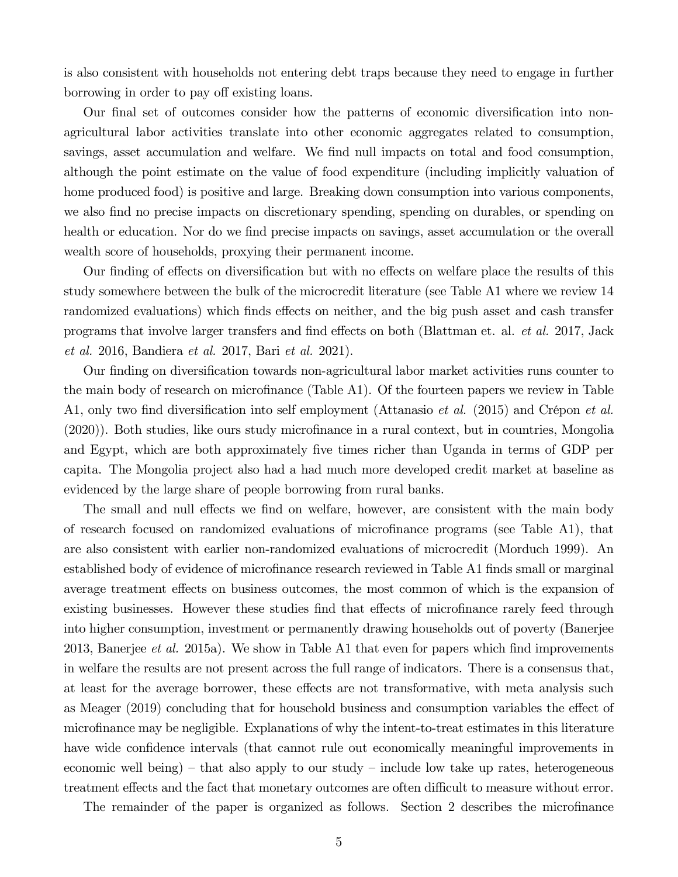is also consistent with households not entering debt traps because they need to engage in further borrowing in order to pay off existing loans.

Our final set of outcomes consider how the patterns of economic diversification into nonagricultural labor activities translate into other economic aggregates related to consumption, savings, asset accumulation and welfare. We find null impacts on total and food consumption, although the point estimate on the value of food expenditure (including implicitly valuation of home produced food) is positive and large. Breaking down consumption into various components, we also find no precise impacts on discretionary spending, spending on durables, or spending on health or education. Nor do we find precise impacts on savings, asset accumulation or the overall wealth score of households, proxying their permanent income.

Our finding of effects on diversification but with no effects on welfare place the results of this study somewhere between the bulk of the microcredit literature (see Table A1 where we review 14 randomized evaluations) which finds effects on neither, and the big push asset and cash transfer programs that involve larger transfers and find effects on both (Blattman et. al. *et al.* 2017, Jack *et al.* 2016, Bandiera *et al.* 2017, Bari *et al.* 2021).

Our finding on diversification towards non-agricultural labor market activities runs counter to the main body of research on microfinance (Table A1). Of the fourteen papers we review in Table A1, only two find diversification into self employment (Attanasio *et al.* (2015) and Crépon *et al.*  $(2020)$ ). Both studies, like ours study microfinance in a rural context, but in countries, Mongolia and Egypt, which are both approximately five times richer than Uganda in terms of GDP per capita. The Mongolia project also had a had much more developed credit market at baseline as evidenced by the large share of people borrowing from rural banks.

The small and null effects we find on welfare, however, are consistent with the main body of research focused on randomized evaluations of microfinance programs (see Table A1), that are also consistent with earlier non-randomized evaluations of microcredit (Morduch 1999). An established body of evidence of microfinance research reviewed in Table A1 finds small or marginal average treatment effects on business outcomes, the most common of which is the expansion of existing businesses. However these studies find that effects of microfinance rarely feed through into higher consumption, investment or permanently drawing households out of poverty (Banerjee 2013, Banerjee *et al.* 2015a). We show in Table A1 that even for papers which find improvements in welfare the results are not present across the full range of indicators. There is a consensus that, at least for the average borrower, these effects are not transformative, with meta analysis such as Meager (2019) concluding that for household business and consumption variables the effect of microfinance may be negligible. Explanations of why the intent-to-treat estimates in this literature have wide confidence intervals (that cannot rule out economically meaningful improvements in economic well being) – that also apply to our study – include low take up rates, heterogeneous treatment effects and the fact that monetary outcomes are often difficult to measure without error.

The remainder of the paper is organized as follows. Section 2 describes the microfinance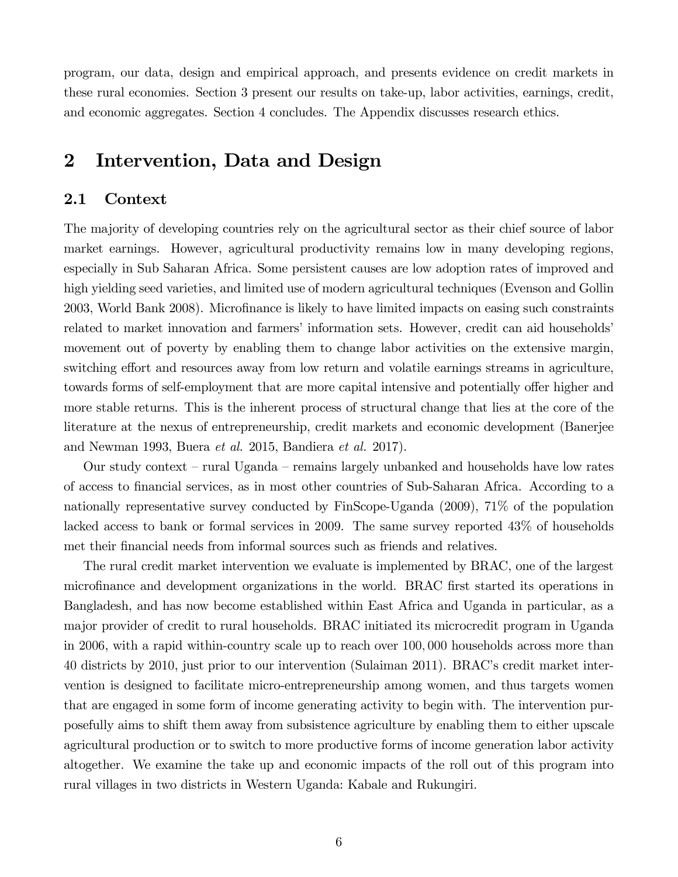program, our data, design and empirical approach, and presents evidence on credit markets in these rural economies. Section 3 present our results on take-up, labor activities, earnings, credit, and economic aggregates. Section 4 concludes. The Appendix discusses research ethics.

# 2 Intervention, Data and Design

## 2.1 Context

The majority of developing countries rely on the agricultural sector as their chief source of labor market earnings. However, agricultural productivity remains low in many developing regions, especially in Sub Saharan Africa. Some persistent causes are low adoption rates of improved and high yielding seed varieties, and limited use of modern agricultural techniques (Evenson and Gollin 2003, World Bank 2008). Microfinance is likely to have limited impacts on easing such constraints related to market innovation and farmers' information sets. However, credit can aid households' movement out of poverty by enabling them to change labor activities on the extensive margin, switching effort and resources away from low return and volatile earnings streams in agriculture, towards forms of self-employment that are more capital intensive and potentially offer higher and more stable returns. This is the inherent process of structural change that lies at the core of the literature at the nexus of entrepreneurship, credit markets and economic development (Banerjee and Newman 1993, Buera *et al.* 2015, Bandiera *et al.* 2017).

Our study context – rural Uganda – remains largely unbanked and households have low rates of access to financial services, as in most other countries of Sub-Saharan Africa. According to a nationally representative survey conducted by FinScope-Uganda (2009), 71% of the population lacked access to bank or formal services in 2009. The same survey reported 43% of households met their financial needs from informal sources such as friends and relatives.

The rural credit market intervention we evaluate is implemented by BRAC, one of the largest microfinance and development organizations in the world. BRAC first started its operations in Bangladesh, and has now become established within East Africa and Uganda in particular, as a major provider of credit to rural households. BRAC initiated its microcredit program in Uganda in 2006, with a rapid within-country scale up to reach over 100,000 households across more than 40 districts by 2010, just prior to our intervention (Sulaiman 2011). BRAC's credit market intervention is designed to facilitate micro-entrepreneurship among women, and thus targets women that are engaged in some form of income generating activity to begin with. The intervention purposefully aims to shift them away from subsistence agriculture by enabling them to either upscale agricultural production or to switch to more productive forms of income generation labor activity altogether. We examine the take up and economic impacts of the roll out of this program into rural villages in two districts in Western Uganda: Kabale and Rukungiri.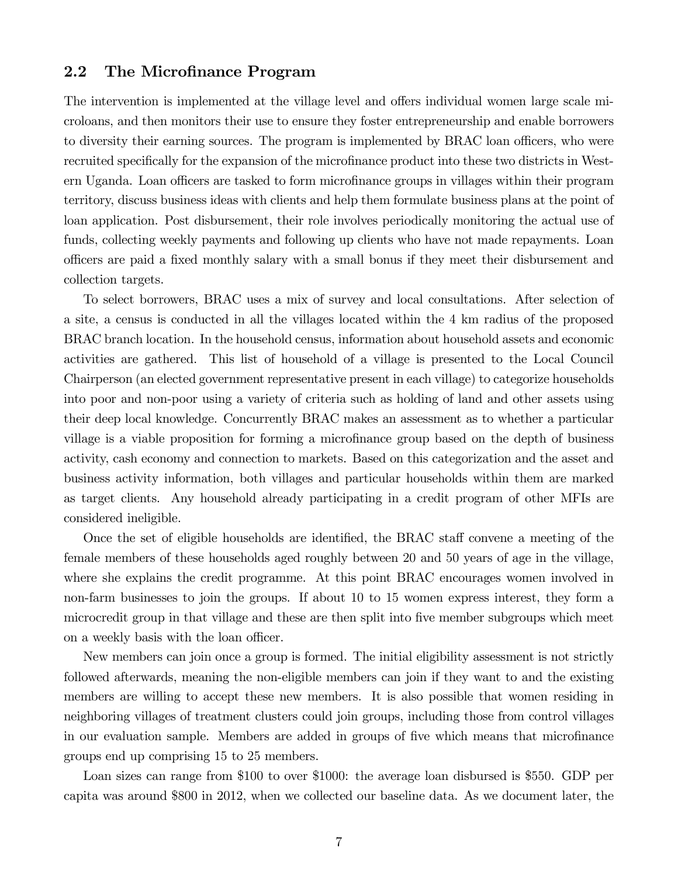# 2.2 The Microfinance Program

The intervention is implemented at the village level and offers individual women large scale microloans, and then monitors their use to ensure they foster entrepreneurship and enable borrowers to diversity their earning sources. The program is implemented by BRAC loan officers, who were recruited specifically for the expansion of the microfinance product into these two districts in Western Uganda. Loan officers are tasked to form microfinance groups in villages within their program territory, discuss business ideas with clients and help them formulate business plans at the point of loan application. Post disbursement, their role involves periodically monitoring the actual use of funds, collecting weekly payments and following up clients who have not made repayments. Loan officers are paid a fixed monthly salary with a small bonus if they meet their disbursement and collection targets.

To select borrowers, BRAC uses a mix of survey and local consultations. After selection of a site, a census is conducted in all the villages located within the 4 km radius of the proposed BRAC branch location. In the household census, information about household assets and economic activities are gathered. This list of household of a village is presented to the Local Council Chairperson (an elected government representative present in each village) to categorize households into poor and non-poor using a variety of criteria such as holding of land and other assets using their deep local knowledge. Concurrently BRAC makes an assessment as to whether a particular village is a viable proposition for forming a microfinance group based on the depth of business activity, cash economy and connection to markets. Based on this categorization and the asset and business activity information, both villages and particular households within them are marked as target clients. Any household already participating in a credit program of other MFIs are considered ineligible.

Once the set of eligible households are identified, the BRAC staff convene a meeting of the female members of these households aged roughly between 20 and 50 years of age in the village, where she explains the credit programme. At this point BRAC encourages women involved in non-farm businesses to join the groups. If about 10 to 15 women express interest, they form a microcredit group in that village and these are then split into five member subgroups which meet on a weekly basis with the loan officer.

New members can join once a group is formed. The initial eligibility assessment is not strictly followed afterwards, meaning the non-eligible members can join if they want to and the existing members are willing to accept these new members. It is also possible that women residing in neighboring villages of treatment clusters could join groups, including those from control villages in our evaluation sample. Members are added in groups of five which means that microfinance groups end up comprising 15 to 25 members.

Loan sizes can range from \$100 to over \$1000: the average loan disbursed is \$550. GDP per capita was around \$800 in 2012, when we collected our baseline data. As we document later, the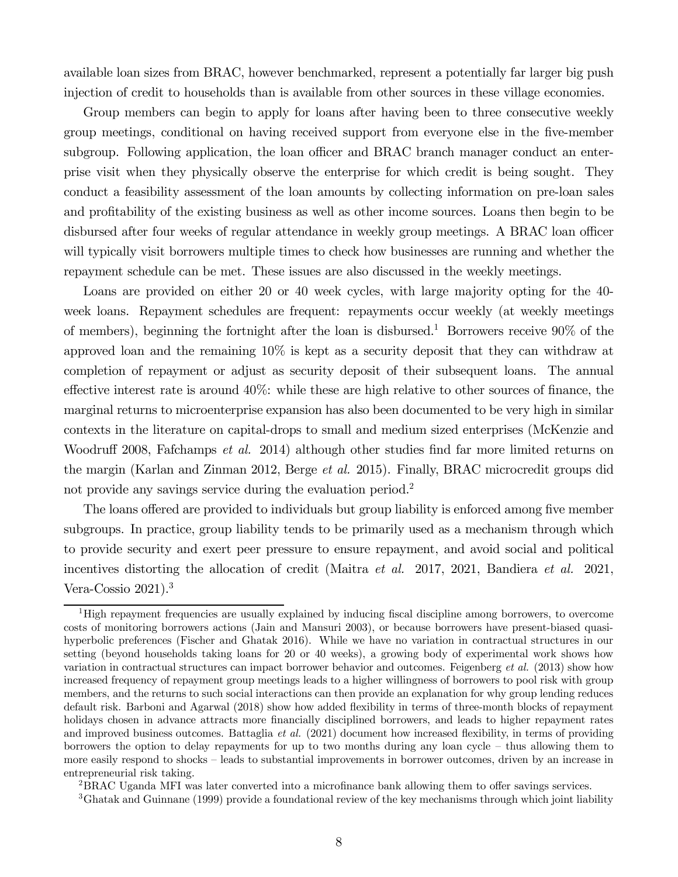available loan sizes from BRAC, however benchmarked, represent a potentially far larger big push injection of credit to households than is available from other sources in these village economies.

Group members can begin to apply for loans after having been to three consecutive weekly group meetings, conditional on having received support from everyone else in the five-member subgroup. Following application, the loan officer and BRAC branch manager conduct an enterprise visit when they physically observe the enterprise for which credit is being sought. They conduct a feasibility assessment of the loan amounts by collecting information on pre-loan sales and profitability of the existing business as well as other income sources. Loans then begin to be disbursed after four weeks of regular attendance in weekly group meetings. A BRAC loan officer will typically visit borrowers multiple times to check how businesses are running and whether the repayment schedule can be met. These issues are also discussed in the weekly meetings.

Loans are provided on either 20 or 40 week cycles, with large majority opting for the 40 week loans. Repayment schedules are frequent: repayments occur weekly (at weekly meetings of members), beginning the fortnight after the loan is disbursed.<sup>1</sup> Borrowers receive  $90\%$  of the approved loan and the remaining 10% is kept as a security deposit that they can withdraw at completion of repayment or adjust as security deposit of their subsequent loans. The annual effective interest rate is around  $40\%$ : while these are high relative to other sources of finance, the marginal returns to microenterprise expansion has also been documented to be very high in similar contexts in the literature on capital-drops to small and medium sized enterprises (McKenzie and Woodruff 2008, Fafchamps *et al.* 2014) although other studies find far more limited returns on the margin (Karlan and Zinman 2012, Berge *et al.* 2015). Finally, BRAC microcredit groups did not provide any savings service during the evaluation period.<sup>2</sup>

The loans offered are provided to individuals but group liability is enforced among five member subgroups. In practice, group liability tends to be primarily used as a mechanism through which to provide security and exert peer pressure to ensure repayment, and avoid social and political incentives distorting the allocation of credit (Maitra *et al.* 2017, 2021, Bandiera *et al.* 2021, Vera-Cossio 2021).<sup>3</sup>

 ${}^{2}$ BRAC Uganda MFI was later converted into a microfinance bank allowing them to offer savings services.

<sup>&</sup>lt;sup>1</sup>High repayment frequencies are usually explained by inducing fiscal discipline among borrowers, to overcome costs of monitoring borrowers actions (Jain and Mansuri 2003), or because borrowers have present-biased quasihyperbolic preferences (Fischer and Ghatak 2016). While we have no variation in contractual structures in our setting (beyond households taking loans for 20 or 40 weeks), a growing body of experimental work shows how variation in contractual structures can impact borrower behavior and outcomes. Feigenberg *et al.* (2013) show how increased frequency of repayment group meetings leads to a higher willingness of borrowers to pool risk with group members, and the returns to such social interactions can then provide an explanation for why group lending reduces default risk. Barboni and Agarwal (2018) show how added flexibility in terms of three-month blocks of repayment holidays chosen in advance attracts more financially disciplined borrowers, and leads to higher repayment rates and improved business outcomes. Battaglia *et al.* (2021) document how increased flexibility, in terms of providing borrowers the option to delay repayments for up to two months during any loan cycle – thus allowing them to more easily respond to shocks – leads to substantial improvements in borrower outcomes, driven by an increase in entrepreneurial risk taking.

<sup>3</sup>Ghatak and Guinnane (1999) provide a foundational review of the key mechanisms through which joint liability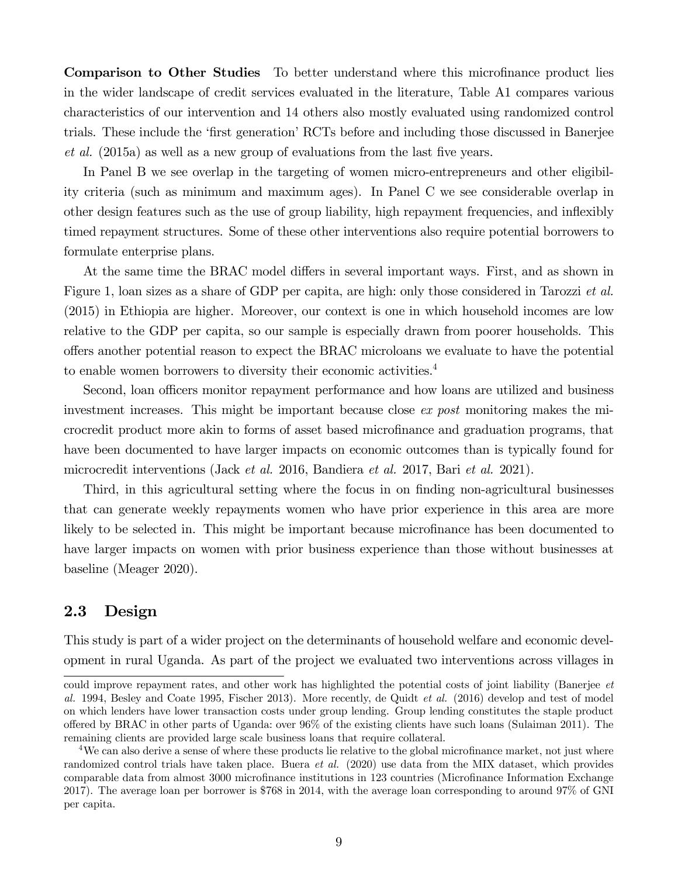Comparison to Other Studies To better understand where this microfinance product lies in the wider landscape of credit services evaluated in the literature, Table A1 compares various characteristics of our intervention and 14 others also mostly evaluated using randomized control trials. These include the 'first generation' RCTs before and including those discussed in Banerjee *et al.* (2015a) as well as a new group of evaluations from the last five years.

In Panel B we see overlap in the targeting of women micro-entrepreneurs and other eligibility criteria (such as minimum and maximum ages). In Panel C we see considerable overlap in other design features such as the use of group liability, high repayment frequencies, and in‡exibly timed repayment structures. Some of these other interventions also require potential borrowers to formulate enterprise plans.

At the same time the BRAC model differs in several important ways. First, and as shown in Figure 1, loan sizes as a share of GDP per capita, are high: only those considered in Tarozzi *et al.* (2015) in Ethiopia are higher. Moreover, our context is one in which household incomes are low relative to the GDP per capita, so our sample is especially drawn from poorer households. This offers another potential reason to expect the BRAC microloans we evaluate to have the potential to enable women borrowers to diversity their economic activities.<sup>4</sup>

Second, loan officers monitor repayment performance and how loans are utilized and business investment increases. This might be important because close *ex post* monitoring makes the microcredit product more akin to forms of asset based microfinance and graduation programs, that have been documented to have larger impacts on economic outcomes than is typically found for microcredit interventions (Jack *et al.* 2016, Bandiera *et al.* 2017, Bari *et al.* 2021).

Third, in this agricultural setting where the focus in on finding non-agricultural businesses that can generate weekly repayments women who have prior experience in this area are more likely to be selected in. This might be important because microfinance has been documented to have larger impacts on women with prior business experience than those without businesses at baseline (Meager 2020).

# 2.3 Design

This study is part of a wider project on the determinants of household welfare and economic development in rural Uganda. As part of the project we evaluated two interventions across villages in

could improve repayment rates, and other work has highlighted the potential costs of joint liability (Banerjee *et al.* 1994, Besley and Coate 1995, Fischer 2013). More recently, de Quidt *et al.* (2016) develop and test of model on which lenders have lower transaction costs under group lending. Group lending constitutes the staple product offered by BRAC in other parts of Uganda: over 96% of the existing clients have such loans (Sulaiman 2011). The remaining clients are provided large scale business loans that require collateral.

<sup>&</sup>lt;sup>4</sup>We can also derive a sense of where these products lie relative to the global microfinance market, not just where randomized control trials have taken place. Buera *et al.* (2020) use data from the MIX dataset, which provides comparable data from almost 3000 microfinance institutions in 123 countries (Microfinance Information Exchange 2017). The average loan per borrower is \$768 in 2014, with the average loan corresponding to around 97% of GNI per capita.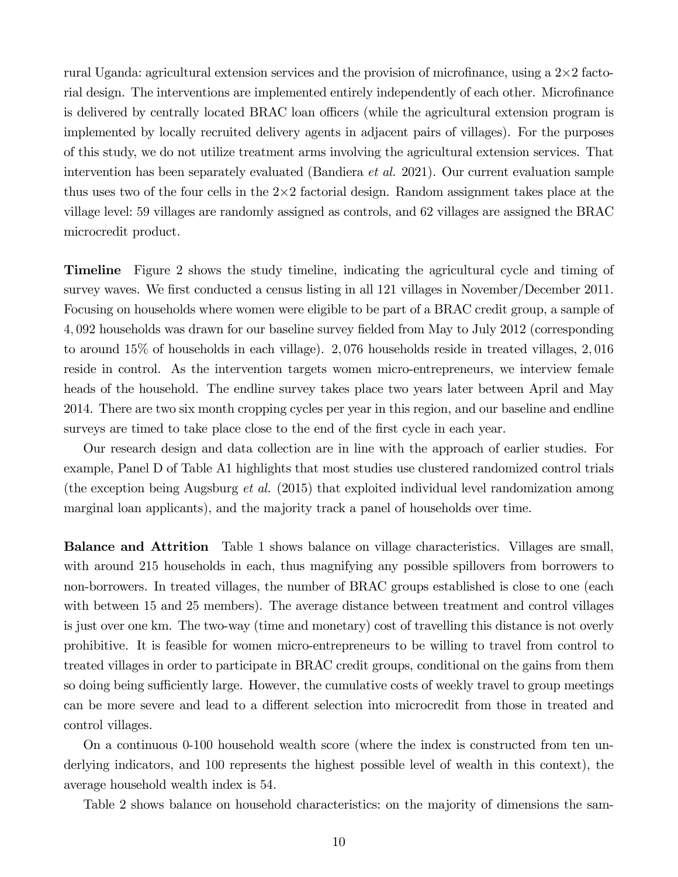rural Uganda: agricultural extension services and the provision of microfinance, using a  $2\times 2$  factorial design. The interventions are implemented entirely independently of each other. Microfinance is delivered by centrally located BRAC loan officers (while the agricultural extension program is implemented by locally recruited delivery agents in adjacent pairs of villages). For the purposes of this study, we do not utilize treatment arms involving the agricultural extension services. That intervention has been separately evaluated (Bandiera *et al.* 2021). Our current evaluation sample thus uses two of the four cells in the  $2\times 2$  factorial design. Random assignment takes place at the village level: 59 villages are randomly assigned as controls, and 62 villages are assigned the BRAC microcredit product.

Timeline Figure 2 shows the study timeline, indicating the agricultural cycle and timing of survey waves. We first conducted a census listing in all 121 villages in November/December 2011. Focusing on households where women were eligible to be part of a BRAC credit group, a sample of 4,092 households was drawn for our baseline survey fielded from May to July 2012 (corresponding to around 15% of households in each village). 2 076 households reside in treated villages, 2 016 reside in control. As the intervention targets women micro-entrepreneurs, we interview female heads of the household. The endline survey takes place two years later between April and May 2014. There are two six month cropping cycles per year in this region, and our baseline and endline surveys are timed to take place close to the end of the first cycle in each year.

Our research design and data collection are in line with the approach of earlier studies. For example, Panel D of Table A1 highlights that most studies use clustered randomized control trials (the exception being Augsburg *et al.* (2015) that exploited individual level randomization among marginal loan applicants), and the majority track a panel of households over time.

Balance and Attrition Table 1 shows balance on village characteristics. Villages are small, with around 215 households in each, thus magnifying any possible spillovers from borrowers to non-borrowers. In treated villages, the number of BRAC groups established is close to one (each with between 15 and 25 members). The average distance between treatment and control villages is just over one km. The two-way (time and monetary) cost of travelling this distance is not overly prohibitive. It is feasible for women micro-entrepreneurs to be willing to travel from control to treated villages in order to participate in BRAC credit groups, conditional on the gains from them so doing being sufficiently large. However, the cumulative costs of weekly travel to group meetings can be more severe and lead to a different selection into microcredit from those in treated and control villages.

On a continuous 0-100 household wealth score (where the index is constructed from ten underlying indicators, and 100 represents the highest possible level of wealth in this context), the average household wealth index is 54.

Table 2 shows balance on household characteristics: on the majority of dimensions the sam-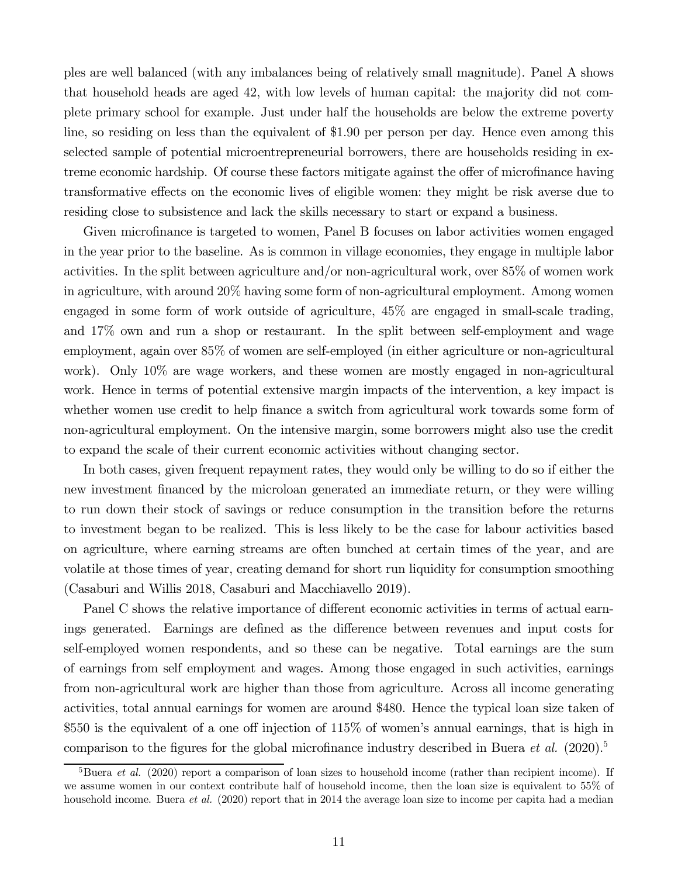ples are well balanced (with any imbalances being of relatively small magnitude). Panel A shows that household heads are aged 42, with low levels of human capital: the majority did not complete primary school for example. Just under half the households are below the extreme poverty line, so residing on less than the equivalent of \$190 per person per day. Hence even among this selected sample of potential microentrepreneurial borrowers, there are households residing in extreme economic hardship. Of course these factors mitigate against the offer of microfinance having transformative effects on the economic lives of eligible women: they might be risk averse due to residing close to subsistence and lack the skills necessary to start or expand a business.

Given microfinance is targeted to women, Panel B focuses on labor activities women engaged in the year prior to the baseline. As is common in village economies, they engage in multiple labor activities. In the split between agriculture and/or non-agricultural work, over 85% of women work in agriculture, with around 20% having some form of non-agricultural employment. Among women engaged in some form of work outside of agriculture, 45% are engaged in small-scale trading, and 17% own and run a shop or restaurant. In the split between self-employment and wage employment, again over 85% of women are self-employed (in either agriculture or non-agricultural work). Only 10% are wage workers, and these women are mostly engaged in non-agricultural work. Hence in terms of potential extensive margin impacts of the intervention, a key impact is whether women use credit to help finance a switch from agricultural work towards some form of non-agricultural employment. On the intensive margin, some borrowers might also use the credit to expand the scale of their current economic activities without changing sector.

In both cases, given frequent repayment rates, they would only be willing to do so if either the new investment financed by the microloan generated an immediate return, or they were willing to run down their stock of savings or reduce consumption in the transition before the returns to investment began to be realized. This is less likely to be the case for labour activities based on agriculture, where earning streams are often bunched at certain times of the year, and are volatile at those times of year, creating demand for short run liquidity for consumption smoothing (Casaburi and Willis 2018, Casaburi and Macchiavello 2019).

Panel C shows the relative importance of different economic activities in terms of actual earnings generated. Earnings are defined as the difference between revenues and input costs for self-employed women respondents, and so these can be negative. Total earnings are the sum of earnings from self employment and wages. Among those engaged in such activities, earnings from non-agricultural work are higher than those from agriculture. Across all income generating activities, total annual earnings for women are around \$480. Hence the typical loan size taken of  $$550$  is the equivalent of a one off injection of  $115\%$  of women's annual earnings, that is high in comparison to the figures for the global microfinance industry described in Buera *et al.* (2020).<sup>5</sup>

<sup>&</sup>lt;sup>5</sup>Buera *et al.* (2020) report a comparison of loan sizes to household income (rather than recipient income). If we assume women in our context contribute half of household income, then the loan size is equivalent to 55% of household income. Buera *et al.* (2020) report that in 2014 the average loan size to income per capita had a median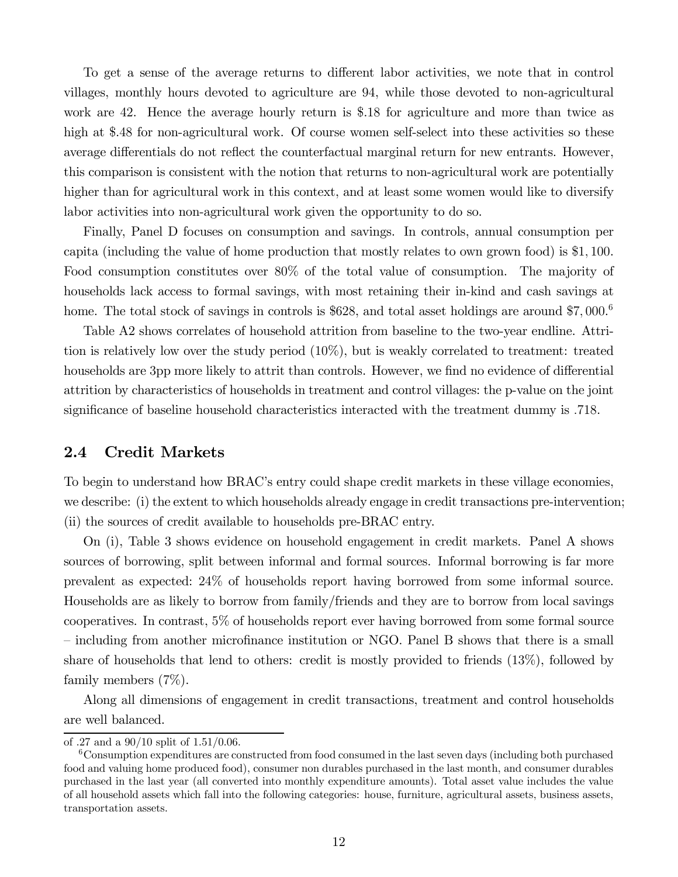To get a sense of the average returns to different labor activities, we note that in control villages, monthly hours devoted to agriculture are 94, while those devoted to non-agricultural work are 42. Hence the average hourly return is \$.18 for agriculture and more than twice as high at \$.48 for non-agricultural work. Of course women self-select into these activities so these average differentials do not reflect the counterfactual marginal return for new entrants. However, this comparison is consistent with the notion that returns to non-agricultural work are potentially higher than for agricultural work in this context, and at least some women would like to diversify labor activities into non-agricultural work given the opportunity to do so.

Finally, Panel D focuses on consumption and savings. In controls, annual consumption per capita (including the value of home production that mostly relates to own grown food) is \$1 100. Food consumption constitutes over 80% of the total value of consumption. The majority of households lack access to formal savings, with most retaining their in-kind and cash savings at home. The total stock of savings in controls is \$628, and total asset holdings are around  $$7,000$ .<sup>6</sup>

Table A2 shows correlates of household attrition from baseline to the two-year endline. Attrition is relatively low over the study period (10%), but is weakly correlated to treatment: treated households are 3pp more likely to attrit than controls. However, we find no evidence of differential attrition by characteristics of households in treatment and control villages: the p-value on the joint significance of baseline household characteristics interacted with the treatment dummy is .718.

## 2.4 Credit Markets

To begin to understand how BRAC's entry could shape credit markets in these village economies, we describe: (i) the extent to which households already engage in credit transactions pre-intervention; (ii) the sources of credit available to households pre-BRAC entry.

On (i), Table 3 shows evidence on household engagement in credit markets. Panel A shows sources of borrowing, split between informal and formal sources. Informal borrowing is far more prevalent as expected: 24% of households report having borrowed from some informal source. Households are as likely to borrow from family/friends and they are to borrow from local savings cooperatives. In contrast, 5% of households report ever having borrowed from some formal source  $-$  including from another microfinance institution or NGO. Panel B shows that there is a small share of households that lend to others: credit is mostly provided to friends (13%), followed by family members (7%).

Along all dimensions of engagement in credit transactions, treatment and control households are well balanced.

of .27 and a  $90/10$  split of  $1.51/0.06$ .

<sup>&</sup>lt;sup>6</sup>Consumption expenditures are constructed from food consumed in the last seven days (including both purchased food and valuing home produced food), consumer non durables purchased in the last month, and consumer durables purchased in the last year (all converted into monthly expenditure amounts). Total asset value includes the value of all household assets which fall into the following categories: house, furniture, agricultural assets, business assets, transportation assets.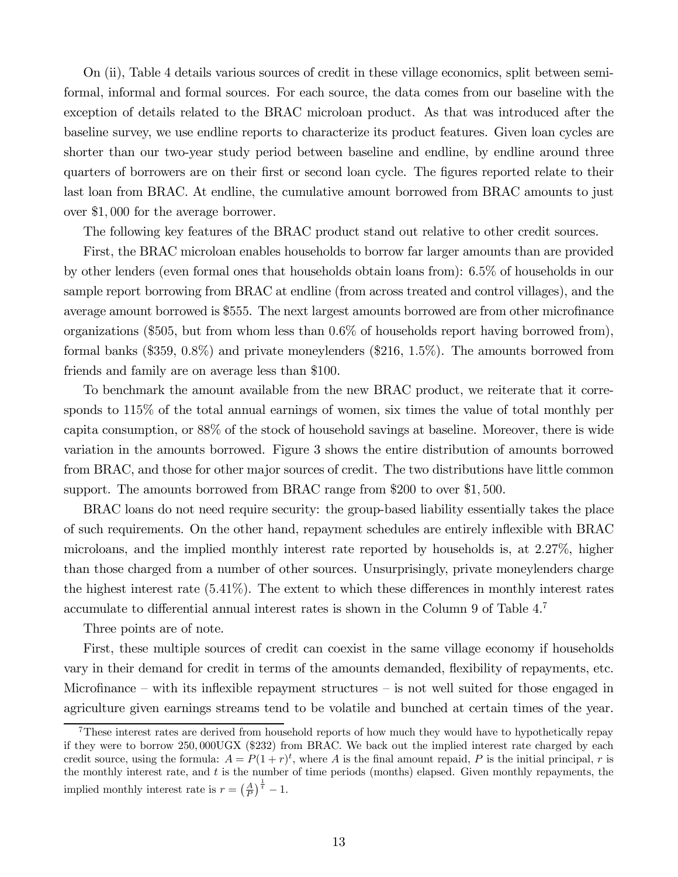On (ii), Table 4 details various sources of credit in these village economics, split between semiformal, informal and formal sources. For each source, the data comes from our baseline with the exception of details related to the BRAC microloan product. As that was introduced after the baseline survey, we use endline reports to characterize its product features. Given loan cycles are shorter than our two-year study period between baseline and endline, by endline around three quarters of borrowers are on their first or second loan cycle. The figures reported relate to their last loan from BRAC. At endline, the cumulative amount borrowed from BRAC amounts to just over \$1,000 for the average borrower.

The following key features of the BRAC product stand out relative to other credit sources.

First, the BRAC microloan enables households to borrow far larger amounts than are provided by other lenders (even formal ones that households obtain loans from): 65% of households in our sample report borrowing from BRAC at endline (from across treated and control villages), and the average amount borrowed is \$555. The next largest amounts borrowed are from other microfinance organizations (\$505, but from whom less than 06% of households report having borrowed from), formal banks  $(\$359, 0.8\%)$  and private moneylenders  $(\$216, 1.5\%)$ . The amounts borrowed from friends and family are on average less than \$100.

To benchmark the amount available from the new BRAC product, we reiterate that it corresponds to 115% of the total annual earnings of women, six times the value of total monthly per capita consumption, or 88% of the stock of household savings at baseline. Moreover, there is wide variation in the amounts borrowed. Figure 3 shows the entire distribution of amounts borrowed from BRAC, and those for other major sources of credit. The two distributions have little common support. The amounts borrowed from BRAC range from \$200 to over \$1,500.

BRAC loans do not need require security: the group-based liability essentially takes the place of such requirements. On the other hand, repayment schedules are entirely in‡exible with BRAC microloans, and the implied monthly interest rate reported by households is, at 227%, higher than those charged from a number of other sources. Unsurprisingly, private moneylenders charge the highest interest rate  $(5.41\%)$ . The extent to which these differences in monthly interest rates accumulate to differential annual interest rates is shown in the Column 9 of Table  $4<sup>7</sup>$ 

Three points are of note.

First, these multiple sources of credit can coexist in the same village economy if households vary in their demand for credit in terms of the amounts demanded, flexibility of repayments, etc. Microfinance – with its inflexible repayment structures – is not well suited for those engaged in agriculture given earnings streams tend to be volatile and bunched at certain times of the year.

<sup>7</sup>These interest rates are derived from household reports of how much they would have to hypothetically repay if they were to borrow 250 000UGX (\$232) from BRAC. We back out the implied interest rate charged by each credit source, using the formula:  $A = P(1+r)^t$ , where A is the final amount repaid, P is the initial principal, r is the monthly interest rate, and  $t$  is the number of time periods (months) elapsed. Given monthly repayments, the implied monthly interest rate is  $r = \left(\frac{A}{P}\right)^{\frac{1}{t}} - 1$ .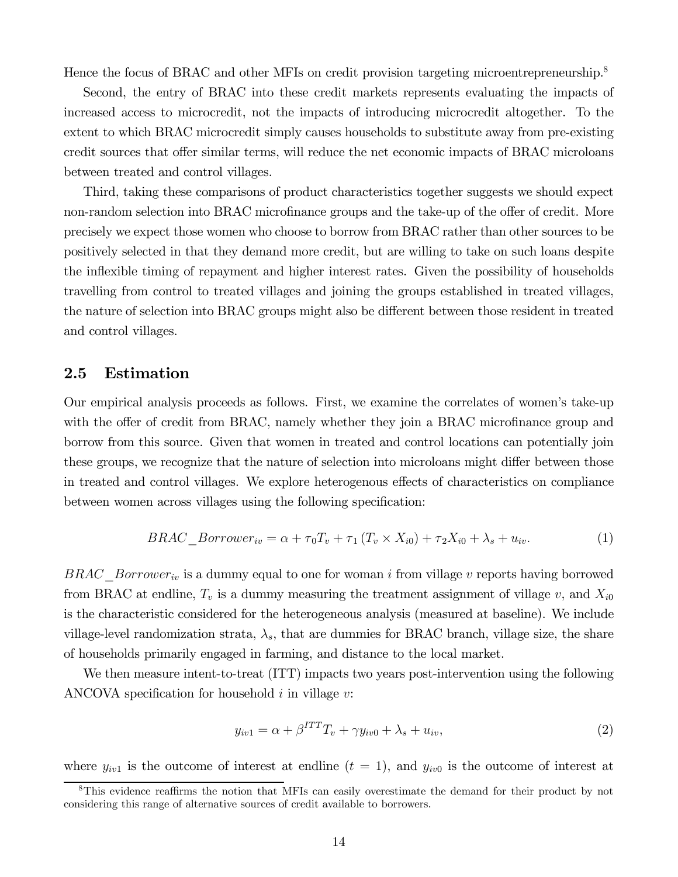Hence the focus of BRAC and other MFIs on credit provision targeting microentrepreneurship.<sup>8</sup>

Second, the entry of BRAC into these credit markets represents evaluating the impacts of increased access to microcredit, not the impacts of introducing microcredit altogether. To the extent to which BRAC microcredit simply causes households to substitute away from pre-existing credit sources that offer similar terms, will reduce the net economic impacts of BRAC microloans between treated and control villages.

Third, taking these comparisons of product characteristics together suggests we should expect non-random selection into BRAC microfinance groups and the take-up of the offer of credit. More precisely we expect those women who choose to borrow from BRAC rather than other sources to be positively selected in that they demand more credit, but are willing to take on such loans despite the inflexible timing of repayment and higher interest rates. Given the possibility of households travelling from control to treated villages and joining the groups established in treated villages, the nature of selection into BRAC groups might also be different between those resident in treated and control villages.

## 2.5 Estimation

Our empirical analysis proceeds as follows. First, we examine the correlates of women's take-up with the offer of credit from BRAC, namely whether they join a BRAC microfinance group and borrow from this source. Given that women in treated and control locations can potentially join these groups, we recognize that the nature of selection into microloans might differ between those in treated and control villages. We explore heterogenous effects of characteristics on compliance between women across villages using the following specification:

$$
BRAC\_Borrower_{iv} = \alpha + \tau_0 T_v + \tau_1 (T_v \times X_{i0}) + \tau_2 X_{i0} + \lambda_s + u_{iv}. \tag{1}
$$

 $BRAC\_Borrower_{iv}$  is a dummy equal to one for woman *i* from village  $v$  reports having borrowed from BRAC at endline,  $T_v$  is a dummy measuring the treatment assignment of village v, and  $X_{i0}$ is the characteristic considered for the heterogeneous analysis (measured at baseline). We include village-level randomization strata,  $\lambda_s$ , that are dummies for BRAC branch, village size, the share of households primarily engaged in farming, and distance to the local market.

We then measure intent-to-treat (ITT) impacts two years post-intervention using the following ANCOVA specification for household  $i$  in village  $v$ :

$$
y_{iv1} = \alpha + \beta^{ITT} T_v + \gamma y_{iv0} + \lambda_s + u_{iv}, \qquad (2)
$$

where  $y_{iv1}$  is the outcome of interest at endline  $(t = 1)$ , and  $y_{iv0}$  is the outcome of interest at

<sup>&</sup>lt;sup>8</sup>This evidence reaffirms the notion that MFIs can easily overestimate the demand for their product by not considering this range of alternative sources of credit available to borrowers.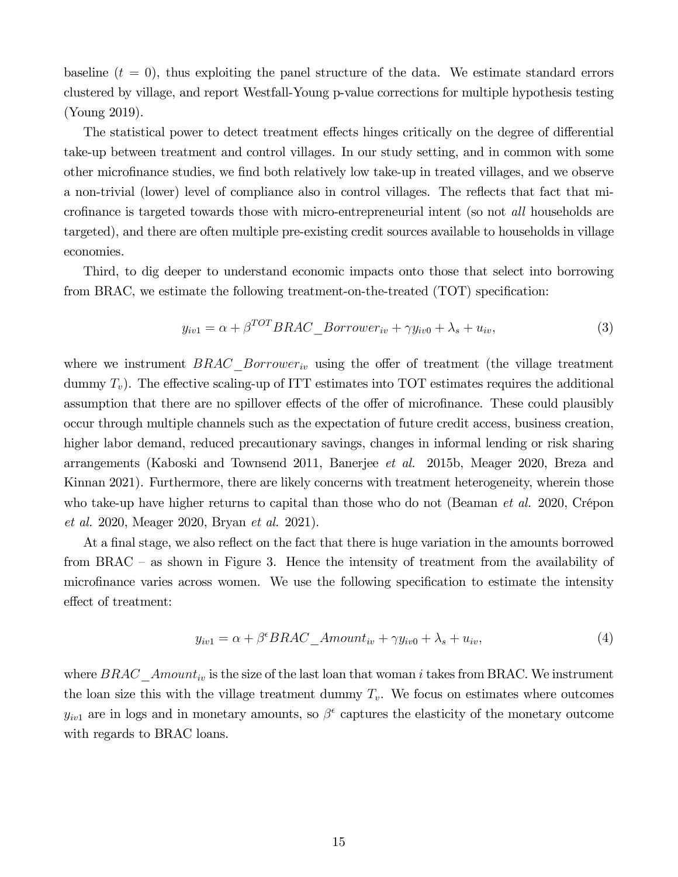baseline  $(t = 0)$ , thus exploiting the panel structure of the data. We estimate standard errors clustered by village, and report Westfall-Young p-value corrections for multiple hypothesis testing (Young 2019).

The statistical power to detect treatment effects hinges critically on the degree of differential take-up between treatment and control villages. In our study setting, and in common with some other microfinance studies, we find both relatively low take-up in treated villages, and we observe a non-trivial (lower) level of compliance also in control villages. The reflects that fact that microfinance is targeted towards those with micro-entrepreneurial intent (so not *all* households are targeted), and there are often multiple pre-existing credit sources available to households in village economies.

Third, to dig deeper to understand economic impacts onto those that select into borrowing from BRAC, we estimate the following treatment-on-the-treated  $(TOT)$  specification:

$$
y_{iv1} = \alpha + \beta^{TOT} BRAC\_Borrower_{iv} + \gamma y_{iv0} + \lambda_s + u_{iv}, \qquad (3)
$$

where we instrument  $BRAC$  Borrower<sub>iv</sub> using the offer of treatment (the village treatment dummy  $T_v$ ). The effective scaling-up of ITT estimates into TOT estimates requires the additional assumption that there are no spillover effects of the offer of microfinance. These could plausibly occur through multiple channels such as the expectation of future credit access, business creation, higher labor demand, reduced precautionary savings, changes in informal lending or risk sharing arrangements (Kaboski and Townsend 2011, Banerjee *et al.* 2015b, Meager 2020, Breza and Kinnan 2021). Furthermore, there are likely concerns with treatment heterogeneity, wherein those who take-up have higher returns to capital than those who do not (Beaman *et al.* 2020, Crépon *et al.* 2020, Meager 2020, Bryan *et al.* 2021).

At a final stage, we also reflect on the fact that there is huge variation in the amounts borrowed from BRAC – as shown in Figure 3. Hence the intensity of treatment from the availability of microfinance varies across women. We use the following specification to estimate the intensity effect of treatment:

$$
y_{iv1} = \alpha + \beta^{\epsilon} BRAC\_Amount_{iv} + \gamma y_{iv0} + \lambda_s + u_{iv}, \tag{4}
$$

where  $BRAC\_Amount_{iv}$  is the size of the last loan that woman *i* takes from BRAC. We instrument the loan size this with the village treatment dummy  $T_v$ . We focus on estimates where outcomes  $y_{iv1}$  are in logs and in monetary amounts, so  $\beta^{\epsilon}$  captures the elasticity of the monetary outcome with regards to BRAC loans.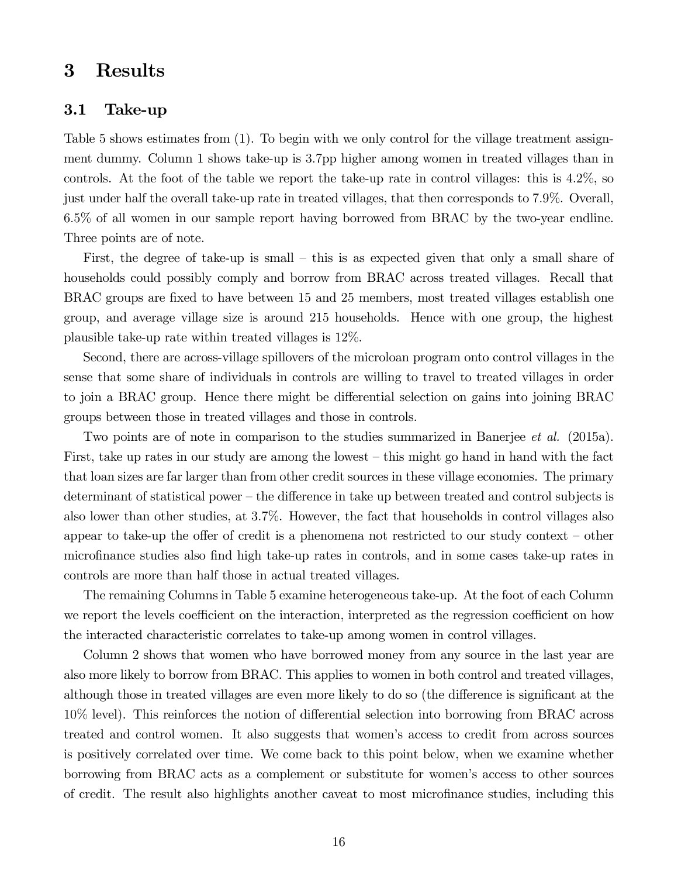# 3 Results

### 3.1 Take-up

Table 5 shows estimates from (1). To begin with we only control for the village treatment assignment dummy. Column 1 shows take-up is 37pp higher among women in treated villages than in controls. At the foot of the table we report the take-up rate in control villages: this is 42%, so just under half the overall take-up rate in treated villages, that then corresponds to 79%. Overall, 65% of all women in our sample report having borrowed from BRAC by the two-year endline. Three points are of note.

First, the degree of take-up is small – this is as expected given that only a small share of households could possibly comply and borrow from BRAC across treated villages. Recall that BRAC groups are fixed to have between 15 and 25 members, most treated villages establish one group, and average village size is around 215 households. Hence with one group, the highest plausible take-up rate within treated villages is 12%.

Second, there are across-village spillovers of the microloan program onto control villages in the sense that some share of individuals in controls are willing to travel to treated villages in order to join a BRAC group. Hence there might be differential selection on gains into joining BRAC groups between those in treated villages and those in controls.

Two points are of note in comparison to the studies summarized in Banerjee *et al.* (2015a). First, take up rates in our study are among the lowest – this might go hand in hand with the fact that loan sizes are far larger than from other credit sources in these village economies. The primary determinant of statistical power – the difference in take up between treated and control subjects is also lower than other studies, at 37%. However, the fact that households in control villages also appear to take-up the offer of credit is a phenomena not restricted to our study context – other microfinance studies also find high take-up rates in controls, and in some cases take-up rates in controls are more than half those in actual treated villages.

The remaining Columns in Table 5 examine heterogeneous take-up. At the foot of each Column we report the levels coefficient on the interaction, interpreted as the regression coefficient on how the interacted characteristic correlates to take-up among women in control villages.

Column 2 shows that women who have borrowed money from any source in the last year are also more likely to borrow from BRAC. This applies to women in both control and treated villages, although those in treated villages are even more likely to do so (the difference is significant at the 10% level). This reinforces the notion of differential selection into borrowing from BRAC across treated and control women. It also suggests that women's access to credit from across sources is positively correlated over time. We come back to this point below, when we examine whether borrowing from BRAC acts as a complement or substitute for women's access to other sources of credit. The result also highlights another caveat to most microfinance studies, including this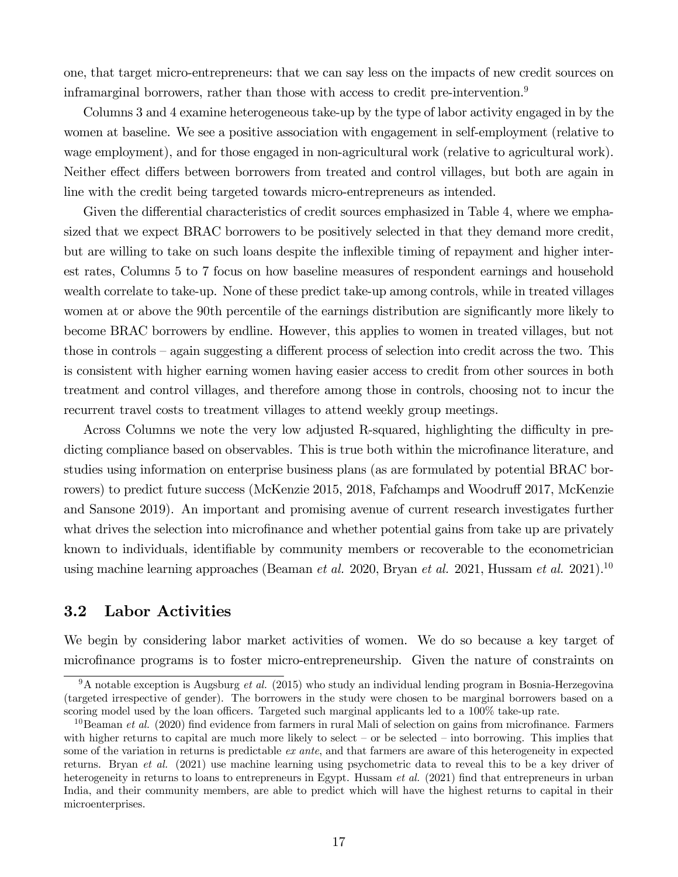one, that target micro-entrepreneurs: that we can say less on the impacts of new credit sources on inframarginal borrowers, rather than those with access to credit pre-intervention.<sup>9</sup>

Columns 3 and 4 examine heterogeneous take-up by the type of labor activity engaged in by the women at baseline. We see a positive association with engagement in self-employment (relative to wage employment), and for those engaged in non-agricultural work (relative to agricultural work). Neither effect differs between borrowers from treated and control villages, but both are again in line with the credit being targeted towards micro-entrepreneurs as intended.

Given the differential characteristics of credit sources emphasized in Table 4, where we emphasized that we expect BRAC borrowers to be positively selected in that they demand more credit, but are willing to take on such loans despite the inflexible timing of repayment and higher interest rates, Columns 5 to 7 focus on how baseline measures of respondent earnings and household wealth correlate to take-up. None of these predict take-up among controls, while in treated villages women at or above the 90th percentile of the earnings distribution are significantly more likely to become BRAC borrowers by endline. However, this applies to women in treated villages, but not those in controls – again suggesting a different process of selection into credit across the two. This is consistent with higher earning women having easier access to credit from other sources in both treatment and control villages, and therefore among those in controls, choosing not to incur the recurrent travel costs to treatment villages to attend weekly group meetings.

Across Columns we note the very low adjusted R-squared, highlighting the difficulty in predicting compliance based on observables. This is true both within the microfinance literature, and studies using information on enterprise business plans (as are formulated by potential BRAC borrowers) to predict future success (McKenzie 2015, 2018, Fafchamps and Woodruff 2017, McKenzie and Sansone 2019). An important and promising avenue of current research investigates further what drives the selection into microfinance and whether potential gains from take up are privately known to individuals, identifiable by community members or recoverable to the econometrician using machine learning approaches (Beaman *et al.* 2020, Bryan *et al.* 2021, Hussam *et al.* 2021).<sup>10</sup>

# 3.2 Labor Activities

We begin by considering labor market activities of women. We do so because a key target of microfinance programs is to foster micro-entrepreneurship. Given the nature of constraints on

<sup>&</sup>lt;sup>9</sup>A notable exception is Augsburg *et al.* (2015) who study an individual lending program in Bosnia-Herzegovina (targeted irrespective of gender). The borrowers in the study were chosen to be marginal borrowers based on a scoring model used by the loan officers. Targeted such marginal applicants led to a 100% take-up rate.

 $10$ Beaman *et al.* (2020) find evidence from farmers in rural Mali of selection on gains from microfinance. Farmers with higher returns to capital are much more likely to select – or be selected – into borrowing. This implies that some of the variation in returns is predictable *ex ante*, and that farmers are aware of this heterogeneity in expected returns. Bryan *et al.* (2021) use machine learning using psychometric data to reveal this to be a key driver of heterogeneity in returns to loans to entrepreneurs in Egypt. Hussam *et al.* (2021) find that entrepreneurs in urban India, and their community members, are able to predict which will have the highest returns to capital in their microenterprises.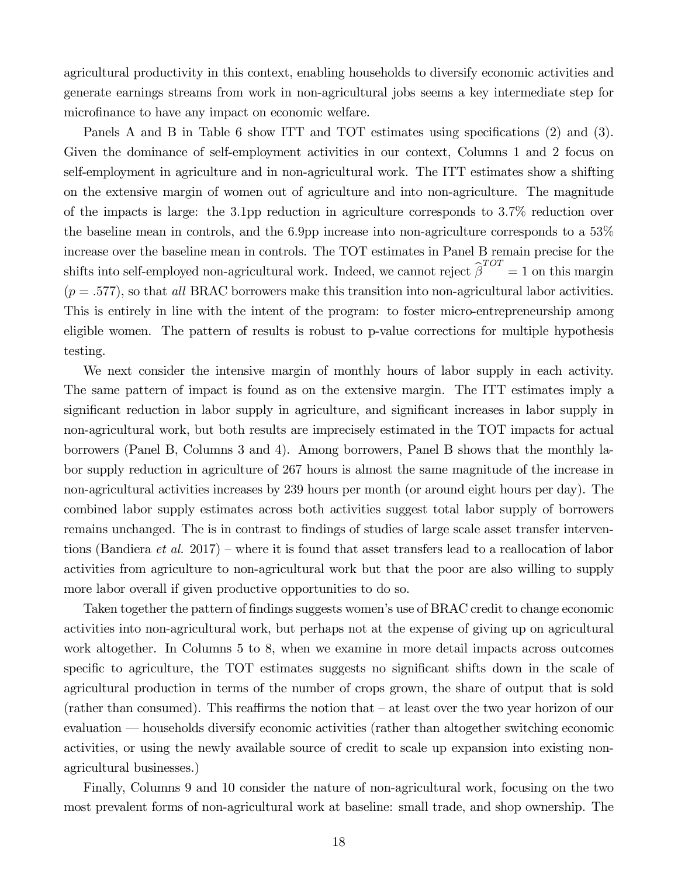agricultural productivity in this context, enabling households to diversify economic activities and generate earnings streams from work in non-agricultural jobs seems a key intermediate step for microfinance to have any impact on economic welfare.

Panels A and B in Table 6 show ITT and TOT estimates using specifications  $(2)$  and  $(3)$ . Given the dominance of self-employment activities in our context, Columns 1 and 2 focus on self-employment in agriculture and in non-agricultural work. The ITT estimates show a shifting on the extensive margin of women out of agriculture and into non-agriculture. The magnitude of the impacts is large: the 31pp reduction in agriculture corresponds to 37% reduction over the baseline mean in controls, and the 6.9pp increase into non-agriculture corresponds to a  $53\%$ increase over the baseline mean in controls. The TOT estimates in Panel B remain precise for the shifts into self-employed non-agricultural work. Indeed, we cannot reject  $\hat{\beta}^{TOT} = 1$  on this margin  $(p=.577)$ , so that *all* BRAC borrowers make this transition into non-agricultural labor activities. This is entirely in line with the intent of the program: to foster micro-entrepreneurship among eligible women. The pattern of results is robust to p-value corrections for multiple hypothesis testing.

We next consider the intensive margin of monthly hours of labor supply in each activity. The same pattern of impact is found as on the extensive margin. The ITT estimates imply a significant reduction in labor supply in agriculture, and significant increases in labor supply in non-agricultural work, but both results are imprecisely estimated in the TOT impacts for actual borrowers (Panel B, Columns 3 and 4). Among borrowers, Panel B shows that the monthly labor supply reduction in agriculture of 267 hours is almost the same magnitude of the increase in non-agricultural activities increases by 239 hours per month (or around eight hours per day). The combined labor supply estimates across both activities suggest total labor supply of borrowers remains unchanged. The is in contrast to findings of studies of large scale asset transfer interventions (Bandiera *et al.* 2017) – where it is found that asset transfers lead to a reallocation of labor activities from agriculture to non-agricultural work but that the poor are also willing to supply more labor overall if given productive opportunities to do so.

Taken together the pattern of findings suggests women's use of BRAC credit to change economic activities into non-agricultural work, but perhaps not at the expense of giving up on agricultural work altogether. In Columns 5 to 8, when we examine in more detail impacts across outcomes specific to agriculture, the TOT estimates suggests no significant shifts down in the scale of agricultural production in terms of the number of crops grown, the share of output that is sold (rather than consumed). This reaffirms the notion that  $-$  at least over the two year horizon of our evaluation — households diversify economic activities (rather than altogether switching economic activities, or using the newly available source of credit to scale up expansion into existing nonagricultural businesses.)

Finally, Columns 9 and 10 consider the nature of non-agricultural work, focusing on the two most prevalent forms of non-agricultural work at baseline: small trade, and shop ownership. The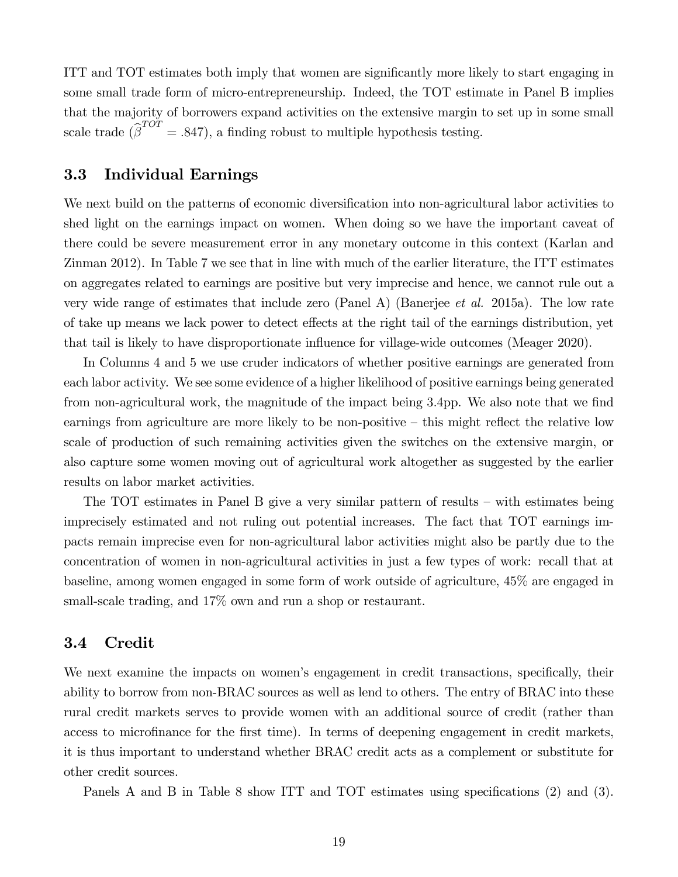ITT and TOT estimates both imply that women are significantly more likely to start engaging in some small trade form of micro-entrepreneurship. Indeed, the TOT estimate in Panel B implies that the majority of borrowers expand activities on the extensive margin to set up in some small scale trade  $(\hat{\beta}^{TOT} = .847)$ , a finding robust to multiple hypothesis testing.

## 3.3 Individual Earnings

We next build on the patterns of economic diversification into non-agricultural labor activities to shed light on the earnings impact on women. When doing so we have the important caveat of there could be severe measurement error in any monetary outcome in this context (Karlan and Zinman 2012). In Table 7 we see that in line with much of the earlier literature, the ITT estimates on aggregates related to earnings are positive but very imprecise and hence, we cannot rule out a very wide range of estimates that include zero (Panel A) (Banerjee *et al.* 2015a). The low rate of take up means we lack power to detect effects at the right tail of the earnings distribution, yet that tail is likely to have disproportionate influence for village-wide outcomes (Meager 2020).

In Columns 4 and 5 we use cruder indicators of whether positive earnings are generated from each labor activity. We see some evidence of a higher likelihood of positive earnings being generated from non-agricultural work, the magnitude of the impact being 3.4pp. We also note that we find earnings from agriculture are more likely to be non-positive – this might reflect the relative low scale of production of such remaining activities given the switches on the extensive margin, or also capture some women moving out of agricultural work altogether as suggested by the earlier results on labor market activities.

The TOT estimates in Panel B give a very similar pattern of results – with estimates being imprecisely estimated and not ruling out potential increases. The fact that TOT earnings impacts remain imprecise even for non-agricultural labor activities might also be partly due to the concentration of women in non-agricultural activities in just a few types of work: recall that at baseline, among women engaged in some form of work outside of agriculture, 45% are engaged in small-scale trading, and  $17\%$  own and run a shop or restaurant.

## 3.4 Credit

We next examine the impacts on women's engagement in credit transactions, specifically, their ability to borrow from non-BRAC sources as well as lend to others. The entry of BRAC into these rural credit markets serves to provide women with an additional source of credit (rather than access to microfinance for the first time). In terms of deepening engagement in credit markets, it is thus important to understand whether BRAC credit acts as a complement or substitute for other credit sources.

Panels A and B in Table 8 show ITT and TOT estimates using specifications  $(2)$  and  $(3)$ .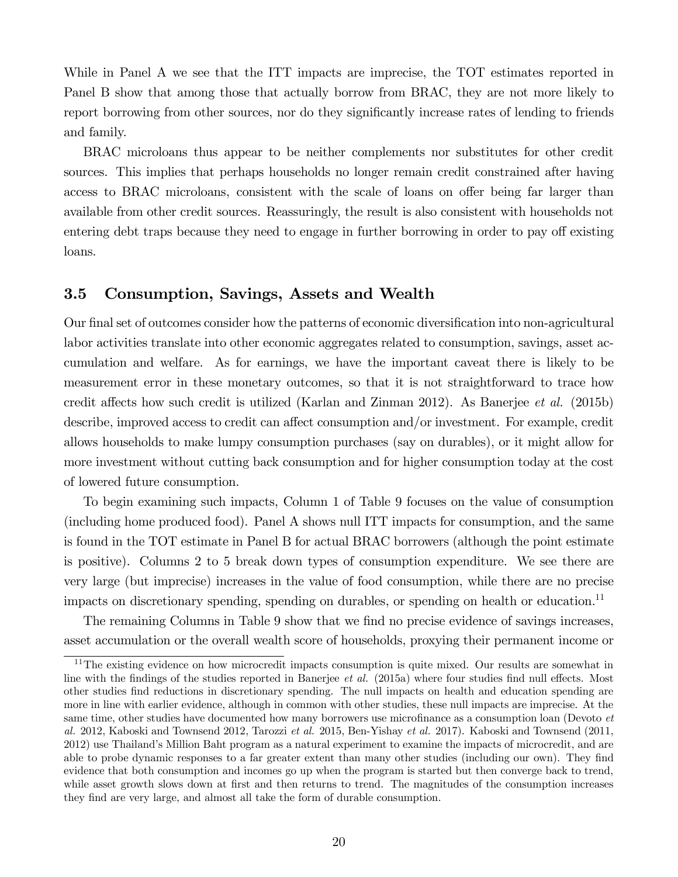While in Panel A we see that the ITT impacts are imprecise, the TOT estimates reported in Panel B show that among those that actually borrow from BRAC, they are not more likely to report borrowing from other sources, nor do they significantly increase rates of lending to friends and family.

BRAC microloans thus appear to be neither complements nor substitutes for other credit sources. This implies that perhaps households no longer remain credit constrained after having access to BRAC microloans, consistent with the scale of loans on offer being far larger than available from other credit sources. Reassuringly, the result is also consistent with households not entering debt traps because they need to engage in further borrowing in order to pay off existing loans.

## 3.5 Consumption, Savings, Assets and Wealth

Our final set of outcomes consider how the patterns of economic diversification into non-agricultural labor activities translate into other economic aggregates related to consumption, savings, asset accumulation and welfare. As for earnings, we have the important caveat there is likely to be measurement error in these monetary outcomes, so that it is not straightforward to trace how credit affects how such credit is utilized (Karlan and Zinman 2012). As Banerjee *et al.* (2015b) describe, improved access to credit can affect consumption and/or investment. For example, credit allows households to make lumpy consumption purchases (say on durables), or it might allow for more investment without cutting back consumption and for higher consumption today at the cost of lowered future consumption.

To begin examining such impacts, Column 1 of Table 9 focuses on the value of consumption (including home produced food). Panel A shows null ITT impacts for consumption, and the same is found in the TOT estimate in Panel B for actual BRAC borrowers (although the point estimate is positive). Columns 2 to 5 break down types of consumption expenditure. We see there are very large (but imprecise) increases in the value of food consumption, while there are no precise impacts on discretionary spending, spending on durables, or spending on health or education.<sup>11</sup>

The remaining Columns in Table 9 show that we find no precise evidence of savings increases, asset accumulation or the overall wealth score of households, proxying their permanent income or

 $11$ The existing evidence on how microcredit impacts consumption is quite mixed. Our results are somewhat in line with the findings of the studies reported in Banerjee *et al.* (2015a) where four studies find null effects. Most other studies find reductions in discretionary spending. The null impacts on health and education spending are more in line with earlier evidence, although in common with other studies, these null impacts are imprecise. At the same time, other studies have documented how many borrowers use microfinance as a consumption loan (Devoto *et al.* 2012, Kaboski and Townsend 2012, Tarozzi *et al.* 2015, Ben-Yishay *et al.* 2017). Kaboski and Townsend (2011, 2012) use Thailand's Million Baht program as a natural experiment to examine the impacts of microcredit, and are able to probe dynamic responses to a far greater extent than many other studies (including our own). They find evidence that both consumption and incomes go up when the program is started but then converge back to trend, while asset growth slows down at first and then returns to trend. The magnitudes of the consumption increases they find are very large, and almost all take the form of durable consumption.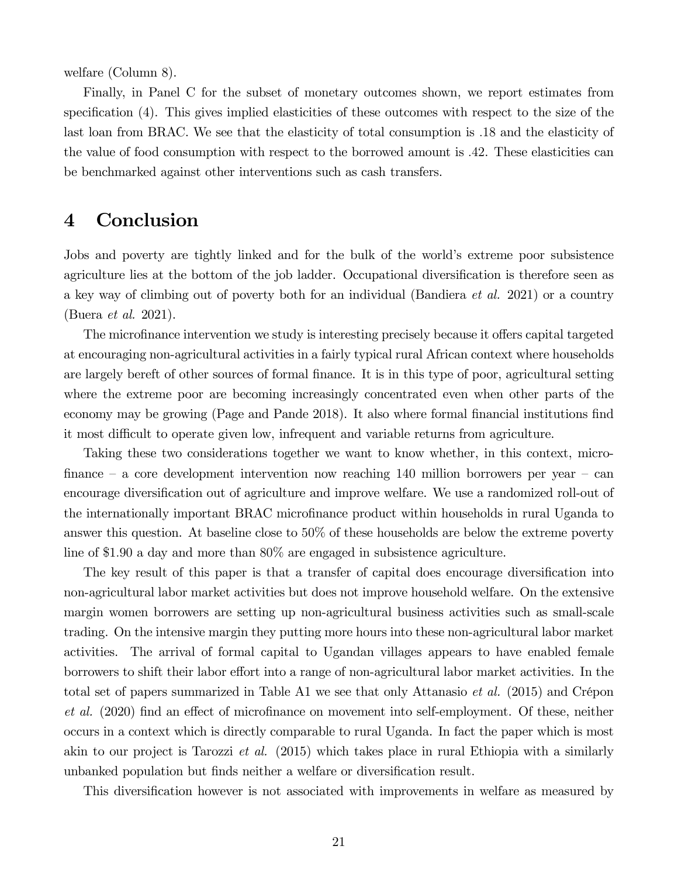welfare (Column 8).

Finally, in Panel C for the subset of monetary outcomes shown, we report estimates from specification  $(4)$ . This gives implied elasticities of these outcomes with respect to the size of the last loan from BRAC. We see that the elasticity of total consumption is 18 and the elasticity of the value of food consumption with respect to the borrowed amount is 42. These elasticities can be benchmarked against other interventions such as cash transfers.

# 4 Conclusion

Jobs and poverty are tightly linked and for the bulk of the world's extreme poor subsistence agriculture lies at the bottom of the job ladder. Occupational diversification is therefore seen as a key way of climbing out of poverty both for an individual (Bandiera *et al.* 2021) or a country (Buera *et al.* 2021).

The microfinance intervention we study is interesting precisely because it offers capital targeted at encouraging non-agricultural activities in a fairly typical rural African context where households are largely bereft of other sources of formal finance. It is in this type of poor, agricultural setting where the extreme poor are becoming increasingly concentrated even when other parts of the economy may be growing (Page and Pande 2018). It also where formal financial institutions find it most difficult to operate given low, infrequent and variable returns from agriculture.

Taking these two considerations together we want to know whether, in this context, micro finance – a core development intervention now reaching  $140$  million borrowers per year – can encourage diversification out of agriculture and improve welfare. We use a randomized roll-out of the internationally important BRAC microfinance product within households in rural Uganda to answer this question. At baseline close to 50% of these households are below the extreme poverty line of \$1.90 a day and more than 80% are engaged in subsistence agriculture.

The key result of this paper is that a transfer of capital does encourage diversification into non-agricultural labor market activities but does not improve household welfare. On the extensive margin women borrowers are setting up non-agricultural business activities such as small-scale trading. On the intensive margin they putting more hours into these non-agricultural labor market activities. The arrival of formal capital to Ugandan villages appears to have enabled female borrowers to shift their labor effort into a range of non-agricultural labor market activities. In the total set of papers summarized in Table A1 we see that only Attanasio *et al.* (2015) and Crépon *et al.* (2020) find an effect of microfinance on movement into self-employment. Of these, neither occurs in a context which is directly comparable to rural Uganda. In fact the paper which is most akin to our project is Tarozzi *et al.* (2015) which takes place in rural Ethiopia with a similarly unbanked population but finds neither a welfare or diversification result.

This diversification however is not associated with improvements in welfare as measured by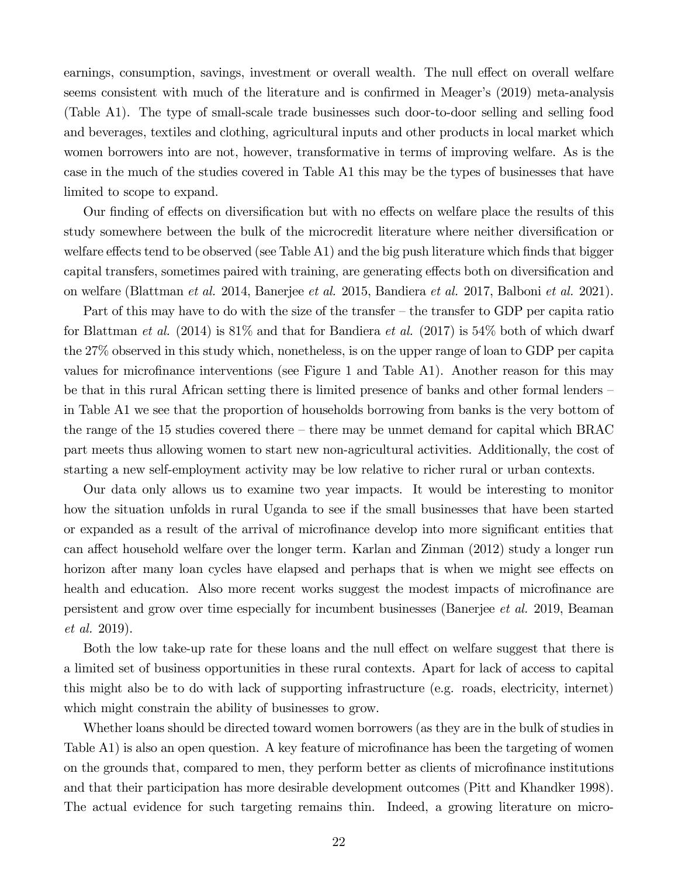earnings, consumption, savings, investment or overall wealth. The null effect on overall welfare seems consistent with much of the literature and is confirmed in Meager's  $(2019)$  meta-analysis (Table A1). The type of small-scale trade businesses such door-to-door selling and selling food and beverages, textiles and clothing, agricultural inputs and other products in local market which women borrowers into are not, however, transformative in terms of improving welfare. As is the case in the much of the studies covered in Table A1 this may be the types of businesses that have limited to scope to expand.

Our finding of effects on diversification but with no effects on welfare place the results of this study somewhere between the bulk of the microcredit literature where neither diversification or welfare effects tend to be observed (see Table A1) and the big push literature which finds that bigger capital transfers, sometimes paired with training, are generating effects both on diversification and on welfare (Blattman *et al.* 2014, Banerjee *et al.* 2015, Bandiera *et al.* 2017, Balboni *et al.* 2021).

Part of this may have to do with the size of the transfer – the transfer to GDP per capita ratio for Blattman *et al.* (2014) is 81% and that for Bandiera *et al.* (2017) is 54% both of which dwarf the 27% observed in this study which, nonetheless, is on the upper range of loan to GDP per capita values for microfinance interventions (see Figure 1 and Table A1). Another reason for this may be that in this rural African setting there is limited presence of banks and other formal lenders – in Table A1 we see that the proportion of households borrowing from banks is the very bottom of the range of the 15 studies covered there – there may be unmet demand for capital which BRAC part meets thus allowing women to start new non-agricultural activities. Additionally, the cost of starting a new self-employment activity may be low relative to richer rural or urban contexts.

Our data only allows us to examine two year impacts. It would be interesting to monitor how the situation unfolds in rural Uganda to see if the small businesses that have been started or expanded as a result of the arrival of microfinance develop into more significant entities that can affect household welfare over the longer term. Karlan and Zinman (2012) study a longer run horizon after many loan cycles have elapsed and perhaps that is when we might see effects on health and education. Also more recent works suggest the modest impacts of microfinance are persistent and grow over time especially for incumbent businesses (Banerjee *et al.* 2019, Beaman *et al.* 2019).

Both the low take-up rate for these loans and the null effect on welfare suggest that there is a limited set of business opportunities in these rural contexts. Apart for lack of access to capital this might also be to do with lack of supporting infrastructure (e.g. roads, electricity, internet) which might constrain the ability of businesses to grow.

Whether loans should be directed toward women borrowers (as they are in the bulk of studies in Table A1) is also an open question. A key feature of microfinance has been the targeting of women on the grounds that, compared to men, they perform better as clients of microfinance institutions and that their participation has more desirable development outcomes (Pitt and Khandker 1998). The actual evidence for such targeting remains thin. Indeed, a growing literature on micro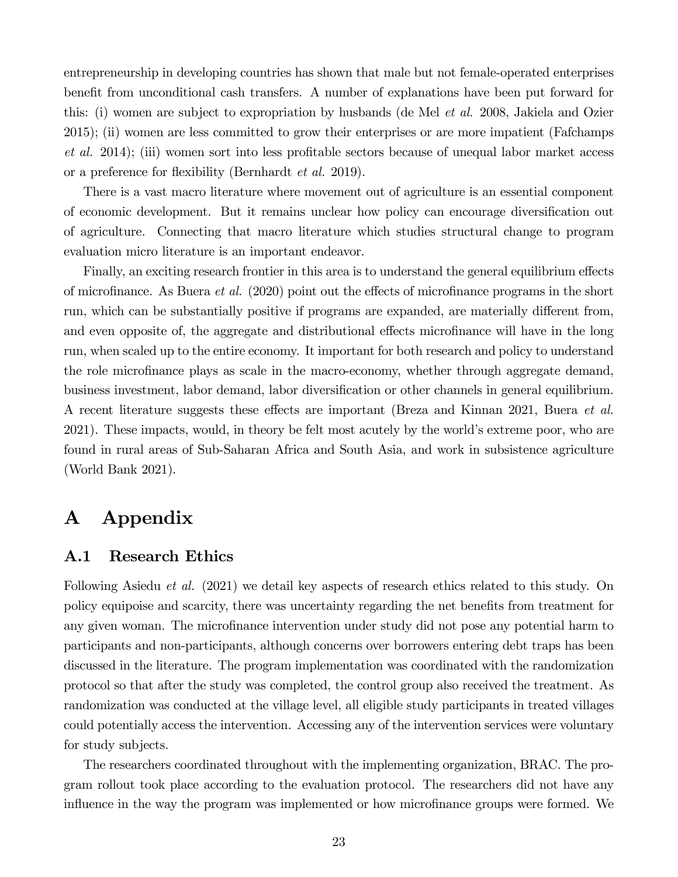entrepreneurship in developing countries has shown that male but not female-operated enterprises benefit from unconditional cash transfers. A number of explanations have been put forward for this: (i) women are subject to expropriation by husbands (de Mel *et al.* 2008, Jakiela and Ozier 2015); (ii) women are less committed to grow their enterprises or are more impatient (Fafchamps *et al.* 2014); (iii) women sort into less profitable sectors because of unequal labor market access or a preference for flexibility (Bernhardt *et al.* 2019).

There is a vast macro literature where movement out of agriculture is an essential component of economic development. But it remains unclear how policy can encourage diversification out of agriculture. Connecting that macro literature which studies structural change to program evaluation micro literature is an important endeavor.

Finally, an exciting research frontier in this area is to understand the general equilibrium effects of microfinance. As Buera *et al.* (2020) point out the effects of microfinance programs in the short run, which can be substantially positive if programs are expanded, are materially different from, and even opposite of, the aggregate and distributional effects microfinance will have in the long run, when scaled up to the entire economy. It important for both research and policy to understand the role microfinance plays as scale in the macro-economy, whether through aggregate demand, business investment, labor demand, labor diversification or other channels in general equilibrium. A recent literature suggests these effects are important (Breza and Kinnan 2021, Buera *et al.*) 2021). These impacts, would, in theory be felt most acutely by the world's extreme poor, who are found in rural areas of Sub-Saharan Africa and South Asia, and work in subsistence agriculture (World Bank 2021).

# A Appendix

## A.1 Research Ethics

Following Asiedu *et al.* (2021) we detail key aspects of research ethics related to this study. On policy equipoise and scarcity, there was uncertainty regarding the net benefits from treatment for any given woman. The microfinance intervention under study did not pose any potential harm to participants and non-participants, although concerns over borrowers entering debt traps has been discussed in the literature. The program implementation was coordinated with the randomization protocol so that after the study was completed, the control group also received the treatment. As randomization was conducted at the village level, all eligible study participants in treated villages could potentially access the intervention. Accessing any of the intervention services were voluntary for study subjects.

The researchers coordinated throughout with the implementing organization, BRAC. The program rollout took place according to the evaluation protocol. The researchers did not have any influence in the way the program was implemented or how microfinance groups were formed. We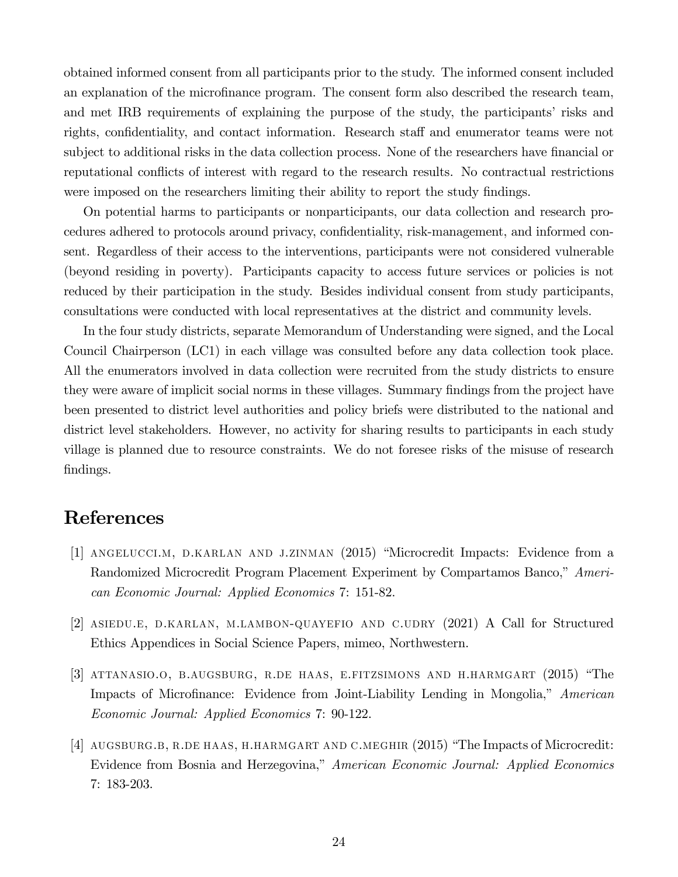obtained informed consent from all participants prior to the study. The informed consent included an explanation of the microfinance program. The consent form also described the research team, and met IRB requirements of explaining the purpose of the study, the participants' risks and rights, confidentiality, and contact information. Research staff and enumerator teams were not subject to additional risks in the data collection process. None of the researchers have financial or reputational conflicts of interest with regard to the research results. No contractual restrictions were imposed on the researchers limiting their ability to report the study findings.

On potential harms to participants or nonparticipants, our data collection and research procedures adhered to protocols around privacy, confidentiality, risk-management, and informed consent. Regardless of their access to the interventions, participants were not considered vulnerable (beyond residing in poverty). Participants capacity to access future services or policies is not reduced by their participation in the study. Besides individual consent from study participants, consultations were conducted with local representatives at the district and community levels.

In the four study districts, separate Memorandum of Understanding were signed, and the Local Council Chairperson (LC1) in each village was consulted before any data collection took place. All the enumerators involved in data collection were recruited from the study districts to ensure they were aware of implicit social norms in these villages. Summary findings from the project have been presented to district level authorities and policy briefs were distributed to the national and district level stakeholders. However, no activity for sharing results to participants in each study village is planned due to resource constraints. We do not foresee risks of the misuse of research findings.

# References

- [1] angelucci.m, d.karlan and j.zinman (2015) "Microcredit Impacts: Evidence from a Randomized Microcredit Program Placement Experiment by Compartamos Banco," *American Economic Journal: Applied Economics* 7: 151-82.
- [2] asiedu.e, d.karlan, m.lambon-quayefio and c.udry (2021) A Call for Structured Ethics Appendices in Social Science Papers, mimeo, Northwestern.
- [3] attanasio.o, b.augsburg, r.de haas, e.fitzsimons and h.harmgart (2015) "The Impacts of Microfinance: Evidence from Joint-Liability Lending in Mongolia," *American Economic Journal: Applied Economics* 7: 90-122.
- [4] AUGSBURG.B, R.DE HAAS, H.HARMGART AND C.MEGHIR (2015) "The Impacts of Microcredit: Evidence from Bosnia and Herzegovina," *American Economic Journal: Applied Economics* 7: 183-203.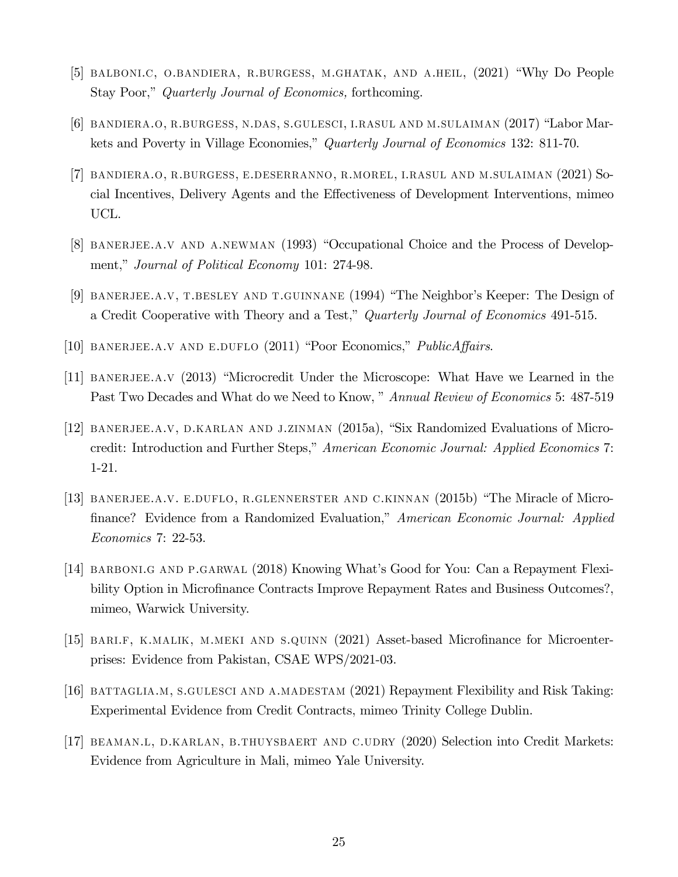- [5] balboni.c, o.bandiera, r.burgess, m.ghatak, and a.heil, (2021) "Why Do People Stay Poor," *Quarterly Journal of Economics,* forthcoming.
- [6] bandiera.o, r.burgess, n.das, s.gulesci, i.rasul and m.sulaiman (2017) "Labor Markets and Poverty in Village Economies," *Quarterly Journal of Economics* 132: 811-70.
- [7] bandiera.o, r.burgess, e.deserranno, r.morel, i.rasul and m.sulaiman (2021) Social Incentives, Delivery Agents and the Effectiveness of Development Interventions, mimeo UCL.
- [8] banerjee.a.v and a.newman (1993) "Occupational Choice and the Process of Development," *Journal of Political Economy* 101: 274-98.
- [9] banerjee.a.v, t.besley and t.guinnane (1994) "The Neighbor's Keeper: The Design of a Credit Cooperative with Theory and a Test," *Quarterly Journal of Economics* 491-515.
- [10] BANERJEE.A.V AND E.DUFLO (2011) "Poor Economics," *PublicAffairs*.
- [11] banerjee.a.v (2013) "Microcredit Under the Microscope: What Have we Learned in the Past Two Decades and What do we Need to Know, " *Annual Review of Economics* 5: 487-519
- [12] banerjee.a.v, d.karlan and j.zinman (2015a), "Six Randomized Evaluations of Microcredit: Introduction and Further Steps," *American Economic Journal: Applied Economics* 7: 1-21.
- [13] banerjee.a.v. e.duflo, r.glennerster and c.kinnan (2015b) "The Miracle of Micro- …nance? Evidence from a Randomized Evaluation," *American Economic Journal: Applied Economics* 7: 22-53.
- [14] BARBONI.G AND P.GARWAL (2018) Knowing What's Good for You: Can a Repayment Flexibility Option in Microfinance Contracts Improve Repayment Rates and Business Outcomes?, mimeo, Warwick University.
- [15] BARI.F, K.MALIK, M.MEKI AND S.QUINN (2021) Asset-based Microfinance for Microenterprises: Evidence from Pakistan, CSAE WPS/2021-03.
- [16] battaglia.m, s.gulesci and a.madestam (2021) Repayment Flexibility and Risk Taking: Experimental Evidence from Credit Contracts, mimeo Trinity College Dublin.
- [17] beaman.l, d.karlan, b.thuysbaert and c.udry (2020) Selection into Credit Markets: Evidence from Agriculture in Mali, mimeo Yale University.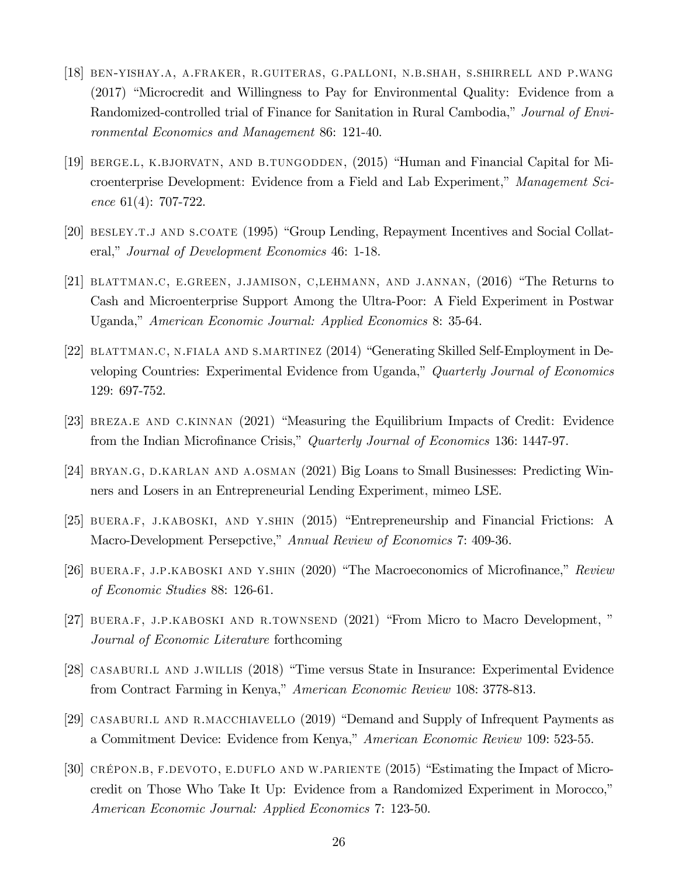- [18] ben-yishay.a, a.fraker, r.guiteras, g.palloni, n.b.shah, s.shirrell and p.wang (2017) "Microcredit and Willingness to Pay for Environmental Quality: Evidence from a Randomized-controlled trial of Finance for Sanitation in Rural Cambodia," *Journal of Environmental Economics and Management* 86: 121-40.
- [19] berge.l, k.bjorvatn, and b.tungodden, (2015) "Human and Financial Capital for Microenterprise Development: Evidence from a Field and Lab Experiment," *Management Science* 61(4): 707-722.
- [20] BESLEY.T.J AND S.COATE (1995) "Group Lending, Repayment Incentives and Social Collateral," *Journal of Development Economics* 46: 1-18.
- [21] blattman.c, e.green, j.jamison, c,lehmann, and j.annan, (2016) "The Returns to Cash and Microenterprise Support Among the Ultra-Poor: A Field Experiment in Postwar Uganda," *American Economic Journal: Applied Economics* 8: 35-64.
- [22] blattman.c, n.fiala and s.martinez (2014) "Generating Skilled Self-Employment in Developing Countries: Experimental Evidence from Uganda," *Quarterly Journal of Economics* 129: 697-752.
- [23] breza.e and c.kinnan (2021) "Measuring the Equilibrium Impacts of Credit: Evidence from the Indian Microfinance Crisis," *Quarterly Journal of Economics* 136: 1447-97.
- [24] BRYAN.G, D.KARLAN AND A.OSMAN (2021) Big Loans to Small Businesses: Predicting Winners and Losers in an Entrepreneurial Lending Experiment, mimeo LSE.
- [25] buera.f, j.kaboski, and y.shin (2015) "Entrepreneurship and Financial Frictions: A Macro-Development Persepctive," *Annual Review of Economics* 7: 409-36.
- [26] BUERA.F, J.P.KABOSKI AND Y.SHIN (2020) "The Macroeconomics of Microfinance," *Review of Economic Studies* 88: 126-61.
- [27] BUERA.F, J.P.KABOSKI AND R.TOWNSEND (2021) "From Micro to Macro Development," *Journal of Economic Literature* forthcoming
- [28] casaburi.l and j.willis (2018) "Time versus State in Insurance: Experimental Evidence from Contract Farming in Kenya," *American Economic Review* 108: 3778-813.
- [29] CASABURI.L AND R.MACCHIAVELLO (2019) "Demand and Supply of Infrequent Payments as a Commitment Device: Evidence from Kenya," *American Economic Review* 109: 523-55.
- [30] crépon.b, f.devoto, e.duflo and w.pariente (2015) "Estimating the Impact of Microcredit on Those Who Take It Up: Evidence from a Randomized Experiment in Morocco," *American Economic Journal: Applied Economics* 7: 123-50.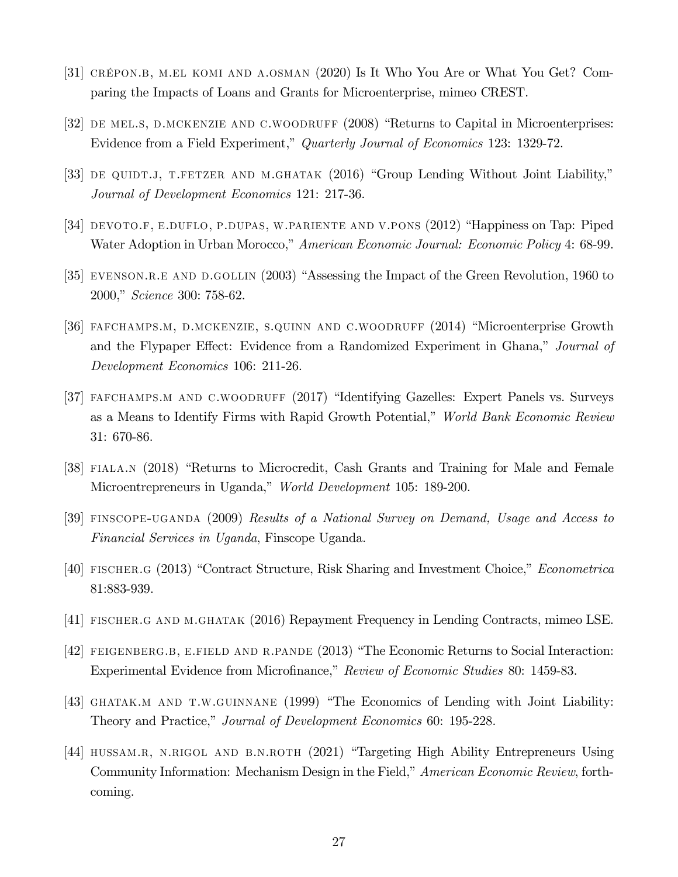- [31] crépon.b, m.el komi and a.osman (2020) Is It Who You Are or What You Get? Comparing the Impacts of Loans and Grants for Microenterprise, mimeo CREST.
- [32] DE MELS, D.MCKENZIE AND C.WOODRUFF (2008) "Returns to Capital in Microenterprises: Evidence from a Field Experiment," *Quarterly Journal of Economics* 123: 1329-72.
- [33] DE QUIDT.J, T.FETZER AND M.GHATAK (2016) "Group Lending Without Joint Liability," *Journal of Development Economics* 121: 217-36.
- [34] DEVOTO.F, E.DUFLO, P.DUPAS, W.PARIENTE AND V.PONS (2012) "Happiness on Tap: Piped Water Adoption in Urban Morocco," *American Economic Journal: Economic Policy* 4: 68-99.
- [35] EVENSON.R.E AND D.GOLLIN (2003) "Assessing the Impact of the Green Revolution, 1960 to 2000," *Science* 300: 758-62.
- [36] fafchamps.m, d.mckenzie, s.quinn and c.woodruff (2014) "Microenterprise Growth and the Flypaper Effect: Evidence from a Randomized Experiment in Ghana," *Journal of Development Economics* 106: 211-26.
- [37] FAFCHAMPS.M AND C.WOODRUFF (2017) "Identifying Gazelles: Expert Panels vs. Surveys as a Means to Identify Firms with Rapid Growth Potential," *World Bank Economic Review* 31: 670-86.
- [38] fiala.n (2018) "Returns to Microcredit, Cash Grants and Training for Male and Female Microentrepreneurs in Uganda," *World Development* 105: 189-200.
- [39] finscope-uganda (2009) *Results of a National Survey on Demand, Usage and Access to Financial Services in Uganda*, Finscope Uganda.
- [40] fischer.g (2013) "Contract Structure, Risk Sharing and Investment Choice," *Econometrica* 81:883-939.
- [41] fischer.g and m.ghatak (2016) Repayment Frequency in Lending Contracts, mimeo LSE.
- [42] FEIGENBERG.B, E.FIELD AND R.PANDE (2013) "The Economic Returns to Social Interaction: Experimental Evidence from Microfinance," *Review of Economic Studies* 80: 1459-83.
- [43] GHATAK.M AND T.W.GUINNANE (1999) "The Economics of Lending with Joint Liability: Theory and Practice," *Journal of Development Economics* 60: 195-228.
- [44] hussam.r, n.rigol and b.n.roth (2021) "Targeting High Ability Entrepreneurs Using Community Information: Mechanism Design in the Field," *American Economic Review*, forthcoming.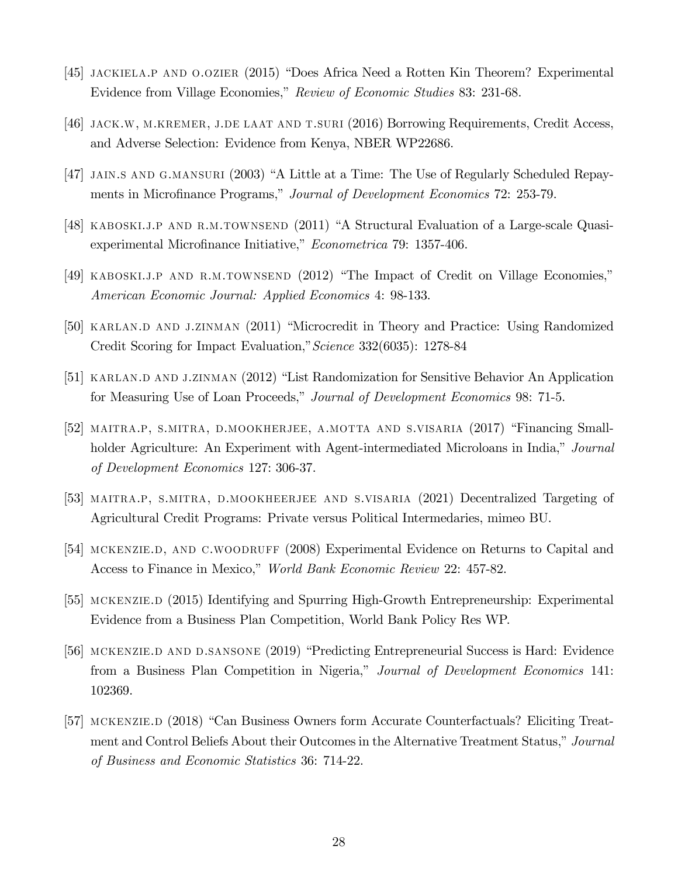- [45] jackiela.p and o.ozier (2015) "Does Africa Need a Rotten Kin Theorem? Experimental Evidence from Village Economies," *Review of Economic Studies* 83: 231-68.
- [46] jack.w, m.kremer, j.de laat and t.suri (2016) Borrowing Requirements, Credit Access, and Adverse Selection: Evidence from Kenya, NBER WP22686.
- [47] jain.s and g.mansuri (2003) "A Little at a Time: The Use of Regularly Scheduled Repayments in Microfinance Programs," *Journal of Development Economics* 72: 253-79.
- [48] kaboski.j.p and r.m.townsend (2011) "A Structural Evaluation of a Large-scale Quasiexperimental Microfinance Initiative," *Econometrica* 79: 1357-406.
- [49] kaboski.j.p and r.m.townsend (2012) "The Impact of Credit on Village Economies," *American Economic Journal: Applied Economics* 4: 98-133.
- [50] KARLAN.D AND J.ZINMAN (2011) "Microcredit in Theory and Practice: Using Randomized Credit Scoring for Impact Evaluation,"*Science* 332(6035): 1278-84
- [51] KARLAN.D AND J.ZINMAN (2012) "List Randomization for Sensitive Behavior An Application for Measuring Use of Loan Proceeds," *Journal of Development Economics* 98: 71-5.
- [52] maitra.p, s.mitra, d.mookherjee, a.motta and s.visaria (2017) "Financing Smallholder Agriculture: An Experiment with Agent-intermediated Microloans in India," *Journal of Development Economics* 127: 306-37.
- [53] maitra.p, s.mitra, d.mookheerjee and s.visaria (2021) Decentralized Targeting of Agricultural Credit Programs: Private versus Political Intermedaries, mimeo BU.
- [54] MCKENZIE.D, AND C.WOODRUFF (2008) Experimental Evidence on Returns to Capital and Access to Finance in Mexico," *World Bank Economic Review* 22: 457-82.
- [55] mckenzie.d (2015) Identifying and Spurring High-Growth Entrepreneurship: Experimental Evidence from a Business Plan Competition, World Bank Policy Res WP.
- [56] MCKENZIE.D AND D.SANSONE (2019) "Predicting Entrepreneurial Success is Hard: Evidence from a Business Plan Competition in Nigeria," *Journal of Development Economics* 141: 102369.
- [57] mckenzie.d (2018) "Can Business Owners form Accurate Counterfactuals? Eliciting Treatment and Control Beliefs About their Outcomes in the Alternative Treatment Status," *Journal of Business and Economic Statistics* 36: 714-22.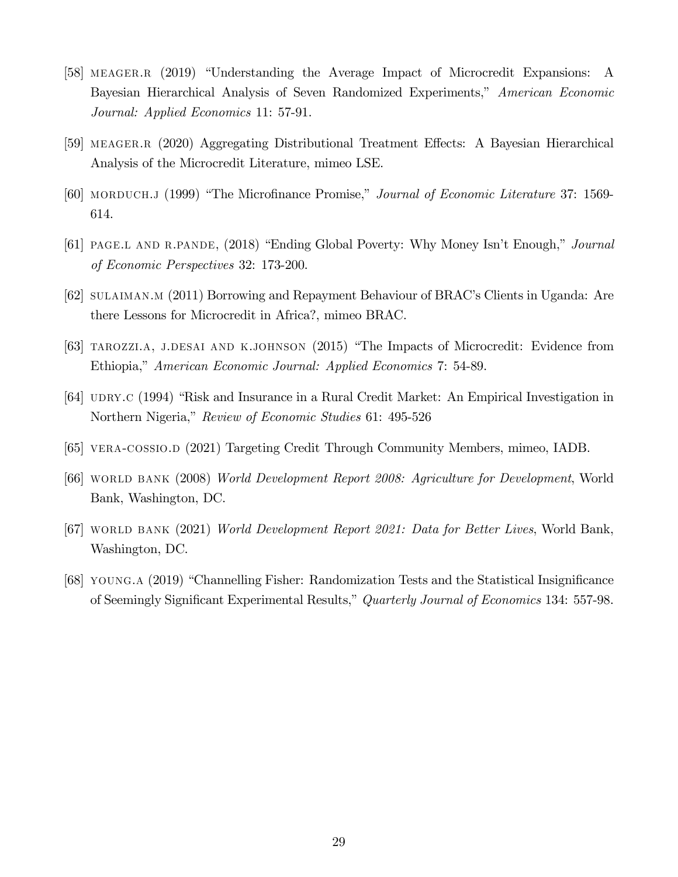- [58] MEAGER.R (2019) "Understanding the Average Impact of Microcredit Expansions: A Bayesian Hierarchical Analysis of Seven Randomized Experiments," *American Economic Journal: Applied Economics* 11: 57-91.
- [59] MEAGER.R (2020) Aggregating Distributional Treatment Effects: A Bayesian Hierarchical Analysis of the Microcredit Literature, mimeo LSE.
- [60] MORDUCH.J (1999) "The Microfinance Promise," *Journal of Economic Literature* 37: 1569-614.
- [61] page.l and r.pande, (2018) "Ending Global Poverty: Why Money Isn't Enough," *Journal of Economic Perspectives* 32: 173-200.
- [62] sulaiman.m (2011) Borrowing and Repayment Behaviour of BRAC's Clients in Uganda: Are there Lessons for Microcredit in Africa?, mimeo BRAC.
- [63] TAROZZI.A, J.DESAI AND K.JOHNSON (2015) "The Impacts of Microcredit: Evidence from Ethiopia," *American Economic Journal: Applied Economics* 7: 54-89.
- [64] UDRY.C (1994) "Risk and Insurance in a Rural Credit Market: An Empirical Investigation in Northern Nigeria," *Review of Economic Studies* 61: 495-526
- [65] vera-cossio.d (2021) Targeting Credit Through Community Members, mimeo, IADB.
- [66] world bank (2008) *World Development Report 2008: Agriculture for Development*, World Bank, Washington, DC.
- [67] world bank (2021) *World Development Report 2021: Data for Better Lives*, World Bank, Washington, DC.
- [68] young.a (2019) "Channelling Fisher: Randomization Tests and the Statistical Insignificance of Seemingly Significant Experimental Results," *Quarterly Journal of Economics* 134: 557-98.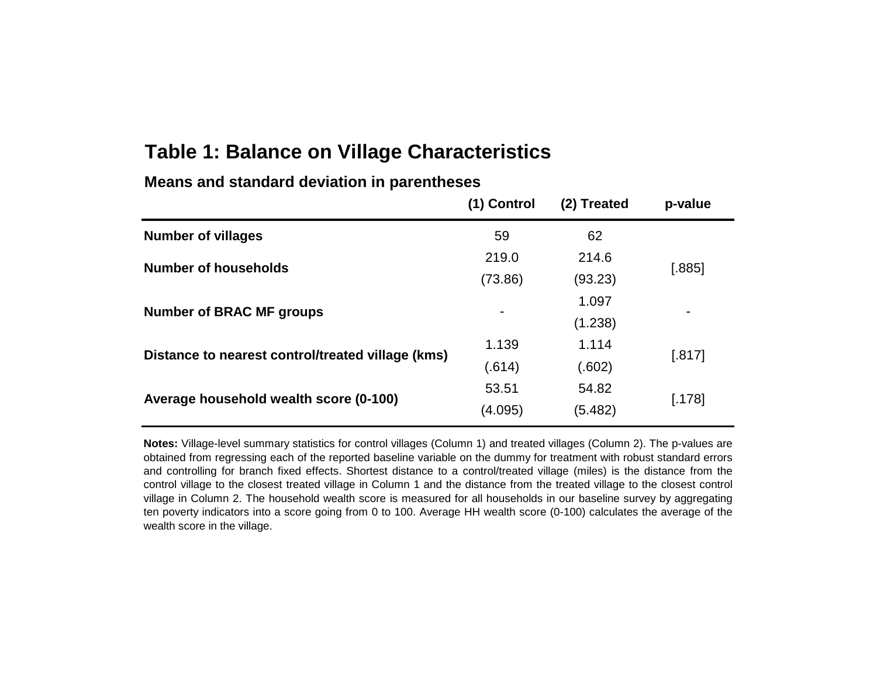# **Table 1: Balance on Village Characteristics**

|                                                   | (1) Control | (2) Treated | p-value  |  |
|---------------------------------------------------|-------------|-------------|----------|--|
| <b>Number of villages</b>                         | 59          | 62          |          |  |
| <b>Number of households</b>                       | 219.0       | 214.6       |          |  |
|                                                   | (73.86)     | (93.23)     | $[.885]$ |  |
| <b>Number of BRAC MF groups</b>                   |             | 1.097       |          |  |
|                                                   | ۰           | (1.238)     |          |  |
| Distance to nearest control/treated village (kms) | 1.139       | 1.114       | [.817]   |  |
|                                                   | (.614)      | (.602)      |          |  |
| Average household wealth score (0-100)            | 53.51       | 54.82       | [.178]   |  |
|                                                   | (4.095)     | (5.482)     |          |  |

**Means and standard deviation in parentheses**

**Notes:** Village-level summary statistics for control villages (Column 1) and treated villages (Column 2). The p-values are obtained from regressing each of the reported baseline variable on the dummy for treatment with robust standard errors and controlling for branch fixed effects. Shortest distance to a control/treated village (miles) is the distance from the control village to the closest treated village in Column 1 and the distance from the treated village to the closest control village in Column 2. The household wealth score is measured for all households in our baseline survey by aggregating ten poverty indicators into a score going from 0 to 100. Average HH wealth score (0-100) calculates the average of the wealth score in the village.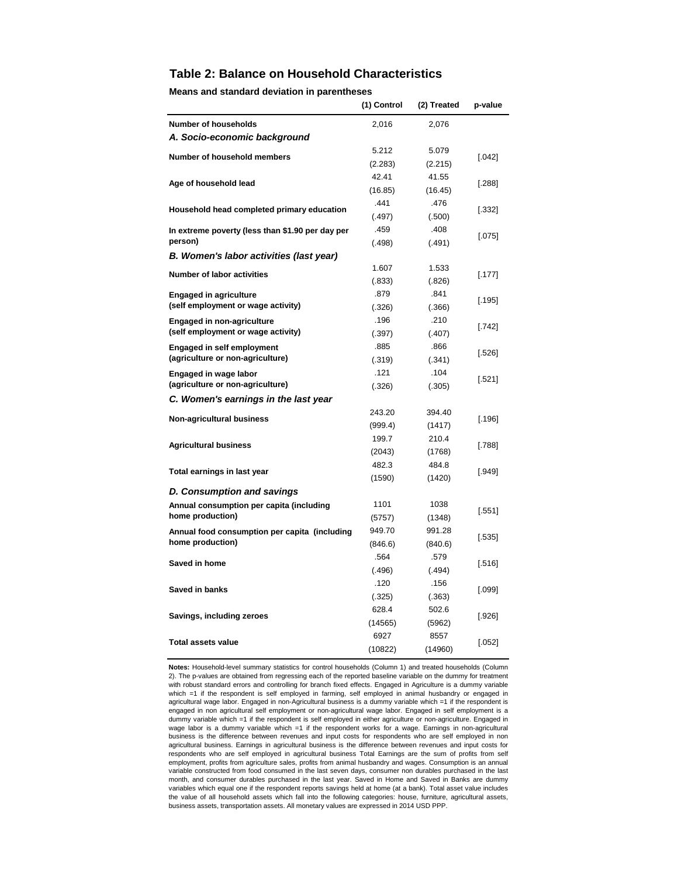#### **Table 2: Balance on Household Characteristics**

**Means and standard deviation in parentheses**

|                                                  | (1) Control     | (2) Treated     | p-value  |  |
|--------------------------------------------------|-----------------|-----------------|----------|--|
| <b>Number of households</b>                      | 2,016           | 2,076           |          |  |
| A. Socio-economic background                     |                 |                 |          |  |
|                                                  | 5.212           | 5.079           |          |  |
| Number of household members                      | (2.283)         | (2.215)         | $[.042]$ |  |
|                                                  | 42.41           | 41.55           |          |  |
| Age of household lead                            | (16.85)         | (16.45)         | [.288]   |  |
| Household head completed primary education       | .441            | .476            | $[.332]$ |  |
|                                                  | (.497)          | (.500)          |          |  |
| In extreme poverty (less than \$1.90 per day per | .459            | .408            | $[.075]$ |  |
| person)                                          | (.498)          | (.491)          |          |  |
| B. Women's labor activities (last year)          |                 |                 |          |  |
| Number of labor activities                       | 1.607           | 1.533           | [.177]   |  |
|                                                  | (.833)          | (.826)          |          |  |
| <b>Engaged in agriculture</b>                    | .879            | .841            | $[.195]$ |  |
| (self employment or wage activity)               | (.326)          | (.366)          |          |  |
| <b>Engaged in non-agriculture</b>                | .196            | .210            | $[.742]$ |  |
| (self employment or wage activity)               | (.397)          | (.407)          |          |  |
| <b>Engaged in self employment</b>                | .885            | .866            | $[.526]$ |  |
| (agriculture or non-agriculture)                 | (.319)          | (.341)          |          |  |
| Engaged in wage labor                            | .121            | .104            | [.521]   |  |
| (agriculture or non-agriculture)                 | (.326)          | (.305)          |          |  |
| C. Women's earnings in the last year             |                 |                 |          |  |
| Non-agricultural business                        | 243.20          | 394.40          | [.196]   |  |
|                                                  | (999.4)         | (1417)          |          |  |
| <b>Agricultural business</b>                     | 199.7           | 210.4           | $[.788]$ |  |
|                                                  | (2043)<br>482.3 | (1768)<br>484.8 |          |  |
| Total earnings in last year                      | (1590)          | (1420)          | [.949]   |  |
| D. Consumption and savings                       |                 |                 |          |  |
| Annual consumption per capita (including         | 1101            | 1038            |          |  |
| home production)                                 | (5757)          | (1348)          | [.551]   |  |
| Annual food consumption per capita (including    | 949.70          | 991.28          |          |  |
| home production)                                 | (846.6)         | (840.6)         | $[.535]$ |  |
|                                                  | .564            | .579            |          |  |
| Saved in home                                    | (.496)          | (.494)          | [.516]   |  |
|                                                  | .120            | .156            |          |  |
| Saved in banks                                   | (.325)          | (.363)          | $[.099]$ |  |
|                                                  | 628.4           | 502.6           |          |  |
| Savings, including zeroes                        | (14565)         | (5962)          | $[.926]$ |  |
|                                                  | 6927            | 8557            |          |  |
| <b>Total assets value</b>                        | (10822)         | (14960)         | $[.052]$ |  |

**Notes:** Household-level summary statistics for control households (Column 1) and treated households (Column 2). The p-values are obtained from regressing each of the reported baseline variable on the dummy for treatment with robust standard errors and controlling for branch fixed effects. Engaged in Agriculture is a dummy variable which =1 if the respondent is self employed in farming, self employed in animal husbandry or engaged in agricultural wage labor. Engaged in non-Agricultural business is a dummy variable which =1 if the respondent is engaged in non agricultural self employment or non-agricultural wage labor. Engaged in self employment is a dummy variable which =1 if the respondent is self employed in either agriculture or non-agriculture. Engaged in wage labor is a dummy variable which =1 if the respondent works for a wage. Earnings in non-agricultural business is the difference between revenues and input costs for respondents who are self employed in non agricultural business. Earnings in agricultural business is the difference between revenues and input costs for respondents who are self employed in agricultural business Total Earnings are the sum of profits from self employment, profits from agriculture sales, profits from animal husbandry and wages. Consumption is an annual variable constructed from food consumed in the last seven days, consumer non durables purchased in the last month, and consumer durables purchased in the last year. Saved in Home and Saved in Banks are dummy variables which equal one if the respondent reports savings held at home (at a bank). Total asset value includes the value of all household assets which fall into the following categories: house, furniture, agricultural assets, business assets, transportation assets. All monetary values are expressed in 2014 USD PPP.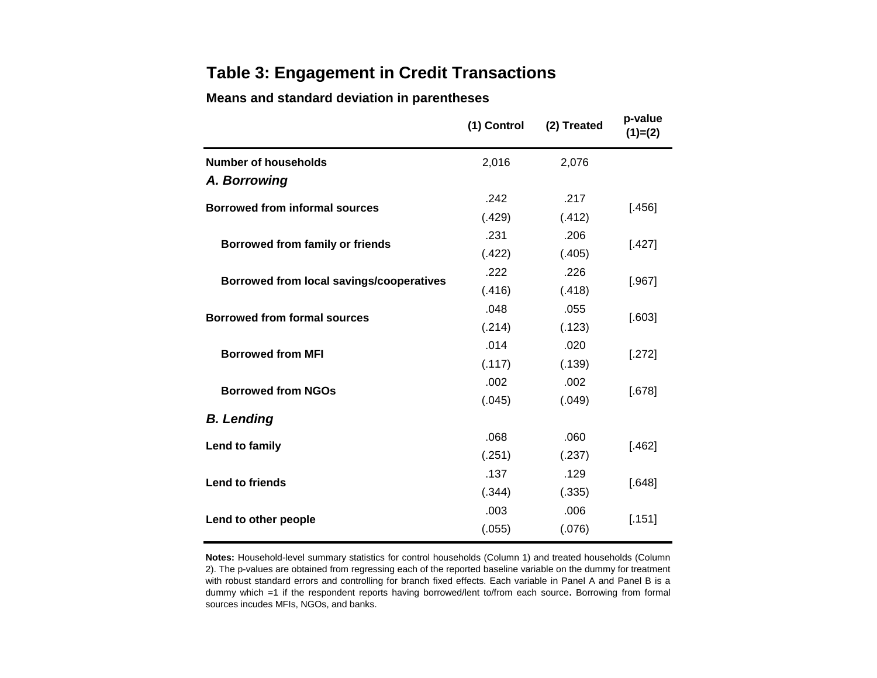# **Table 3: Engagement in Credit Transactions**

## **Means and standard deviation in parentheses**

|                                          | (1) Control | (2) Treated | p-value<br>$(1)=(2)$ |  |
|------------------------------------------|-------------|-------------|----------------------|--|
| Number of households                     | 2,016       | 2,076       |                      |  |
| A. Borrowing                             |             |             |                      |  |
| <b>Borrowed from informal sources</b>    | .242        | .217        | [.456]               |  |
|                                          | (.429)      | (.412)      |                      |  |
| <b>Borrowed from family or friends</b>   | .231        | .206        | [.427]               |  |
|                                          | (.422)      | (.405)      |                      |  |
| Borrowed from local savings/cooperatives | .222        | .226        | [.967]               |  |
|                                          | (.416)      | (.418)      |                      |  |
| <b>Borrowed from formal sources</b>      | .048        | .055        | [.603]               |  |
|                                          | (.214)      | (.123)      |                      |  |
| <b>Borrowed from MFI</b>                 | .014        | .020        | [.272]               |  |
|                                          | (.117)      | (.139)      |                      |  |
| <b>Borrowed from NGOs</b>                | .002        | .002        | [.678]               |  |
|                                          | (.045)      | (.049)      |                      |  |
| <b>B.</b> Lending                        |             |             |                      |  |
| Lend to family                           | .068        | .060        | [.462]               |  |
|                                          | (.251)      | (.237)      |                      |  |
| <b>Lend to friends</b>                   | .137        | .129        | [.648]               |  |
|                                          | (.344)      | (.335)      |                      |  |
| Lend to other people                     | .003        | .006        | [.151]               |  |
|                                          | (.055)      | (.076)      |                      |  |

**Notes:** Household-level summary statistics for control households (Column 1) and treated households (Column 2). The p-values are obtained from regressing each of the reported baseline variable on the dummy for treatment with robust standard errors and controlling for branch fixed effects. Each variable in Panel A and Panel B is a dummy which =1 if the respondent reports having borrowed/lent to/from each source**.** Borrowing from formal sources incudes MFIs, NGOs, and banks.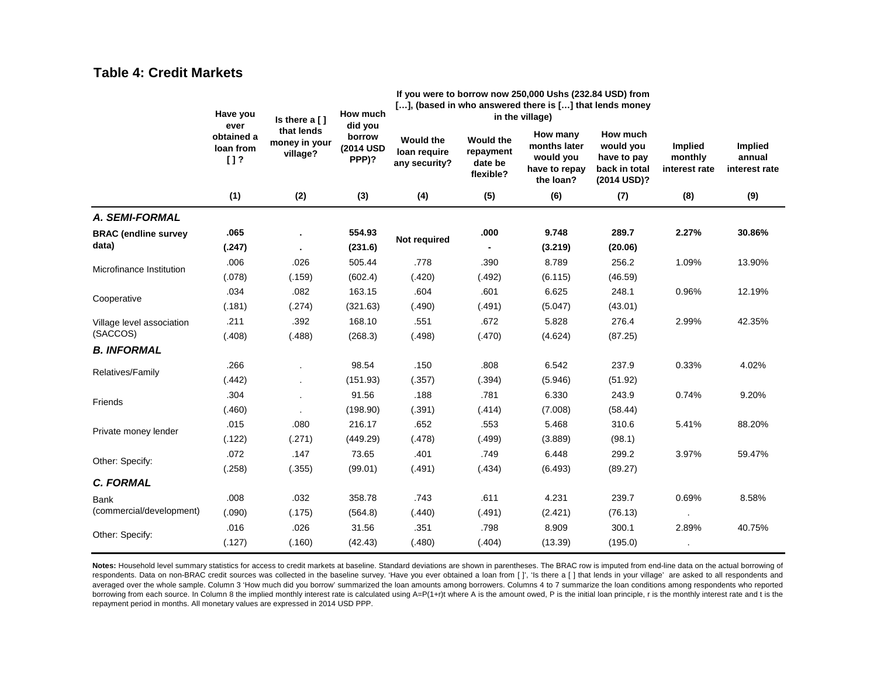## **Table 4: Credit Markets**

|                             | Have you<br>ever               | Is there $a$ [ ]                        | How much<br>did you          | If you were to borrow now 250,000 Ushs (232.84 USD) from<br>[], (based in who answered there is [] that lends money | in the village)                                       |                                                                     |                                                                      |                                     |                                    |
|-----------------------------|--------------------------------|-----------------------------------------|------------------------------|---------------------------------------------------------------------------------------------------------------------|-------------------------------------------------------|---------------------------------------------------------------------|----------------------------------------------------------------------|-------------------------------------|------------------------------------|
|                             | obtained a<br>loan from<br>[1? | that lends<br>money in your<br>village? | borrow<br>(2014 USD<br>PPP)? | <b>Would the</b><br>loan require<br>any security?                                                                   | <b>Would the</b><br>repayment<br>date be<br>flexible? | How many<br>months later<br>would you<br>have to repay<br>the loan? | How much<br>would you<br>have to pay<br>back in total<br>(2014 USD)? | Implied<br>monthly<br>interest rate | Implied<br>annual<br>interest rate |
|                             | (1)                            | (2)                                     | (3)                          | (4)                                                                                                                 | (5)                                                   | (6)                                                                 | (7)                                                                  | (8)                                 | (9)                                |
| A. SEMI-FORMAL              |                                |                                         |                              |                                                                                                                     |                                                       |                                                                     |                                                                      |                                     |                                    |
| <b>BRAC</b> (endline survey | .065                           |                                         | 554.93                       | Not required                                                                                                        | .000                                                  | 9.748                                                               | 289.7                                                                | 2.27%                               | 30.86%                             |
| data)                       | (.247)                         |                                         | (231.6)                      |                                                                                                                     |                                                       | (3.219)                                                             | (20.06)                                                              |                                     |                                    |
| Microfinance Institution    | .006                           | .026                                    | 505.44                       | .778                                                                                                                | .390                                                  | 8.789                                                               | 256.2                                                                | 1.09%                               | 13.90%                             |
|                             | (.078)                         | (.159)                                  | (602.4)                      | (.420)                                                                                                              | (.492)                                                | (6.115)                                                             | (46.59)                                                              |                                     |                                    |
| Cooperative                 | .034                           | .082                                    | 163.15                       | .604                                                                                                                | .601                                                  | 6.625                                                               | 248.1                                                                | 0.96%                               | 12.19%                             |
|                             | (.181)                         | (.274)                                  | (321.63)                     | (.490)                                                                                                              | (.491)                                                | (5.047)                                                             | (43.01)                                                              |                                     |                                    |
| Village level association   | .211                           | .392                                    | 168.10                       | .551                                                                                                                | .672                                                  | 5.828                                                               | 276.4                                                                | 2.99%                               | 42.35%                             |
| (SACCOS)                    | (.408)                         | (.488)                                  | (268.3)                      | (.498)                                                                                                              | (.470)                                                | (4.624)                                                             | (87.25)                                                              |                                     |                                    |
| <b>B. INFORMAL</b>          |                                |                                         |                              |                                                                                                                     |                                                       |                                                                     |                                                                      |                                     |                                    |
| Relatives/Family            | .266                           |                                         | 98.54                        | .150                                                                                                                | .808                                                  | 6.542                                                               | 237.9                                                                | 0.33%                               | 4.02%                              |
|                             | (.442)                         |                                         | (151.93)                     | (.357)                                                                                                              | (.394)                                                | (5.946)                                                             | (51.92)                                                              |                                     |                                    |
| Friends                     | .304                           |                                         | 91.56                        | .188                                                                                                                | .781                                                  | 6.330                                                               | 243.9                                                                | 0.74%                               | 9.20%                              |
|                             | (.460)                         |                                         | (198.90)                     | (.391)                                                                                                              | (.414)                                                | (7.008)                                                             | (58.44)                                                              |                                     |                                    |
| Private money lender        | .015                           | .080                                    | 216.17                       | .652                                                                                                                | .553                                                  | 5.468                                                               | 310.6                                                                | 5.41%                               | 88.20%                             |
|                             | (.122)                         | (.271)                                  | (449.29)                     | (.478)                                                                                                              | (.499)                                                | (3.889)                                                             | (98.1)                                                               |                                     |                                    |
| Other: Specify:             | .072                           | .147                                    | 73.65                        | .401                                                                                                                | .749                                                  | 6.448                                                               | 299.2                                                                | 3.97%                               | 59.47%                             |
|                             | (.258)                         | (.355)                                  | (99.01)                      | (.491)                                                                                                              | (.434)                                                | (6.493)                                                             | (89.27)                                                              |                                     |                                    |
| <b>C. FORMAL</b>            |                                |                                         |                              |                                                                                                                     |                                                       |                                                                     |                                                                      |                                     |                                    |
| <b>Bank</b>                 | .008                           | .032                                    | 358.78                       | .743                                                                                                                | .611                                                  | 4.231                                                               | 239.7                                                                | 0.69%                               | 8.58%                              |
| (commercial/development)    | (.090)                         | (.175)                                  | (564.8)                      | (.440)                                                                                                              | (.491)                                                | (2.421)                                                             | (76.13)                                                              |                                     |                                    |
| Other: Specify:             | .016                           | .026                                    | 31.56                        | .351                                                                                                                | .798                                                  | 8.909                                                               | 300.1                                                                | 2.89%                               | 40.75%                             |
|                             | (.127)                         | (.160)                                  | (42.43)                      | (.480)                                                                                                              | (.404)                                                | (13.39)                                                             | (195.0)                                                              |                                     |                                    |

Notes: Household level summary statistics for access to credit markets at baseline. Standard deviations are shown in parentheses. The BRAC row is imputed from end-line data on the actual borrowing of respondents. Data on non-BRAC credit sources was collected in the baseline survey. 'Have you ever obtained a loan from [ ]', 'Is there a [ ] that lends in your village' are asked to all respondents and averaged over the whole sample. Column 3 'How much did you borrow' summarized the loan amounts among borrowers. Columns 4 to 7 summarize the loan conditions among respondents who reported borrowing from each source. In Column 8 the implied monthly interest rate is calculated using A=P(1+r)t where A is the amount owed, P is the initial loan principle, r is the monthly interest rate and t is the repayment period in months. All monetary values are expressed in 2014 USD PPP.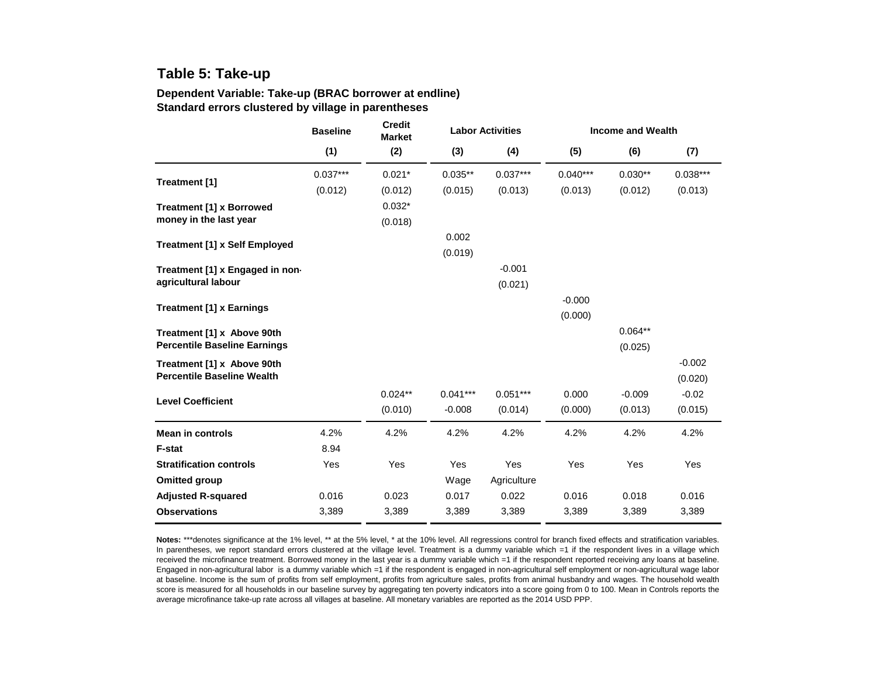# **Table 5: Take-up**

#### **Dependent Variable: Take-up (BRAC borrower at endline) Standard errors clustered by village in parentheses**

|                                      | <b>Credit</b><br><b>Baseline</b><br><b>Market</b> |           |            | <b>Labor Activities</b> |            | <b>Income and Wealth</b> |            |  |
|--------------------------------------|---------------------------------------------------|-----------|------------|-------------------------|------------|--------------------------|------------|--|
|                                      | (1)                                               | (2)       | (3)        | (4)                     | (5)        | (6)                      | (7)        |  |
|                                      | $0.037***$                                        | $0.021*$  | $0.035**$  | $0.037***$              | $0.040***$ | $0.030**$                | $0.038***$ |  |
| Treatment [1]                        | (0.012)                                           | (0.012)   | (0.015)    | (0.013)                 | (0.013)    | (0.012)                  | (0.013)    |  |
| <b>Treatment [1] x Borrowed</b>      |                                                   | $0.032*$  |            |                         |            |                          |            |  |
| money in the last year               |                                                   | (0.018)   |            |                         |            |                          |            |  |
|                                      |                                                   |           | 0.002      |                         |            |                          |            |  |
| <b>Treatment [1] x Self Employed</b> |                                                   |           | (0.019)    |                         |            |                          |            |  |
| Treatment [1] x Engaged in non-      |                                                   |           |            | $-0.001$                |            |                          |            |  |
| agricultural labour                  |                                                   |           |            | (0.021)                 |            |                          |            |  |
|                                      |                                                   |           |            |                         | $-0.000$   |                          |            |  |
| <b>Treatment [1] x Earnings</b>      |                                                   |           |            |                         | (0.000)    |                          |            |  |
| Treatment [1] x Above 90th           |                                                   |           |            |                         |            | $0.064**$                |            |  |
| <b>Percentile Baseline Earnings</b>  |                                                   |           |            |                         |            | (0.025)                  |            |  |
| Treatment [1] x Above 90th           |                                                   |           |            |                         |            |                          | $-0.002$   |  |
| <b>Percentile Baseline Wealth</b>    |                                                   |           |            |                         |            |                          | (0.020)    |  |
| <b>Level Coefficient</b>             |                                                   | $0.024**$ | $0.041***$ | $0.051***$              | 0.000      | $-0.009$                 | $-0.02$    |  |
|                                      |                                                   | (0.010)   | $-0.008$   | (0.014)                 | (0.000)    | (0.013)                  | (0.015)    |  |
| <b>Mean in controls</b>              | 4.2%                                              | 4.2%      | 4.2%       | 4.2%                    | 4.2%       | 4.2%                     | 4.2%       |  |
| <b>F-stat</b>                        | 8.94                                              |           |            |                         |            |                          |            |  |
| <b>Stratification controls</b>       | Yes                                               | Yes       | <b>Yes</b> | Yes                     | Yes        | Yes                      | Yes        |  |
| <b>Omitted group</b>                 |                                                   |           | Wage       | Agriculture             |            |                          |            |  |
| <b>Adjusted R-squared</b>            | 0.016                                             | 0.023     | 0.017      | 0.022                   | 0.016      | 0.018                    | 0.016      |  |
| <b>Observations</b>                  | 3,389                                             | 3,389     | 3,389      | 3,389                   | 3,389      | 3,389                    | 3,389      |  |

**Notes:** \*\*\*denotes significance at the 1% level, \*\* at the 5% level, \* at the 10% level. All regressions control for branch fixed effects and stratification variables. In parentheses, we report standard errors clustered at the village level. Treatment is a dummy variable which =1 if the respondent lives in a village which received the microfinance treatment. Borrowed money in the last year is a dummy variable which =1 if the respondent reported receiving any loans at baseline. Engaged in non-agricultural labor is a dummy variable which =1 if the respondent is engaged in non-agricultural self employment or non-agricultural wage labor at baseline. Income is the sum of profits from self employment, profits from agriculture sales, profits from animal husbandry and wages. The household wealth score is measured for all households in our baseline survey by aggregating ten poverty indicators into a score going from 0 to 100. Mean in Controls reports the average microfinance take-up rate across all villages at baseline. All monetary variables are reported as the 2014 USD PPP.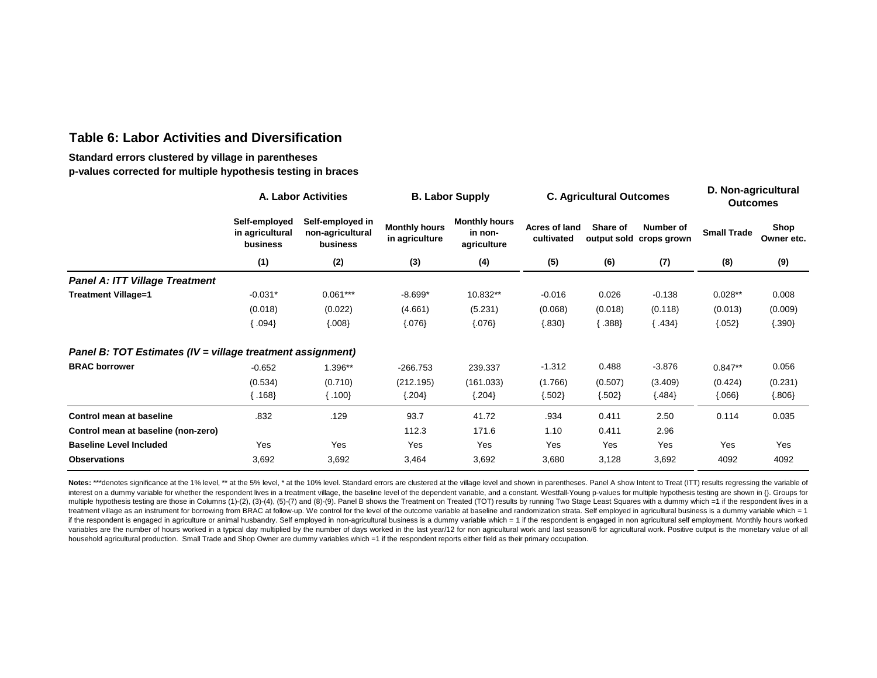## **Table 6: Labor Activities and Diversification**

#### **Standard errors clustered by village in parentheses p-values corrected for multiple hypothesis testing in braces**

|                                                            | A. Labor Activities                                                                              |            |                                        | <b>B. Labor Supply</b>                         |          | <b>C. Agricultural Outcomes</b>                                           |          |                    | D. Non-agricultural<br><b>Outcomes</b> |  |
|------------------------------------------------------------|--------------------------------------------------------------------------------------------------|------------|----------------------------------------|------------------------------------------------|----------|---------------------------------------------------------------------------|----------|--------------------|----------------------------------------|--|
|                                                            | Self-employed in<br>Self-employed<br>in agricultural<br>non-agricultural<br>business<br>business |            | <b>Monthly hours</b><br>in agriculture | <b>Monthly hours</b><br>in non-<br>agriculture |          | Share of<br><b>Acres of land</b><br>cultivated<br>output sold crops grown |          | <b>Small Trade</b> | Shop<br>Owner etc.                     |  |
|                                                            | (1)                                                                                              | (2)        | (3)                                    | (4)                                            | (5)      | (6)                                                                       | (7)      | (8)                | (9)                                    |  |
| <b>Panel A: ITT Village Treatment</b>                      |                                                                                                  |            |                                        |                                                |          |                                                                           |          |                    |                                        |  |
| <b>Treatment Village=1</b>                                 | $-0.031*$                                                                                        | $0.061***$ | $-8.699*$                              | 10.832**                                       | $-0.016$ | 0.026                                                                     | $-0.138$ | $0.028**$          | 0.008                                  |  |
|                                                            | (0.018)                                                                                          | (0.022)    | (4.661)                                | (5.231)                                        | (0.068)  | (0.018)                                                                   | (0.118)  | (0.013)            | (0.009)                                |  |
|                                                            | $.094\}$                                                                                         | ${008}$    | ${076}$                                | ${076}$                                        | ${.830}$ | $\langle .388 \rangle$                                                    | ${434}$  | ${.052}$           | ${390}$                                |  |
| Panel B: TOT Estimates (IV = village treatment assignment) |                                                                                                  |            |                                        |                                                |          |                                                                           |          |                    |                                        |  |
| <b>BRAC borrower</b>                                       | $-0.652$                                                                                         | 1.396**    | $-266.753$                             | 239.337                                        | $-1.312$ | 0.488                                                                     | $-3.876$ | $0.847**$          | 0.056                                  |  |
|                                                            | (0.534)                                                                                          | (0.710)    | (212.195)                              | (161.033)                                      | (1.766)  | (0.507)                                                                   | (3.409)  | (0.424)            | (0.231)                                |  |
|                                                            | $\langle 168 \rangle$                                                                            | ${00}$     | ${.204}$                               | ${.204}$                                       | ${502}$  | ${502}$                                                                   | ${484}$  | ${066}$            | ${.806}$                               |  |
| Control mean at baseline                                   | .832                                                                                             | .129       | 93.7                                   | 41.72                                          | .934     | 0.411                                                                     | 2.50     | 0.114              | 0.035                                  |  |
| Control mean at baseline (non-zero)                        |                                                                                                  |            | 112.3                                  | 171.6                                          | 1.10     | 0.411                                                                     | 2.96     |                    |                                        |  |
| <b>Baseline Level Included</b>                             | Yes                                                                                              | Yes        | Yes                                    | Yes                                            | Yes      | Yes                                                                       | Yes      | Yes                | Yes                                    |  |
| <b>Observations</b>                                        | 3,692                                                                                            | 3,692      | 3,464                                  | 3,692                                          | 3,680    | 3,128                                                                     | 3,692    | 4092               | 4092                                   |  |

Notes: \*\*\*denotes significance at the 1% level, \*\* at the 5% level, \* at the 10% level. Standard errors are clustered at the village level and shown in parentheses. Panel A show Intent to Treat (ITT) results regressing the interest on a dummy variable for whether the respondent lives in a treatment village, the baseline level of the dependent variable, and a constant. Westfall-Young p-values for multiple hypothesis testing are shown in {}. G multiple hypothesis testing are those in Columns (1)-(2), (3)-(4), (5)-(7) and (8)-(9). Panel B shows the Treatment on Treated (TOT) results by running Two Stage Least Squares with a dummy which =1 if the respondent lives treatment village as an instrument for borrowing from BRAC at follow-up. We control for the level of the outcome variable at baseline and randomization strata. Self employed in agricultural business is a dummy variable whi if the respondent is engaged in agriculture or animal husbandry. Self employed in non-agricultural business is a dummy variable which = 1 if the respondent is engaged in non agricultural self employment. Monthly hours worked variables are the number of hours worked in a typical day multiplied by the number of days worked in the last year/12 for non agricultural work and last season/6 for agricultural work. Positive output is the monetary value household agricultural production. Small Trade and Shop Owner are dummy variables which =1 if the respondent reports either field as their primary occupation.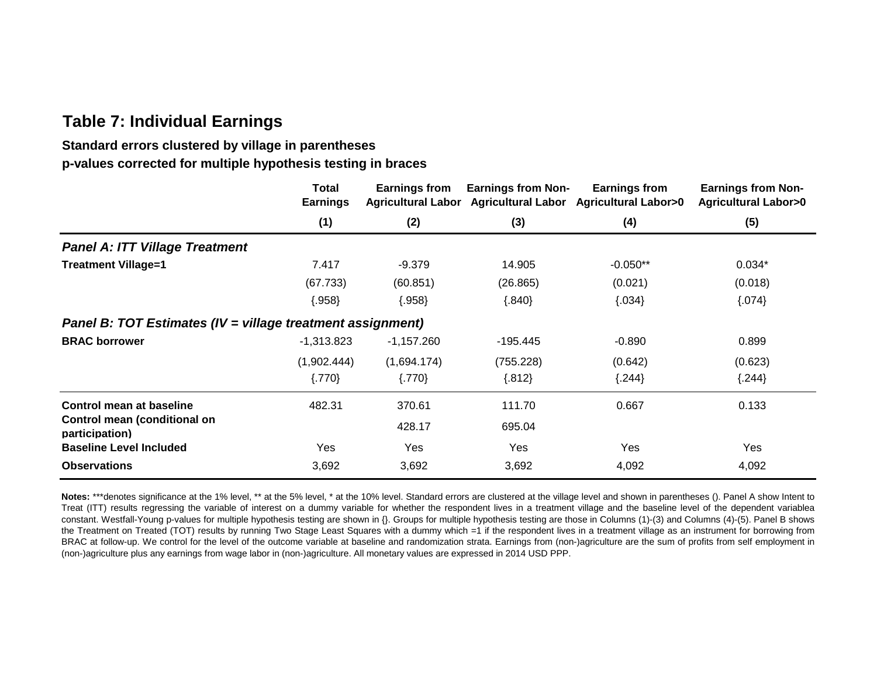# **Table 7: Individual Earnings**

# **Standard errors clustered by village in parentheses p-values corrected for multiple hypothesis testing in braces**

|                                                            | Total<br><b>Earnings</b> | Earnings from | <b>Earnings from Non-</b> | <b>Earnings from</b><br>Agricultural Labor Agricultural Labor Agricultural Labor>0 | <b>Earnings from Non-</b><br><b>Agricultural Labor&gt;0</b> |
|------------------------------------------------------------|--------------------------|---------------|---------------------------|------------------------------------------------------------------------------------|-------------------------------------------------------------|
|                                                            | (1)                      | (2)           | (3)                       | (4)                                                                                | (5)                                                         |
| <b>Panel A: ITT Village Treatment</b>                      |                          |               |                           |                                                                                    |                                                             |
| <b>Treatment Village=1</b>                                 | 7.417                    | $-9.379$      | 14.905                    | $-0.050**$                                                                         | $0.034*$                                                    |
|                                                            | (67.733)                 | (60.851)      | (26.865)                  | (0.021)                                                                            | (0.018)                                                     |
|                                                            | ${.958}$                 | ${.958}$      | ${840}$                   | ${034}$                                                                            | ${074}$                                                     |
| Panel B: TOT Estimates (IV = village treatment assignment) |                          |               |                           |                                                                                    |                                                             |
| <b>BRAC borrower</b>                                       | $-1,313.823$             | $-1,157.260$  | $-195.445$                | $-0.890$                                                                           | 0.899                                                       |
|                                                            | (1,902.444)              | (1,694.174)   | (755.228)                 | (0.642)                                                                            | (0.623)                                                     |
|                                                            | ${770}$                  | $\{.770\}$    | ${.812}$                  | ${.244}$                                                                           | ${.244}$                                                    |
| Control mean at baseline                                   | 482.31                   | 370.61        | 111.70                    | 0.667                                                                              | 0.133                                                       |
| Control mean (conditional on<br>participation)             |                          | 428.17        | 695.04                    |                                                                                    |                                                             |
| <b>Baseline Level Included</b>                             | Yes                      | Yes           | Yes                       | Yes                                                                                | Yes                                                         |
| <b>Observations</b>                                        | 3,692                    | 3,692         | 3,692                     | 4,092                                                                              | 4,092                                                       |

Notes: \*\*\*denotes significance at the 1% level, \*\* at the 5% level, \* at the 10% level. Standard errors are clustered at the village level and shown in parentheses (). Panel A show Intent to Treat (ITT) results regressing the variable of interest on a dummy variable for whether the respondent lives in a treatment village and the baseline level of the dependent variablea constant. Westfall-Young p-values for multiple hypothesis testing are shown in {}. Groups for multiple hypothesis testing are those in Columns (1)-(3) and Columns (4)-(5). Panel B shows the Treatment on Treated (TOT) results by running Two Stage Least Squares with a dummy which =1 if the respondent lives in a treatment village as an instrument for borrowing from BRAC at follow-up. We control for the level of the outcome variable at baseline and randomization strata. Earnings from (non-)agriculture are the sum of profits from self employment in (non-)agriculture plus any earnings from wage labor in (non-)agriculture. All monetary values are expressed in 2014 USD PPP.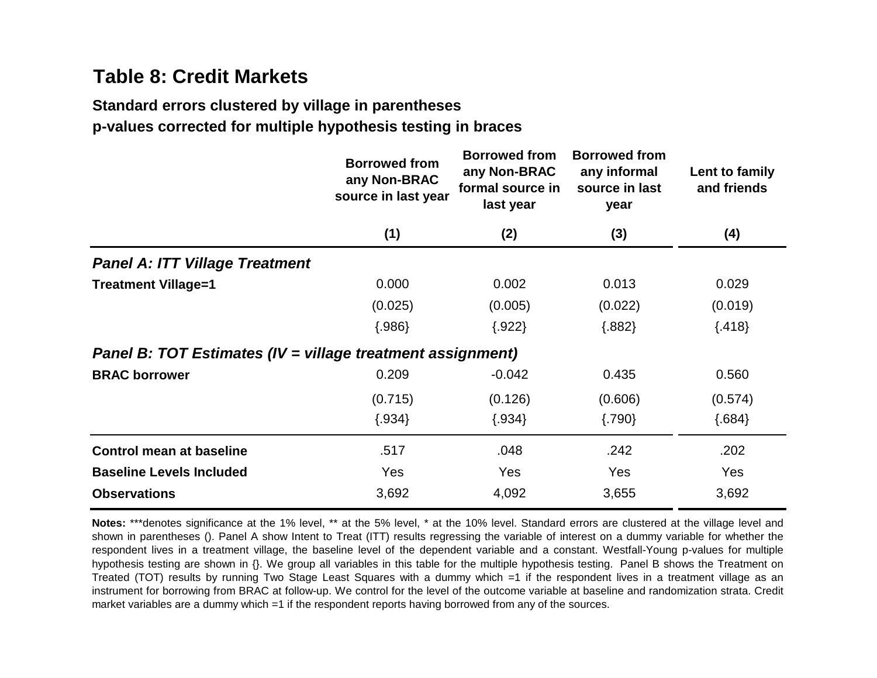# **Table 8: Credit Markets**

# **Standard errors clustered by village in parentheses**

**p-values corrected for multiple hypothesis testing in braces**

|                                                            | <b>Borrowed from</b><br>any Non-BRAC<br>source in last year | <b>Borrowed from</b><br>any Non-BRAC<br>formal source in<br>last year | <b>Borrowed from</b><br>any informal<br>source in last<br>year | Lent to family<br>and friends |
|------------------------------------------------------------|-------------------------------------------------------------|-----------------------------------------------------------------------|----------------------------------------------------------------|-------------------------------|
|                                                            | (1)                                                         | (2)                                                                   | (3)                                                            | (4)                           |
| <b>Panel A: ITT Village Treatment</b>                      |                                                             |                                                                       |                                                                |                               |
| <b>Treatment Village=1</b>                                 | 0.000                                                       | 0.002                                                                 | 0.013                                                          | 0.029                         |
|                                                            | (0.025)                                                     | (0.005)                                                               | (0.022)                                                        | (0.019)                       |
|                                                            | ${.986}$                                                    | ${.922}$                                                              | ${.882}$                                                       | ${418}$                       |
| Panel B: TOT Estimates (IV = village treatment assignment) |                                                             |                                                                       |                                                                |                               |
| <b>BRAC borrower</b>                                       | 0.209                                                       | $-0.042$                                                              | 0.435                                                          | 0.560                         |
|                                                            | (0.715)                                                     | (0.126)                                                               | (0.606)                                                        | (0.574)                       |
|                                                            | ${.934}$                                                    | ${.934}$                                                              | ${790}$                                                        | ${684}$                       |
| <b>Control mean at baseline</b>                            | .517                                                        | .048                                                                  | .242                                                           | .202                          |
| <b>Baseline Levels Included</b>                            | Yes                                                         | <b>Yes</b>                                                            | Yes                                                            | Yes                           |
| <b>Observations</b>                                        | 3,692                                                       | 4,092                                                                 | 3,655                                                          | 3,692                         |
|                                                            |                                                             |                                                                       |                                                                |                               |

**Notes:** \*\*\*denotes significance at the 1% level, \*\* at the 5% level, \* at the 10% level. Standard errors are clustered at the village level and shown in parentheses (). Panel A show Intent to Treat (ITT) results regressing the variable of interest on a dummy variable for whether the respondent lives in a treatment village, the baseline level of the dependent variable and a constant. Westfall-Young p-values for multiple hypothesis testing are shown in {}. We group all variables in this table for the multiple hypothesis testing. Panel B shows the Treatment on Treated (TOT) results by running Two Stage Least Squares with a dummy which =1 if the respondent lives in a treatment village as an instrument for borrowing from BRAC at follow-up. We control for the level of the outcome variable at baseline and randomization strata. Credit market variables are a dummy which =1 if the respondent reports having borrowed from any of the sources.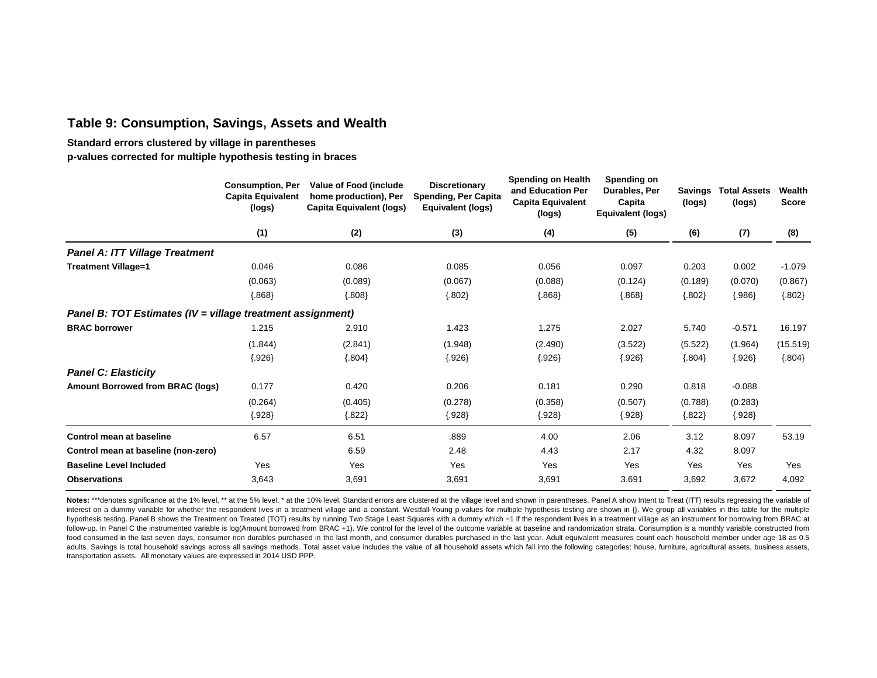## **Table 9: Consumption, Savings, Assets and Wealth**

**Standard errors clustered by village in parentheses**

**p-values corrected for multiple hypothesis testing in braces**

|                                                            | <b>Consumption, Per</b><br><b>Capita Equivalent</b><br>(logs) | Value of Food (include<br>home production), Per<br><b>Capita Equivalent (logs)</b> | <b>Discretionary</b><br>Spending, Per Capita<br><b>Equivalent (logs)</b> | <b>Spending on Health</b><br>and Education Per<br><b>Capita Equivalent</b><br>(logs) | Spending on<br>Durables, Per<br>Capita<br>Equivalent (logs) | <b>Savings</b><br>(logs) | <b>Total Assets</b><br>(logs) | Wealth<br><b>Score</b> |
|------------------------------------------------------------|---------------------------------------------------------------|------------------------------------------------------------------------------------|--------------------------------------------------------------------------|--------------------------------------------------------------------------------------|-------------------------------------------------------------|--------------------------|-------------------------------|------------------------|
|                                                            | (1)                                                           | (2)                                                                                | (3)                                                                      | (4)                                                                                  | (5)                                                         | (6)                      | (7)                           | (8)                    |
| <b>Panel A: ITT Village Treatment</b>                      |                                                               |                                                                                    |                                                                          |                                                                                      |                                                             |                          |                               |                        |
| <b>Treatment Village=1</b>                                 | 0.046                                                         | 0.086                                                                              | 0.085                                                                    | 0.056                                                                                | 0.097                                                       | 0.203                    | 0.002                         | $-1.079$               |
|                                                            | (0.063)                                                       | (0.089)                                                                            | (0.067)                                                                  | (0.088)                                                                              | (0.124)                                                     | (0.189)                  | (0.070)                       | (0.867)                |
|                                                            | ${868}$                                                       | ${.808}$                                                                           | ${.802}$                                                                 | ${868}$                                                                              | ${.868}$                                                    | ${.802}$                 | ${986}$                       | ${.802}$               |
| Panel B: TOT Estimates (IV = village treatment assignment) |                                                               |                                                                                    |                                                                          |                                                                                      |                                                             |                          |                               |                        |
| <b>BRAC borrower</b>                                       | 1.215                                                         | 2.910                                                                              | 1.423                                                                    | 1.275                                                                                | 2.027                                                       | 5.740                    | $-0.571$                      | 16.197                 |
|                                                            | (1.844)                                                       | (2.841)                                                                            | (1.948)                                                                  | (2.490)                                                                              | (3.522)                                                     | (5.522)                  | (1.964)                       | (15.519)               |
|                                                            | ${.926}$                                                      | ${804}$                                                                            | ${926}$                                                                  | ${926}$                                                                              | ${926}$                                                     | ${804}$                  | ${926}$                       | ${.804}$               |
| <b>Panel C: Elasticity</b>                                 |                                                               |                                                                                    |                                                                          |                                                                                      |                                                             |                          |                               |                        |
| <b>Amount Borrowed from BRAC (logs)</b>                    | 0.177                                                         | 0.420                                                                              | 0.206                                                                    | 0.181                                                                                | 0.290                                                       | 0.818                    | $-0.088$                      |                        |
|                                                            | (0.264)                                                       | (0.405)                                                                            | (0.278)                                                                  | (0.358)                                                                              | (0.507)                                                     | (0.788)                  | (0.283)                       |                        |
|                                                            | ${.928}$                                                      | ${.822}$                                                                           | ${.928}$                                                                 | ${.928}$                                                                             | ${.928}$                                                    | ${.822}$                 | ${.928}$                      |                        |
| Control mean at baseline                                   | 6.57                                                          | 6.51                                                                               | .889                                                                     | 4.00                                                                                 | 2.06                                                        | 3.12                     | 8.097                         | 53.19                  |
| Control mean at baseline (non-zero)                        |                                                               | 6.59                                                                               | 2.48                                                                     | 4.43                                                                                 | 2.17                                                        | 4.32                     | 8.097                         |                        |
| <b>Baseline Level Included</b>                             | Yes                                                           | Yes                                                                                | Yes                                                                      | Yes                                                                                  | Yes                                                         | Yes                      | Yes                           | Yes                    |
| <b>Observations</b>                                        | 3,643                                                         | 3,691                                                                              | 3,691                                                                    | 3,691                                                                                | 3,691                                                       | 3,692                    | 3,672                         | 4.092                  |
|                                                            |                                                               |                                                                                    |                                                                          |                                                                                      |                                                             |                          |                               |                        |

Notes: \*\*\*denotes significance at the 1% level, \*\* at the 5% level, \* at the 10% level. Standard errors are clustered at the village level and shown in parentheses. Panel A show Intent to Treat (ITT) results regressing the interest on a dummy variable for whether the respondent lives in a treatment village and a constant. Westfall-Young p-values for multiple hypothesis testing are shown in {}. We group all variables in this table for the mul hypothesis testing. Panel B shows the Treatment on Treated (TOT) results by running Two Stage Least Squares with a dummy which =1 if the respondent lives in a treatment village as an instrument for borrowing from BRAC at follow-up. In Panel C the instrumented variable is log(Amount borrowed from BRAC +1). We control for the level of the outcome variable at baseline and randomization strata. Consumption is a monthly variable constructed fro food consumed in the last seven days, consumer non durables purchased in the last month, and consumer durables purchased in the last year. Adult equivalent measures count each household member under age 18 as 0.5 adults. Savings is total household savings across all savings methods. Total asset value includes the value of all household assets which fall into the following categories: house, furniture, agricultural assets, business transportation assets. All monetary values are expressed in 2014 USD PPP.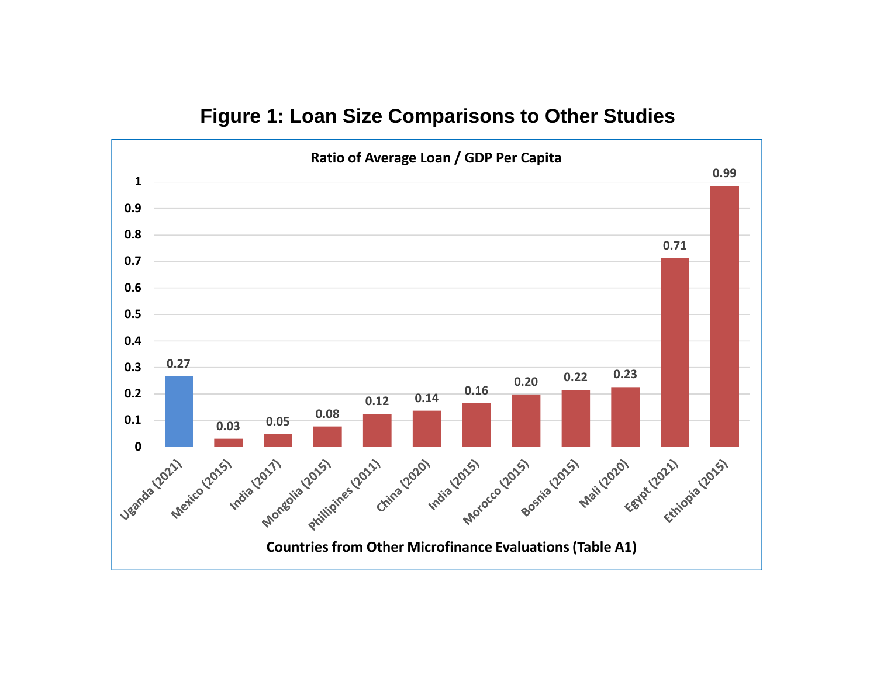# **Figure 1: Loan Size Comparisons to Other Studies**

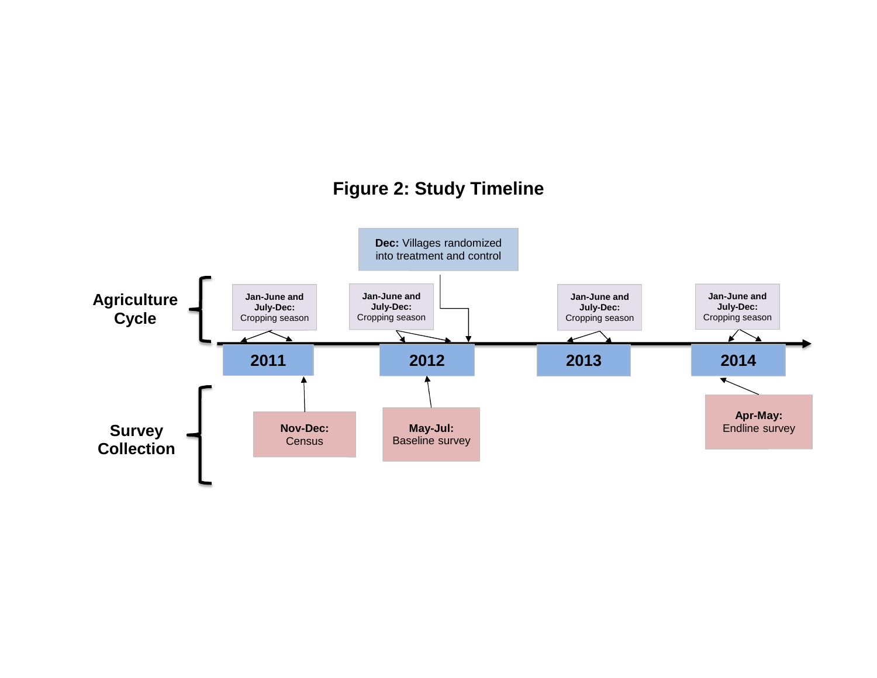# **Figure 2: Study Timeline**

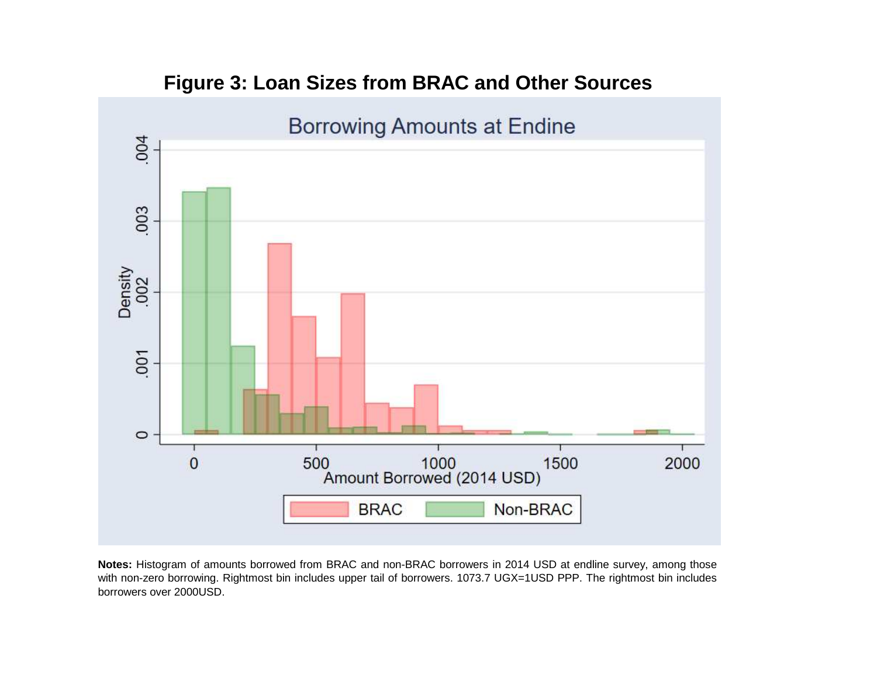

# **Figure 3: Loan Sizes from BRAC and Other Sources**

**Notes:** Histogram of amounts borrowed from BRAC and non-BRAC borrowers in 2014 USD at endline survey, among those with non-zero borrowing. Rightmost bin includes upper tail of borrowers. 1073.7 UGX=1USD PPP. The rightmost bin includes borrowers over 2000USD.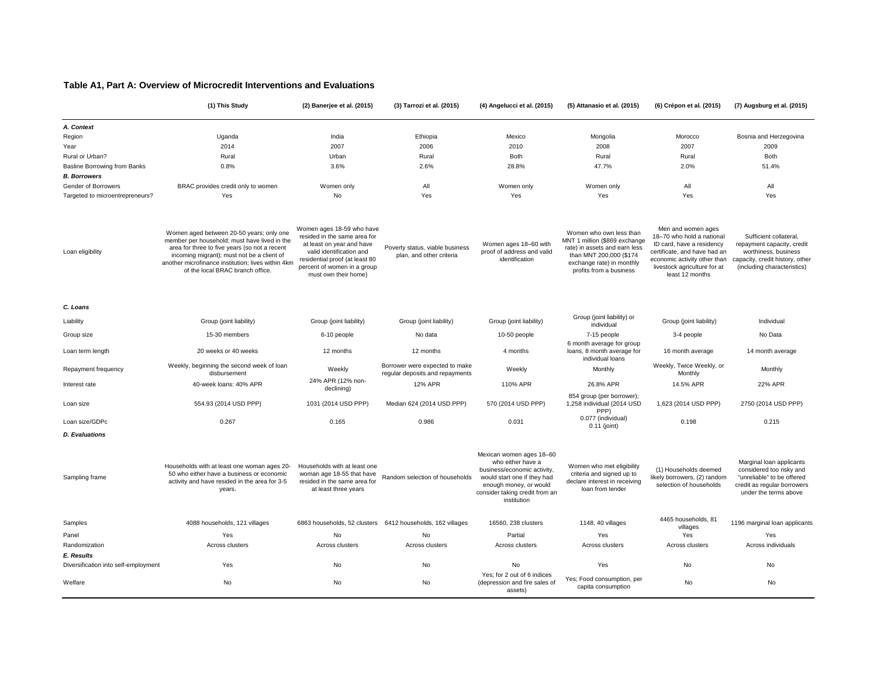#### **Table A1, Part A: Overview of Microcredit Interventions and Evaluations**

|                                      | (1) This Study                                                                                                                                                                                                                                                                    | (2) Banerjee et al. (2015)                                                                                                                                                                                  | (3) Tarrozi et al. (2015)                                         | (4) Angelucci et al. (2015)                                                                                                                                                            | (5) Attanasio et al. (2015)                                                                                                                                                  | (6) Crépon et al. (2015)                                                                                                                                                                        | (7) Augsburg et al. (2015)                                                                                                                     |
|--------------------------------------|-----------------------------------------------------------------------------------------------------------------------------------------------------------------------------------------------------------------------------------------------------------------------------------|-------------------------------------------------------------------------------------------------------------------------------------------------------------------------------------------------------------|-------------------------------------------------------------------|----------------------------------------------------------------------------------------------------------------------------------------------------------------------------------------|------------------------------------------------------------------------------------------------------------------------------------------------------------------------------|-------------------------------------------------------------------------------------------------------------------------------------------------------------------------------------------------|------------------------------------------------------------------------------------------------------------------------------------------------|
| A. Context                           |                                                                                                                                                                                                                                                                                   |                                                                                                                                                                                                             |                                                                   |                                                                                                                                                                                        |                                                                                                                                                                              |                                                                                                                                                                                                 |                                                                                                                                                |
| Region                               | Uganda                                                                                                                                                                                                                                                                            | India                                                                                                                                                                                                       | Ethiopia                                                          | Mexico                                                                                                                                                                                 | Mongolia                                                                                                                                                                     | Morocco                                                                                                                                                                                         | Bosnia and Herzegovina                                                                                                                         |
| Year                                 | 2014                                                                                                                                                                                                                                                                              | 2007                                                                                                                                                                                                        | 2006                                                              | 2010                                                                                                                                                                                   | 2008                                                                                                                                                                         | 2007                                                                                                                                                                                            | 2009                                                                                                                                           |
| Rural or Urban?                      | Rural                                                                                                                                                                                                                                                                             | Urban                                                                                                                                                                                                       | Rural                                                             | Both                                                                                                                                                                                   | Rural                                                                                                                                                                        | Rural                                                                                                                                                                                           | Both                                                                                                                                           |
| <b>Basline Borrowing from Banks</b>  | 0.8%                                                                                                                                                                                                                                                                              | 3.6%                                                                                                                                                                                                        | 2.6%                                                              | 28.8%                                                                                                                                                                                  | 47.7%                                                                                                                                                                        | 2.0%                                                                                                                                                                                            | 51.4%                                                                                                                                          |
| <b>B. Borrowers</b>                  |                                                                                                                                                                                                                                                                                   |                                                                                                                                                                                                             |                                                                   |                                                                                                                                                                                        |                                                                                                                                                                              |                                                                                                                                                                                                 |                                                                                                                                                |
| Gender of Borrowers                  | BRAC provides credit only to women                                                                                                                                                                                                                                                | Women only                                                                                                                                                                                                  | All                                                               | Women only                                                                                                                                                                             | Women only                                                                                                                                                                   | All                                                                                                                                                                                             | All                                                                                                                                            |
| Targeted to microentrepreneurs?      | Yes                                                                                                                                                                                                                                                                               | No                                                                                                                                                                                                          | Yes                                                               | Yes                                                                                                                                                                                    | Yes                                                                                                                                                                          | Yes                                                                                                                                                                                             | Yes                                                                                                                                            |
| Loan eligibility                     | Women aged between 20-50 years; only one<br>member per household; must have lived in the<br>area for three to five years (so not a recent<br>incoming migrant); must not be a client of<br>another microfinance institution; lives within 4km<br>of the local BRAC branch office. | Women ages 18-59 who have<br>resided in the same area for<br>at least on year and have<br>valid identification and<br>residential proof (at least 80<br>percent of women in a group<br>must own their home) | Poverty status, viable business<br>plan, and other criteria       | Women ages 18-60 with<br>proof of address and valid<br>identification                                                                                                                  | Women who own less than<br>MNT 1 million (\$869 exchange<br>rate) in assets and earn less<br>than MNT 200,000 (\$174<br>exchange rate) in monthly<br>profits from a business | Men and women ages<br>18-70 who hold a national<br>ID card, have a residency<br>certificate, and have had an<br>economic activity other than<br>livestock agriculture for at<br>least 12 months | Sufficient collateral,<br>repayment capacity, credit<br>worthiness, business<br>capacity, credit history, other<br>(including characteristics) |
| C. Loans                             |                                                                                                                                                                                                                                                                                   |                                                                                                                                                                                                             |                                                                   |                                                                                                                                                                                        |                                                                                                                                                                              |                                                                                                                                                                                                 |                                                                                                                                                |
| Liability                            | Group (joint liability)                                                                                                                                                                                                                                                           | Group (joint liability)                                                                                                                                                                                     | Group (joint liability)                                           | Group (joint liability)                                                                                                                                                                | Group (joint liability) or<br>individual                                                                                                                                     | Group (joint liability)                                                                                                                                                                         | Individual                                                                                                                                     |
| Group size                           | 15-30 members                                                                                                                                                                                                                                                                     | 6-10 people                                                                                                                                                                                                 | No data                                                           | 10-50 people                                                                                                                                                                           | 7-15 people<br>6 month average for group                                                                                                                                     | 3-4 people                                                                                                                                                                                      | No Data                                                                                                                                        |
| Loan term length                     | 20 weeks or 40 weeks                                                                                                                                                                                                                                                              | 12 months                                                                                                                                                                                                   | 12 months                                                         | 4 months                                                                                                                                                                               | loans, 8 month average for<br>individual loans                                                                                                                               | 16 month average                                                                                                                                                                                | 14 month average                                                                                                                               |
| Repayment frequency                  | Weekly, beginning the second week of loan<br>disbursement                                                                                                                                                                                                                         | Weekly                                                                                                                                                                                                      | Borrower were expected to make<br>regular deposits and repayments | Weekly                                                                                                                                                                                 | Monthly                                                                                                                                                                      | Weekly, Twice Weekly, or<br>Monthly                                                                                                                                                             | Monthly                                                                                                                                        |
| Interest rate                        | 40-week loans: 40% APR                                                                                                                                                                                                                                                            | 24% APR (12% non-<br>declining)                                                                                                                                                                             | 12% APR                                                           | 110% APR                                                                                                                                                                               | 26.8% APR                                                                                                                                                                    | 14.5% APR                                                                                                                                                                                       | 22% APR                                                                                                                                        |
| Loan size                            | 554.93 (2014 USD PPP)                                                                                                                                                                                                                                                             | 1031 (2014 USD PPP)                                                                                                                                                                                         | Median 624 (2014 USD PPP)                                         | 570 (2014 USD PPP)                                                                                                                                                                     | 854 group (per borrower);<br>1,258 individual (2014 USD<br>PPP)                                                                                                              | 1,623 (2014 USD PPP)                                                                                                                                                                            | 2750 (2014 USD PPP)                                                                                                                            |
| Loan size/GDPc                       | 0.267                                                                                                                                                                                                                                                                             | 0.165                                                                                                                                                                                                       | 0.986                                                             | 0.031                                                                                                                                                                                  | 0.077 (individual)<br>$0.11$ (joint)                                                                                                                                         | 0.198                                                                                                                                                                                           | 0.215                                                                                                                                          |
| <b>D.</b> Evaluations                |                                                                                                                                                                                                                                                                                   |                                                                                                                                                                                                             |                                                                   |                                                                                                                                                                                        |                                                                                                                                                                              |                                                                                                                                                                                                 |                                                                                                                                                |
| Sampling frame                       | Households with at least one woman ages 20-<br>50 who either have a business or economic<br>activity and have resided in the area for 3-5<br>years.                                                                                                                               | Households with at least one<br>woman age 18-55 that have<br>resided in the same area for<br>at least three vears                                                                                           | Random selection of households                                    | Mexican women ages 18-60<br>who either have a<br>business/economic activity,<br>would start one if they had<br>enough money, or would<br>consider taking credit from an<br>institution | Women who met eligibility<br>criteria and signed up to<br>declare interest in receiving<br>loan from lender                                                                  | (1) Households deemed<br>likely borrowers, (2) random<br>selection of households                                                                                                                | Marginal loan applicants<br>considered too risky and<br>"unreliable" to be offered<br>credit as regular borrowers<br>under the terms above     |
| Samples                              | 4088 households, 121 villages                                                                                                                                                                                                                                                     |                                                                                                                                                                                                             | 6863 households, 52 clusters 6412 households, 162 villages        | 16560, 238 clusters                                                                                                                                                                    | 1148, 40 villages                                                                                                                                                            | 4465 households, 81<br>villages                                                                                                                                                                 | 1196 marginal loan applicants                                                                                                                  |
| Panel                                | Yes                                                                                                                                                                                                                                                                               | No                                                                                                                                                                                                          | No                                                                | Partial                                                                                                                                                                                | Yes                                                                                                                                                                          | Yes                                                                                                                                                                                             | Yes                                                                                                                                            |
| Randomization                        | Across clusters                                                                                                                                                                                                                                                                   | Across clusters                                                                                                                                                                                             | Across clusters                                                   | Across clusters                                                                                                                                                                        | Across clusters                                                                                                                                                              | Across clusters                                                                                                                                                                                 | Across individuals                                                                                                                             |
| E. Results                           |                                                                                                                                                                                                                                                                                   |                                                                                                                                                                                                             |                                                                   |                                                                                                                                                                                        |                                                                                                                                                                              |                                                                                                                                                                                                 |                                                                                                                                                |
| Diversification into self-employment | Yes                                                                                                                                                                                                                                                                               | <b>No</b>                                                                                                                                                                                                   | N <sub>o</sub>                                                    | <b>No</b>                                                                                                                                                                              | Yes                                                                                                                                                                          | <b>No</b>                                                                                                                                                                                       | <b>No</b>                                                                                                                                      |
| Welfare                              | No                                                                                                                                                                                                                                                                                | No                                                                                                                                                                                                          | No                                                                | Yes; for 2 out of 6 indices<br>(depression and fire sales of<br>assets)                                                                                                                | Yes; Food consumption, per<br>capita consumption                                                                                                                             | No                                                                                                                                                                                              | No                                                                                                                                             |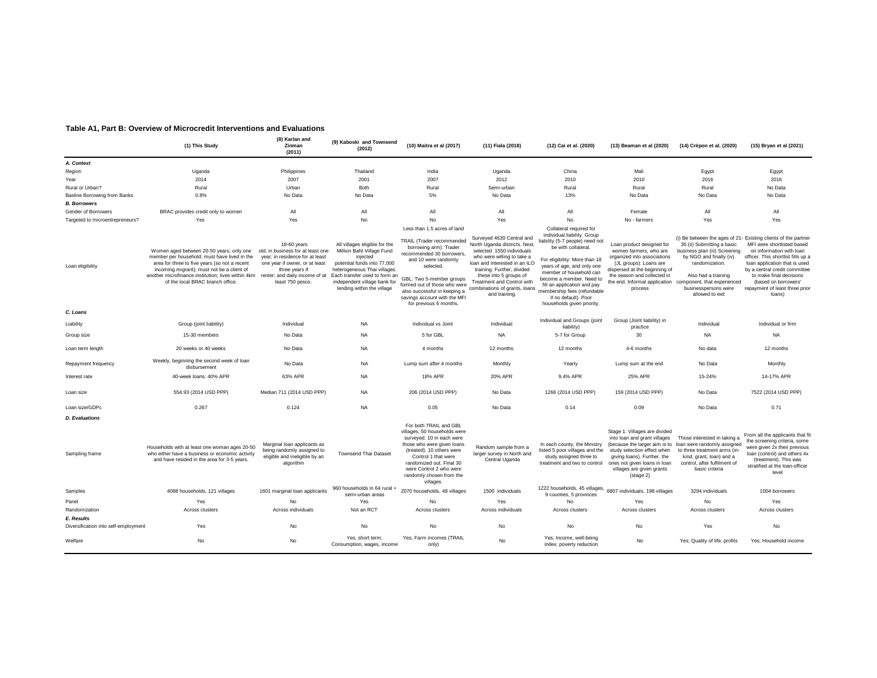#### **Table A1, Part B: Overview of Microcredit Interventions and Evaluations**

|                                                    | (1) This Study                                                                                                                                                                                                                                                                                                   | (8) Karlan and<br>Zinman<br>(2011)                                                                                                                          | (9) Kaboski and Townsend<br>(2012)                                                                                                                                                                                                   | (10) Maitra et al (2017)                                                                                                                                                                                                                                                                                   | (11) Fiala (2018)                                                                                                                                                                                                                                                                              | (12) Cai et al. (2020)                                                                                                                                                                                                                                                                                                                                   | (13) Beaman et al (2020)                                                                                                                                                                                                               | (14) Crépon et al. (2020)                                                                                                                                                                                 | (15) Bryan et al (2021)                                                                                                                                                                                                                                                                                                         |
|----------------------------------------------------|------------------------------------------------------------------------------------------------------------------------------------------------------------------------------------------------------------------------------------------------------------------------------------------------------------------|-------------------------------------------------------------------------------------------------------------------------------------------------------------|--------------------------------------------------------------------------------------------------------------------------------------------------------------------------------------------------------------------------------------|------------------------------------------------------------------------------------------------------------------------------------------------------------------------------------------------------------------------------------------------------------------------------------------------------------|------------------------------------------------------------------------------------------------------------------------------------------------------------------------------------------------------------------------------------------------------------------------------------------------|----------------------------------------------------------------------------------------------------------------------------------------------------------------------------------------------------------------------------------------------------------------------------------------------------------------------------------------------------------|----------------------------------------------------------------------------------------------------------------------------------------------------------------------------------------------------------------------------------------|-----------------------------------------------------------------------------------------------------------------------------------------------------------------------------------------------------------|---------------------------------------------------------------------------------------------------------------------------------------------------------------------------------------------------------------------------------------------------------------------------------------------------------------------------------|
| A. Context                                         |                                                                                                                                                                                                                                                                                                                  |                                                                                                                                                             |                                                                                                                                                                                                                                      |                                                                                                                                                                                                                                                                                                            |                                                                                                                                                                                                                                                                                                |                                                                                                                                                                                                                                                                                                                                                          |                                                                                                                                                                                                                                        |                                                                                                                                                                                                           |                                                                                                                                                                                                                                                                                                                                 |
| Region                                             | Uganda                                                                                                                                                                                                                                                                                                           | Philippines                                                                                                                                                 | Thailand                                                                                                                                                                                                                             | India                                                                                                                                                                                                                                                                                                      | Uganda                                                                                                                                                                                                                                                                                         | China                                                                                                                                                                                                                                                                                                                                                    | Mali                                                                                                                                                                                                                                   | Egypt                                                                                                                                                                                                     | Egypt                                                                                                                                                                                                                                                                                                                           |
| Year                                               | 2014                                                                                                                                                                                                                                                                                                             | 2007                                                                                                                                                        | 2001                                                                                                                                                                                                                                 | 2007                                                                                                                                                                                                                                                                                                       | 2012                                                                                                                                                                                                                                                                                           | 2010                                                                                                                                                                                                                                                                                                                                                     | 2010                                                                                                                                                                                                                                   | 2016                                                                                                                                                                                                      | 2016                                                                                                                                                                                                                                                                                                                            |
| Rural or Urban?                                    | Rural                                                                                                                                                                                                                                                                                                            | Urban                                                                                                                                                       | <b>Both</b>                                                                                                                                                                                                                          | Rural                                                                                                                                                                                                                                                                                                      | Semi-urban                                                                                                                                                                                                                                                                                     | Rural                                                                                                                                                                                                                                                                                                                                                    | Rural                                                                                                                                                                                                                                  | Rural                                                                                                                                                                                                     | No Data                                                                                                                                                                                                                                                                                                                         |
| <b>Basline Borrowing from Banks</b>                | 0.8%                                                                                                                                                                                                                                                                                                             | No Data                                                                                                                                                     | No Data                                                                                                                                                                                                                              | 5%                                                                                                                                                                                                                                                                                                         | No Data                                                                                                                                                                                                                                                                                        | 13%                                                                                                                                                                                                                                                                                                                                                      | No Data                                                                                                                                                                                                                                | No Data                                                                                                                                                                                                   | No Data                                                                                                                                                                                                                                                                                                                         |
| <b>B.</b> Borrowers                                |                                                                                                                                                                                                                                                                                                                  |                                                                                                                                                             |                                                                                                                                                                                                                                      |                                                                                                                                                                                                                                                                                                            |                                                                                                                                                                                                                                                                                                |                                                                                                                                                                                                                                                                                                                                                          |                                                                                                                                                                                                                                        |                                                                                                                                                                                                           |                                                                                                                                                                                                                                                                                                                                 |
| Gender of Borrowers                                | BRAC provides credit only to women                                                                                                                                                                                                                                                                               | All                                                                                                                                                         | All                                                                                                                                                                                                                                  | All                                                                                                                                                                                                                                                                                                        | All                                                                                                                                                                                                                                                                                            | All                                                                                                                                                                                                                                                                                                                                                      | Female                                                                                                                                                                                                                                 | All                                                                                                                                                                                                       | All                                                                                                                                                                                                                                                                                                                             |
| Targeted to microentrepreneurs?                    | Yes                                                                                                                                                                                                                                                                                                              | Yes                                                                                                                                                         | No                                                                                                                                                                                                                                   | No                                                                                                                                                                                                                                                                                                         | Yes                                                                                                                                                                                                                                                                                            | <b>No</b>                                                                                                                                                                                                                                                                                                                                                | No - farmers                                                                                                                                                                                                                           | Yes                                                                                                                                                                                                       | Yes                                                                                                                                                                                                                                                                                                                             |
| Loan eligibility                                   | Women aged between 20-50 years; only one<br>member per household; must have lived in the<br>area for three to five years (so not a recent<br>incoming migrant); must not be a client of<br>another microfinance institution; lives within 4km renter; and daily income of at<br>of the local BRAC branch office. | 18-60 years<br>old; in business for at least one<br>year; in residence for at least<br>one year if owner, or at least<br>three years if<br>least 750 pesos. | All villages eligible for the<br>Million Baht Village Fund<br>injected<br>potential funds into 77,000<br>heterogeneous Thai villages.<br>Each transfer used to form an<br>independent village bank for<br>lending within the village | Less than 1.5 acres of land<br>TRAIL (Trader recommended<br>borrowing arm): Trader<br>recommended 30 borrowers,<br>and 10 were randomly<br>selected.<br>GBL: Two 5-member groups<br>formed out of those who were<br>also successful in keeping a<br>savings account with the MFI<br>for previous 6 months. | Surveyed 4630 Central and<br>North Uganda districts. Next,<br>selected 1550 individuals<br>who were willing to take a<br>loan and interested in an ILO<br>training. Further, divided<br>these into 5 groups of<br>Treatment and Control with<br>combinations of grants, loans<br>and training. | Collateral required for<br>individual liability. Group<br>iability (5-7 people) need not<br>be with collateral.<br>For eligibility: More than 18<br>years of age, and only one<br>member of household can<br>become a member. Need to<br>fill an application and pay<br>membership fees (refundable<br>if no default). Poor<br>households given priority | Loan product designed for<br>women farmers, who are<br>organized into associations<br>(JL groups). Loans are<br>dispersed at the beginning of<br>the season and collected in<br>the end. Informal application<br>process               | 35 (ii) Submitting a basic<br>business plan (iii) Screening<br>by NGO and finally (iv)<br>randomization.<br>Also had a training<br>component, that experienced<br>businesspersons were<br>allowed to exit | (i) Be between the ages of 21- Existing clients of the partner<br>MFI were shortlisted based<br>on information with loan<br>officer. This shortlist fills up a<br>loan application that is used<br>by a central credit committee<br>to make final decisions<br>(based on borrowers'<br>repayment of least three prior<br>loans) |
| C. Loans                                           |                                                                                                                                                                                                                                                                                                                  |                                                                                                                                                             |                                                                                                                                                                                                                                      |                                                                                                                                                                                                                                                                                                            |                                                                                                                                                                                                                                                                                                |                                                                                                                                                                                                                                                                                                                                                          |                                                                                                                                                                                                                                        |                                                                                                                                                                                                           |                                                                                                                                                                                                                                                                                                                                 |
| Liability                                          | Group (joint liability)                                                                                                                                                                                                                                                                                          | Individual                                                                                                                                                  | <b>NA</b>                                                                                                                                                                                                                            | Individual vs Joint                                                                                                                                                                                                                                                                                        | Individual                                                                                                                                                                                                                                                                                     | Individual and Groups (joint<br>liability)                                                                                                                                                                                                                                                                                                               | Group (Joint liability) in<br>practice                                                                                                                                                                                                 | Individual                                                                                                                                                                                                | Individual or firm                                                                                                                                                                                                                                                                                                              |
| Group size                                         | 15-30 members                                                                                                                                                                                                                                                                                                    | No Data                                                                                                                                                     | <b>NA</b>                                                                                                                                                                                                                            | 5 for GBL                                                                                                                                                                                                                                                                                                  | <b>NA</b>                                                                                                                                                                                                                                                                                      | 5-7 for Group                                                                                                                                                                                                                                                                                                                                            | 30                                                                                                                                                                                                                                     | <b>NA</b>                                                                                                                                                                                                 | <b>NA</b>                                                                                                                                                                                                                                                                                                                       |
| Loan term length                                   | 20 weeks or 40 weeks                                                                                                                                                                                                                                                                                             | No Data                                                                                                                                                     | <b>NA</b>                                                                                                                                                                                                                            | 4 months                                                                                                                                                                                                                                                                                                   | 12 months                                                                                                                                                                                                                                                                                      | 12 months                                                                                                                                                                                                                                                                                                                                                | 4-6 months                                                                                                                                                                                                                             | No data                                                                                                                                                                                                   | 12 months                                                                                                                                                                                                                                                                                                                       |
| Repayment frequency                                | Weekly, beginning the second week of loan<br>disbursement                                                                                                                                                                                                                                                        | No Data                                                                                                                                                     | <b>NA</b>                                                                                                                                                                                                                            | Lump sum after 4 months                                                                                                                                                                                                                                                                                    | Monthly                                                                                                                                                                                                                                                                                        | Yearly                                                                                                                                                                                                                                                                                                                                                   | Lump sum at the end                                                                                                                                                                                                                    | No Data                                                                                                                                                                                                   | Monthly                                                                                                                                                                                                                                                                                                                         |
| Interest rate                                      | 40-week loans: 40% APR                                                                                                                                                                                                                                                                                           | 63% APR                                                                                                                                                     | <b>NA</b>                                                                                                                                                                                                                            | 18% APR                                                                                                                                                                                                                                                                                                    | 20% APR                                                                                                                                                                                                                                                                                        | 9.4% APR                                                                                                                                                                                                                                                                                                                                                 | 25% APR                                                                                                                                                                                                                                | 15-24%                                                                                                                                                                                                    | 14-17% APR                                                                                                                                                                                                                                                                                                                      |
| Loan size                                          | 554.93 (2014 USD PPP)                                                                                                                                                                                                                                                                                            | Median 711 (2014 USD PPP)                                                                                                                                   | <b>NA</b>                                                                                                                                                                                                                            | 206 (2014 USD PPP)                                                                                                                                                                                                                                                                                         | No Data                                                                                                                                                                                                                                                                                        | 1266 (2014 USD PPP)                                                                                                                                                                                                                                                                                                                                      | 159 (2014 USD PPP)                                                                                                                                                                                                                     | No Data                                                                                                                                                                                                   | 7522 (2014 USD PPP)                                                                                                                                                                                                                                                                                                             |
| Loan size/GDPc                                     | 0.267                                                                                                                                                                                                                                                                                                            | 0.124                                                                                                                                                       | <b>NA</b>                                                                                                                                                                                                                            | 0.05                                                                                                                                                                                                                                                                                                       | No Data                                                                                                                                                                                                                                                                                        | 0.14                                                                                                                                                                                                                                                                                                                                                     | 0.09                                                                                                                                                                                                                                   | No Data                                                                                                                                                                                                   | 0.71                                                                                                                                                                                                                                                                                                                            |
| <b>D.</b> Evaluations                              |                                                                                                                                                                                                                                                                                                                  |                                                                                                                                                             |                                                                                                                                                                                                                                      | For both TRAIL and GBL                                                                                                                                                                                                                                                                                     |                                                                                                                                                                                                                                                                                                |                                                                                                                                                                                                                                                                                                                                                          |                                                                                                                                                                                                                                        |                                                                                                                                                                                                           |                                                                                                                                                                                                                                                                                                                                 |
| Sampling frame                                     | Households with at least one woman ages 20-50<br>who either have a business or economic activity<br>and have resided in the area for 3-5 years.                                                                                                                                                                  | Marginal loan applicants as<br>being randomly assigned to<br>eligible and ineligible by an<br>algorithm                                                     | <b>Townsend Thai Dataset</b>                                                                                                                                                                                                         | villages, 50 households were<br>surveyed. 10 in each were<br>those who were given loans<br>(treated). 10 others were<br>Control 1 that were<br>randomized out. Final 30<br>were Control 2 who were<br>randomly chosen from the<br>villages.                                                                | Random sample from a<br>larger survey in North and<br>Central Uganda                                                                                                                                                                                                                           | In each county, the Ministry<br>listed 5 poor villages and the<br>study assigned three to<br>treatment and two to control                                                                                                                                                                                                                                | Stage 1: Villages are divided<br>into loan and grant villages<br>(because the larger aim is to<br>study selection effect when<br>giving loans). Further, the<br>ones not given loans in loan<br>villages are given grants<br>(stage 2) | Those interested in taking a<br>loan were randomly assigned<br>to three treatment arms (in-<br>kind, grant, loan) and a<br>control, after fulfilment of<br>basic criteria                                 | From all the applicants that fit<br>the screening criteria, some<br>were given 2x their previous<br>loan (control) and others 4x<br>(treatment). This was<br>stratified at the loan-officer<br>level                                                                                                                            |
| Samples                                            | 4088 households, 121 villages                                                                                                                                                                                                                                                                                    | 1601 marginal loan applicants                                                                                                                               | 960 households in 64 rural -<br>semi-urban areas                                                                                                                                                                                     | 2070 households, 48 villages                                                                                                                                                                                                                                                                               | 1500 individuals                                                                                                                                                                                                                                                                               | 1222 households, 45 villages,<br>9 counties, 5 provinces                                                                                                                                                                                                                                                                                                 | 6807 individuals, 198 villages                                                                                                                                                                                                         | 3294 individuals                                                                                                                                                                                          | 1004 borrowers                                                                                                                                                                                                                                                                                                                  |
| Panel                                              | Yes                                                                                                                                                                                                                                                                                                              | No                                                                                                                                                          | Yes                                                                                                                                                                                                                                  | No                                                                                                                                                                                                                                                                                                         | Yes                                                                                                                                                                                                                                                                                            | No                                                                                                                                                                                                                                                                                                                                                       | Yes                                                                                                                                                                                                                                    | No                                                                                                                                                                                                        | Yes                                                                                                                                                                                                                                                                                                                             |
| Randomization                                      | Across clusters                                                                                                                                                                                                                                                                                                  | Across individuals                                                                                                                                          | Not an RCT                                                                                                                                                                                                                           | Across clusters                                                                                                                                                                                                                                                                                            | Across individuals                                                                                                                                                                                                                                                                             | Across clusters                                                                                                                                                                                                                                                                                                                                          | Across clusters                                                                                                                                                                                                                        | Across clusters                                                                                                                                                                                           | Across clusters                                                                                                                                                                                                                                                                                                                 |
| E. Results<br>Diversification into self-employment | Yes                                                                                                                                                                                                                                                                                                              | No                                                                                                                                                          | No                                                                                                                                                                                                                                   | No                                                                                                                                                                                                                                                                                                         | <b>No</b>                                                                                                                                                                                                                                                                                      | No.                                                                                                                                                                                                                                                                                                                                                      | No                                                                                                                                                                                                                                     | Yes                                                                                                                                                                                                       | No                                                                                                                                                                                                                                                                                                                              |
|                                                    |                                                                                                                                                                                                                                                                                                                  |                                                                                                                                                             |                                                                                                                                                                                                                                      |                                                                                                                                                                                                                                                                                                            |                                                                                                                                                                                                                                                                                                |                                                                                                                                                                                                                                                                                                                                                          |                                                                                                                                                                                                                                        |                                                                                                                                                                                                           |                                                                                                                                                                                                                                                                                                                                 |
| Welfare                                            | No                                                                                                                                                                                                                                                                                                               | No                                                                                                                                                          | Yes, short term;<br>Consumption, wages, income                                                                                                                                                                                       | Yes; Farm incomes (TRAIL<br>only)                                                                                                                                                                                                                                                                          | No                                                                                                                                                                                                                                                                                             | Yes; Income, well-being<br>index; poverty reduction                                                                                                                                                                                                                                                                                                      | No                                                                                                                                                                                                                                     | Yes; Quality of life, profits                                                                                                                                                                             | Yes: Household income                                                                                                                                                                                                                                                                                                           |